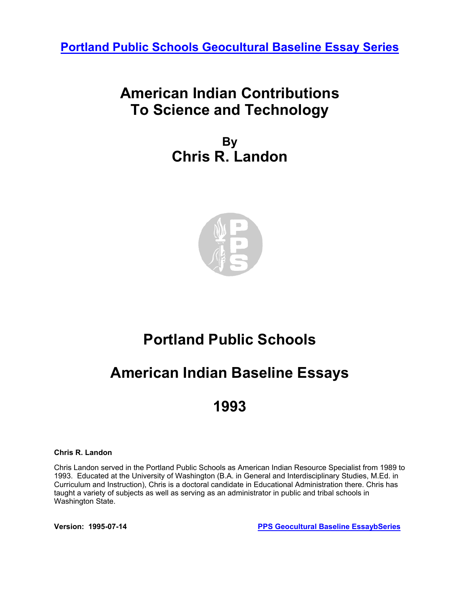**[Portland Public Schools Geocultural Baseline Essay Series](http://www.pps.k12.or.us/district/depts/mc-me/essays.shtml)**

## **American Indian Contributions To Science and Technology**

**By Chris R. Landon** 



## **Portland Public Schools**

## **American Indian Baseline Essays**

## **1993**

#### **Chris R. Landon**

Chris Landon served in the Portland Public Schools as American Indian Resource Specialist from 1989 to 1993. Educated at the University of Washington (B.A. in General and Interdisciplinary Studies, M.Ed. in Curriculum and Instruction), Chris is a doctoral candidate in Educational Administration there. Chris has taught a variety of subjects as well as serving as an administrator in public and tribal schools in Washington State.

**Version: 1995-07-14 [PPS Geocultural Baseline EssaybSeries](http://www.pps.k12.or.us/district/depts/mc-me/essays.shtml)**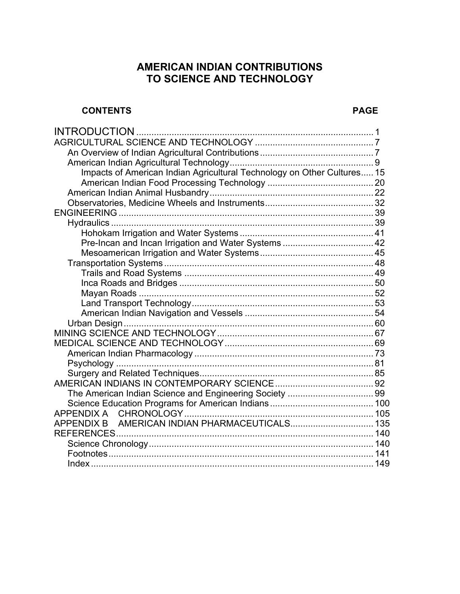### **AMERICAN INDIAN CONTRIBUTIONS TO SCIENCE AND TECHNOLOGY**

#### **CONTENTS PAGE**

| Impacts of American Indian Agricultural Technology on Other Cultures 15 |  |
|-------------------------------------------------------------------------|--|
|                                                                         |  |
|                                                                         |  |
|                                                                         |  |
|                                                                         |  |
|                                                                         |  |
|                                                                         |  |
|                                                                         |  |
|                                                                         |  |
|                                                                         |  |
|                                                                         |  |
|                                                                         |  |
|                                                                         |  |
|                                                                         |  |
|                                                                         |  |
|                                                                         |  |
|                                                                         |  |
|                                                                         |  |
|                                                                         |  |
|                                                                         |  |
|                                                                         |  |
|                                                                         |  |
|                                                                         |  |
|                                                                         |  |
|                                                                         |  |
| <b>APPENDIX B</b>                                                       |  |
|                                                                         |  |
|                                                                         |  |
|                                                                         |  |
|                                                                         |  |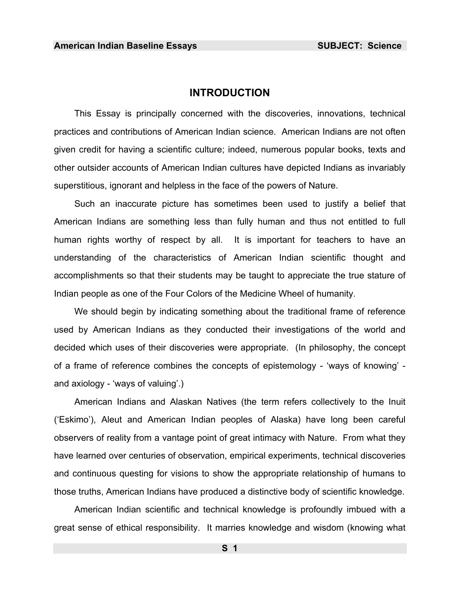#### **INTRODUCTION**

<span id="page-2-0"></span>This Essay is principally concerned with the discoveries, innovations, technical practices and contributions of American Indian science. American Indians are not often given credit for having a scientific culture; indeed, numerous popular books, texts and other outsider accounts of American Indian cultures have depicted Indians as invariably superstitious, ignorant and helpless in the face of the powers of Nature.

Such an inaccurate picture has sometimes been used to justify a belief that American Indians are something less than fully human and thus not entitled to full human rights worthy of respect by all. It is important for teachers to have an understanding of the characteristics of American Indian scientific thought and accomplishments so that their students may be taught to appreciate the true stature of Indian people as one of the Four Colors of the Medicine Wheel of humanity.

We should begin by indicating something about the traditional frame of reference used by American Indians as they conducted their investigations of the world and decided which uses of their discoveries were appropriate. (In philosophy, the concept of a frame of reference combines the concepts of epistemology - 'ways of knowing' and axiology - 'ways of valuing'.)

American Indians and Alaskan Natives (the term refers collectively to the Inuit ('Eskimo'), Aleut and American Indian peoples of Alaska) have long been careful observers of reality from a vantage point of great intimacy with Nature. From what they have learned over centuries of observation, empirical experiments, technical discoveries and continuous questing for visions to show the appropriate relationship of humans to those truths, American Indians have produced a distinctive body of scientific knowledge.

American Indian scientific and technical knowledge is profoundly imbued with a great sense of ethical responsibility. It marries knowledge and wisdom (knowing what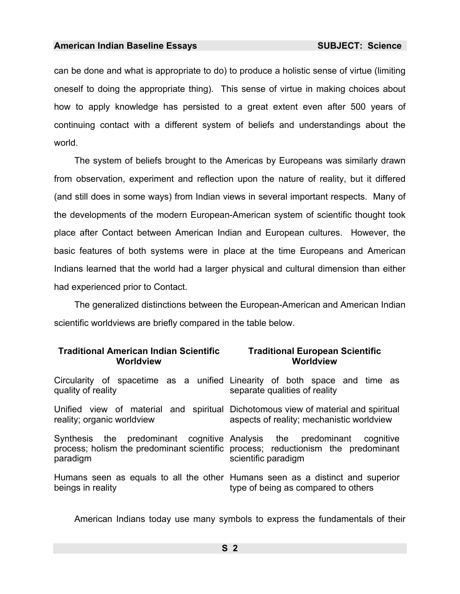can be done and what is appropriate to do) to produce a holistic sense of virtue (limiting oneself to doing the appropriate thing). This sense of virtue in making choices about how to apply knowledge has persisted to a great extent even after 500 years of continuing contact with a different system of beliefs and understandings about the world.

The system of beliefs brought to the Americas by Europeans was similarly drawn from observation, experiment and reflection upon the nature of reality, but it differed (and still does in some ways) from Indian views in several important respects. Many of the developments of the modern European-American system of scientific thought took place after Contact between American Indian and European cultures. However, the basic features of both systems were in place at the time Europeans and American Indians learned that the world had a larger physical and cultural dimension than either had experienced prior to Contact.

The generalized distinctions between the European-American and American Indian scientific worldviews are briefly compared in the table below.

| <b>Traditional American Indian Scientific</b><br><b>Worldview</b>                                               | <b>Traditional European Scientific</b><br>Worldview                                                                  |
|-----------------------------------------------------------------------------------------------------------------|----------------------------------------------------------------------------------------------------------------------|
| quality of reality                                                                                              | Circularity of spacetime as a unified Linearity of both space and time as<br>separate qualities of reality           |
| Unified view of material and spiritual Dichotomous view of material and spiritual<br>reality; organic worldview | aspects of reality; mechanistic worldview                                                                            |
| Synthesis the predominant cognitive Analysis the predominant<br>paradigm                                        | cognitive<br>process; holism the predominant scientific process; reductionism the predominant<br>scientific paradigm |
| beings in reality                                                                                               | Humans seen as equals to all the other Humans seen as a distinct and superior<br>type of being as compared to others |

American Indians today use many symbols to express the fundamentals of their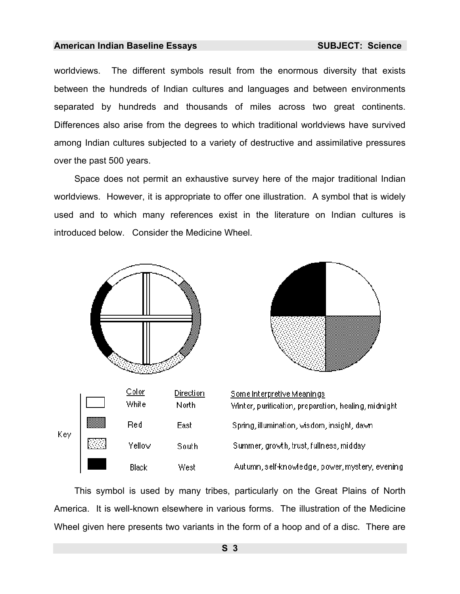worldviews. The different symbols result from the enormous diversity that exists between the hundreds of Indian cultures and languages and between environments separated by hundreds and thousands of miles across two great continents. Differences also arise from the degrees to which traditional worldviews have survived among Indian cultures subjected to a variety of destructive and assimilative pressures over the past 500 years.

Space does not permit an exhaustive survey here of the major traditional Indian worldviews. However, it is appropriate to offer one illustration. A symbol that is widely used and to which many references exist in the literature on Indian cultures is introduced below. Consider the Medicine Wheel.



This symbol is used by many tribes, particularly on the Great Plains of North America. It is well-known elsewhere in various forms. The illustration of the Medicine Wheel given here presents two variants in the form of a hoop and of a disc. There are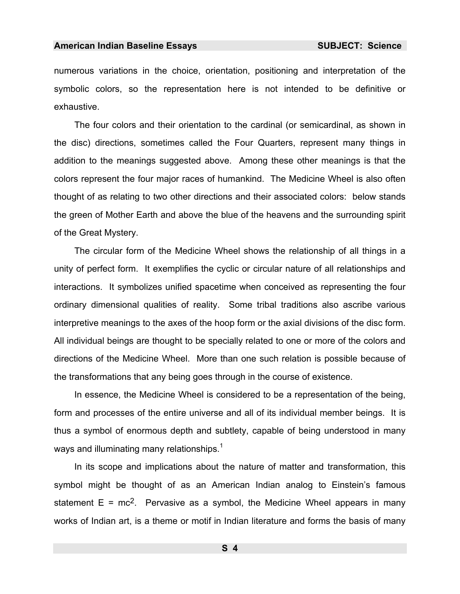numerous variations in the choice, orientation, positioning and interpretation of the symbolic colors, so the representation here is not intended to be definitive or exhaustive.

The four colors and their orientation to the cardinal (or semicardinal, as shown in the disc) directions, sometimes called the Four Quarters, represent many things in addition to the meanings suggested above. Among these other meanings is that the colors represent the four major races of humankind. The Medicine Wheel is also often thought of as relating to two other directions and their associated colors: below stands the green of Mother Earth and above the blue of the heavens and the surrounding spirit of the Great Mystery.

The circular form of the Medicine Wheel shows the relationship of all things in a unity of perfect form. It exemplifies the cyclic or circular nature of all relationships and interactions. It symbolizes unified spacetime when conceived as representing the four ordinary dimensional qualities of reality. Some tribal traditions also ascribe various interpretive meanings to the axes of the hoop form or the axial divisions of the disc form. All individual beings are thought to be specially related to one or more of the colors and directions of the Medicine Wheel. More than one such relation is possible because of the transformations that any being goes through in the course of existence.

In essence, the Medicine Wheel is considered to be a representation of the being, form and processes of the entire universe and all of its individual member beings. It is thus a symbol of enormous depth and subtlety, capable of being understood in many ways and illuminating many relationships.<sup>1</sup>

In its scope and implications about the nature of matter and transformation, this symbol might be thought of as an American Indian analog to Einstein's famous statement  $E = mc^2$ . Pervasive as a symbol, the Medicine Wheel appears in many works of Indian art, is a theme or motif in Indian literature and forms the basis of many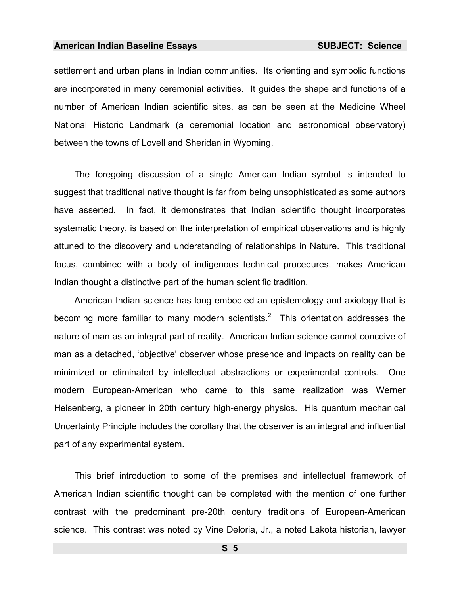settlement and urban plans in Indian communities. Its orienting and symbolic functions are incorporated in many ceremonial activities. It guides the shape and functions of a number of American Indian scientific sites, as can be seen at the Medicine Wheel National Historic Landmark (a ceremonial location and astronomical observatory) between the towns of Lovell and Sheridan in Wyoming.

The foregoing discussion of a single American Indian symbol is intended to suggest that traditional native thought is far from being unsophisticated as some authors have asserted. In fact, it demonstrates that Indian scientific thought incorporates systematic theory, is based on the interpretation of empirical observations and is highly attuned to the discovery and understanding of relationships in Nature. This traditional focus, combined with a body of indigenous technical procedures, makes American Indian thought a distinctive part of the human scientific traditio[n](#page-986-0).

American Indian science has long embodied an epistemology and axiology that is becoming more familiar to many modern scientists.<sup>2</sup> This orientation addresses the nature of man as an integral part of reality. American Indian science cannot conceive of man as a detached, 'objective' observer whose presence and impacts on reality can be minimized or eliminated by intellectual abstractions or experimental controls. One modern European-American who came to this same realization was Werner Heisenberg, a pioneer in 20th century high-energy physics. His quantum mechanical Uncertainty Principle includes the corollary that the observer is an integral and influential part of any experimental system.

This brief introduction to some of the premises and intellectual framework of American Indian scientific thought can be completed with the mention of one further contrast with the predominant pre-20th century traditions of European-American science. This contrast was noted by Vine Deloria, Jr., a noted Lakota historian, lawyer

**S 5**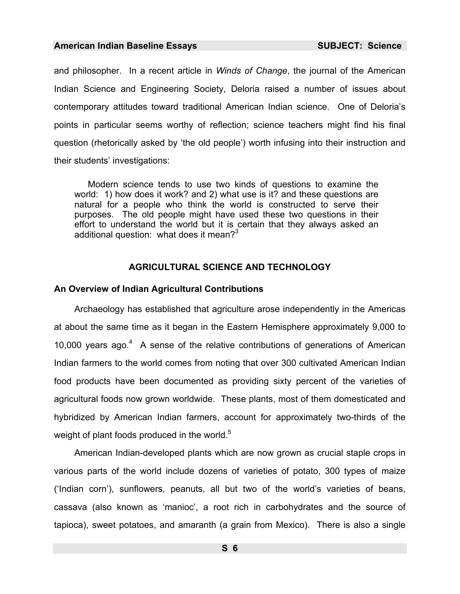and philosopher. In a recent article in *Winds of Change*, the journal of the American Indian Science and Engineering Society, Deloria raised a number of issues about contemporary attitudes toward traditional American Indian science. One of Deloria's points in particular seems worthy of reflection; science teachers might find his final question (rhetorically asked by 'the old people') worth infusing into their instruction and their students' investigations:

Modern science tends to use two kinds of questions to examine the world: 1) how does it work? and 2) what use is it? and these questions are natu[ra](#page-986-1)l for a people who think the world is constructed to serve their purposes. The old people might have used these two questions in their effort to understand the world but it is certain that they always asked an additional question: what does it mean? $3^3$ 

#### **AGRICULTURAL SCIENCE AND TECHNOLOGY**

#### **An Overview of Indian Agricultural Contributions**

Archaeology has established that agriculture arose independently in the Americas at about the same time as it began in the Eastern Hemisphere approximately 9,000 to 10,000 years ago.<sup>4</sup> A sense of the relative contributions of generations of American Indian farmers to the world comes from noting that over 300 cultivated American Indian food products have been documented as providing sixty percent of the varieties of agricultural foods now grown worldwide. These plants, most of them domesticated and hybridized by American Indian farmers, account for approximately two-thirds of the weight of plant foods produced in the world.<sup>5</sup>

American Indian-developed plants which are now grown as crucial staple crops in various parts of the world include dozens of varieties of potato, 300 types of maize ('Indian corn'), sunflowers, peanuts, all but two of the world's varieties of beans, cassava (also known as 'manioc', a root rich in carbohydrates and the source of tapioca), sweet potatoes, and amaranth (a grain from Mexico). There is also a single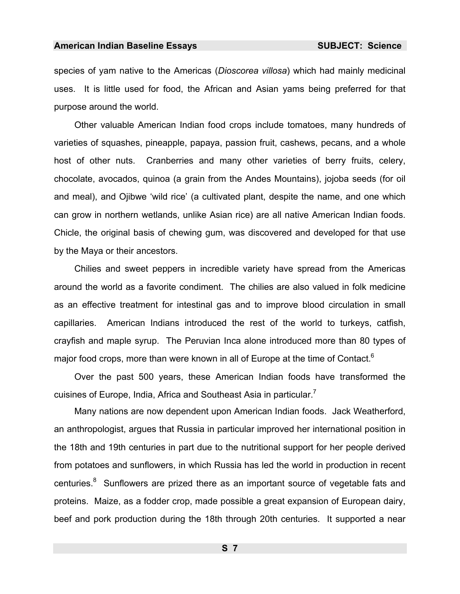<span id="page-8-0"></span>species of yam native to the Americas (*Dioscorea villosa*) which had mainly medicinal uses. It is little used for food, the African and Asian yams being preferred for that purpose around the world.

Other valuable American Indian food crops include tomatoes, many hundreds of varieties of squashes, pineapple, papaya, p[as](#page-986-2)sion fruit, cashews, pecans, and a whole host of other nuts. Cranberries and many other varieties of berry fruits, celery, chocolate, avocados, quinoa (a grain from the Andes Mountains), jojoba seeds (for oil and meal), and Ojibwe 'wild rice' (a cultivated plant, despite the name, and one which can grow in northern wetlands, unlike Asian rice) are all native American Indian foods. Chicle, the original basis of chewing gum, was discovered and developed for that use by the Maya or their ancestors.

Chilies and sweet peppers in incredible variety hav[e](#page-986-3) spread from the Americas around the world as a favorite condiment. The chilies are also valued in folk medicine as an effective treatment for intestinal gas and to improve blood circulation in small capillaries. American Indians introduced the rest of the world to turkeys, catfish, crayfish and maple syrup. The Peruvian Inca alone introduced more than 80 types of major food crops, more than were known in all of Europe at the time of Contact.<sup>6</sup>

Over the past 500 y[ea](#page-986-4)rs, these American Indian foods have transformed the cuisines of Europe, India, Africa and Southeast Asia in particular.<sup>7</sup>

Many nations are now dependent upon American Indian foods. Jack Weatherford, an anthropologist, argues that Russia in particular improved her international position in the 18th and 19th centuries in part due to the nutritional support for her people derived from potatoes and sunflowers, in which Russia has led the world in production in recent centuries.<sup>8</sup> Sunflowers are prized there as an important source of vegetable fats and proteins. Maize, as a fodder crop, made possible a great expansion of European dairy, beef and pork production during the 18th through 20th centuries. It supported a near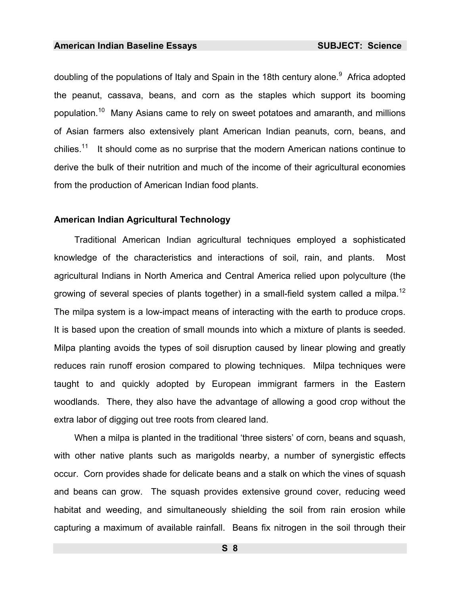doubling of the populations of Italy and Spain in the 18th century alone.<sup>9</sup> Africa adopted the peanut, cassava, beans, and corn as the staples which support its booming population.10 Many Asians came to rely on sweet potatoes and amaranth, and millions of Asian farmers also extensively plant American Indian peanuts, corn, beans, and chilies.<sup>11</sup> It should come as no surprise that the modern American nations continue to derive the bulk of their nutrition and much of the income of their agricultural economies from the production of American Indian food plants.

#### **American Indian Agricultural Technology**

Traditional American Indian agricultural techniques employed a sophisticated knowledge of the characteristics and interactions of soil, rain, and plants. Most agricultural Indians in North America and Central America relied upon polyculture (the growing of several species of plants together) in a small-field system called a milpa.<sup>12</sup> The milpa system is a low-impact means of interacting with the earth to produce crops. It is based upon the creation of small mounds into which a mixture of plants is seeded. Milpa planting avoids the types of soil disruption caused by linear plowing and greatly reduces rain runoff erosion compared to plowing techniques. Milpa techniques were taught to and quickly adopted by European immigrant farmers in the Eastern woodlands. There, they also have the advantage of allowing a good crop without the extra labor of digging out tree roots from cleared land.

When a milpa is planted in the traditional 'three sisters' of corn, beans and squash, with other native plants suc[h](#page-986-5) as marigolds nearby, a number of synergistic effects occur. Corn provides shade for delicate beans and a stalk on which the vines of squash and beans can grow. The squash provides extensive ground [c](#page-986-6)over, reducing weed habitat and weeding, and simultaneously shielding the soil from rain erosion while capturing a maximum of available rainfall. Beans fix nitrogen in the soil through their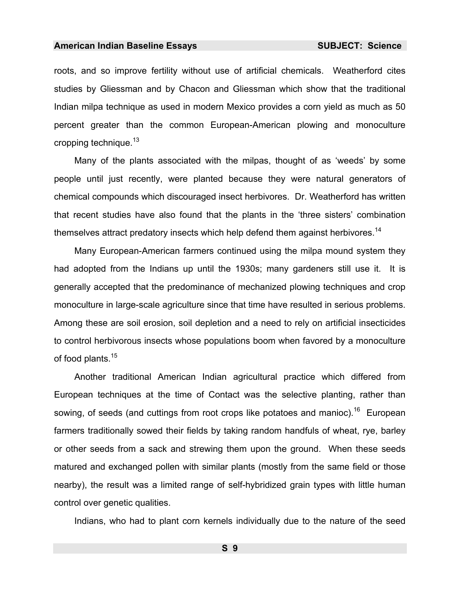<span id="page-10-0"></span>roots, and so improve fertility without use of artificial chemicals. Weatherford cites studies by Gliessman and by Chacon and Gliessman which show that the traditional Indian milpa technique as used in modern Mexico provides a corn yield as much as 50 percent greater than the common European[-A](#page-986-7)merican plowing and monoculture cropping technique.<sup>13</sup>

Many of the plants associated with the milpas, thought of as 'weeds' by some people until just recently, were planted because they were natural generators of chemical compounds which discouraged insect herbivores. Dr. [We](#page-986-8)atherford has written that recent studies have also found that the plants in the 'three sisters' combination themselves attract predatory insects which help defend them against herbivores.<sup>14</sup>

Many [Eu](#page-986-9)ropean-American farmers continued using the milpa mound system they had adopted from the Indians up until the 1930s; many gardeners still use it. It is generally accepted that the predominance of mechanized plowing techniques and crop monoculture in large-scale agriculture [si](#page-986-10)nce that time have resulted in serious problems. Among these are soil erosion, soil depletion and a need to rely on artificial insecticides to control herbivorous insects whose populations boom when favored by a monoculture of food plants.<sup>15</sup>

Another traditional American Indian agricultural practice which differed from European techniques at the time of Contact was the selective planting, rather than sowing, of seeds (and cuttings from root crops like potatoes and manioc).<sup>16</sup> European farmers traditionally sowed their fields by taking random handfuls of wheat, rye, barley or other seeds from a sack and strewing them upon the ground. When these seeds matured and exchanged pollen with similar plants (mostly from the same field or those nearby), the result was a limited range of self[-hy](#page-986-11)bridized grain types with little human control over genetic qualities.

Indians, who had to plant corn kernels individually due to the nature of the seed

**S 9**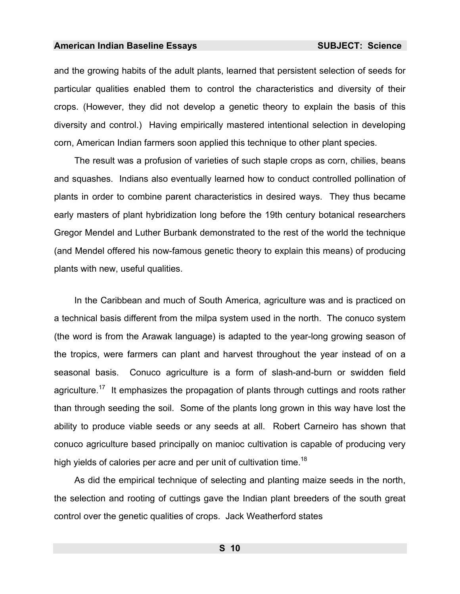and the growing habits of the adult plants, learned that persistent selection of seeds for particular qualities enabled them to control the characteristics and diversity of their crops. (However, they did not develop a genetic theory to explain the basis of this diversity and control.) Having empirically mastered intentional selection in developing corn, American Indian farmers soon applied this technique to other plant species.

The result was a profusion of varieties of such staple crops as corn, chilies, beans and squashes. Indians also eventually learned how to conduct controlled pollination of plants in order to combine parent characteristics in desired ways. They thus became early masters of plant hybridization long before the 19th century botanical researchers Gregor Mendel and Luther Burbank demonstrated to the rest of the world the technique (and Mendel offered his now-famous genetic theory to explain this means) of producing plants with new, useful qualities.

In the Caribbean and much of South America, agriculture was and is practiced on a technical basis different from the milpa system used in the north. The conuco system (the word is from the Arawak language) is adapted to the year-long growing season of the tropics, were farmers can plant and harvest throughout the year instead of on a seasonal basis. Conuco agriculture is a form of slash-and-burn or swidden field agriculture.<sup>17</sup> It emphasizes the propagation of plants through cuttings and roots rather than through seeding the soil. [Som](#page-986-12)e of the plants long grown in this way have lost the ability to produce viable seeds or any seeds at all. Robert Carneiro has shown that conuco agriculture based principally on manioc cultivation is capable of producing very high yields of calories per acre and per unit of cultivation time.<sup>18</sup>

As did the empirical technique of selecting and planting maize seeds in the north, the selection and rooting of cuttings gave the Indian plant breeders of the south great control over the genetic [qu](#page-986-13)alities of crops. Jack Weatherford states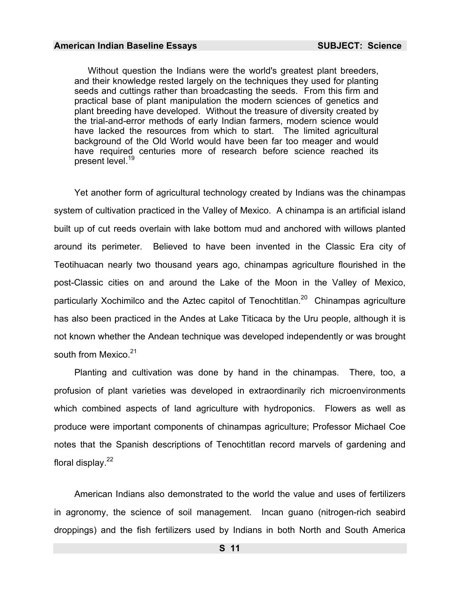Without question the Indians were the world's greatest plant breeders, and their knowledge rested largely on the techniques they used for planting seeds and cuttings rather than broadcasting the seeds. From this firm and practical base of plant manipulation the modern sciences of genetics and plant breeding have developed. Without the treasure of diversity created by the trial-and-error methods of early Indian farmers, modern science would have lacked the resources from which to start. The limited agricultural background of the Old World would have been far too meager and would have required centuries more of research before science reached its present level.<sup>19</sup>

[Yet](#page-986-14) another form of agricultural technology created by Indians was the chinampas system of cultivation practiced in the Valley of Mexico. A chinampa is an artificial island built up of cut reeds overlain with lake bottom mud and anchored with willows planted around its perimeter. Believed to have been invented in the Classic Era city of Teotihuacan nearly two thousand years ago, chinampas agriculture flourished in the post-Classic [c](#page-986-15)ities on and around the Lake of the Moon in the Valley of Mexico, particularly Xochimilco and the Aztec capitol of Tenochtitlan.<sup>20</sup> Chinampas agriculture has also been practiced in the Andes at Lake Titicaca by the Uru people, although it is not known whether the Andean technique was developed independently or was brought south from Mexico.<sup>21</sup>

Planting and cultivation was done by hand in the chinampas. There, too, a profusion of plant varieties was developed in extraordinarily rich microenvironments which combined aspects of land agriculture with hydroponics. Flowers as well as produce were important components of chinampas agriculture; Professor Michael Coe notes that the Spanish descriptions of Tenochtitlan record marvels of gardening and floral display. $22$ 

American Indians also demonstrated to the world the value and uses of fertilizers in agronomy, the science of soil management. Incan guano (nitrogen-rich seabird droppings) and the fish fertilizers used by Indians in both North and South America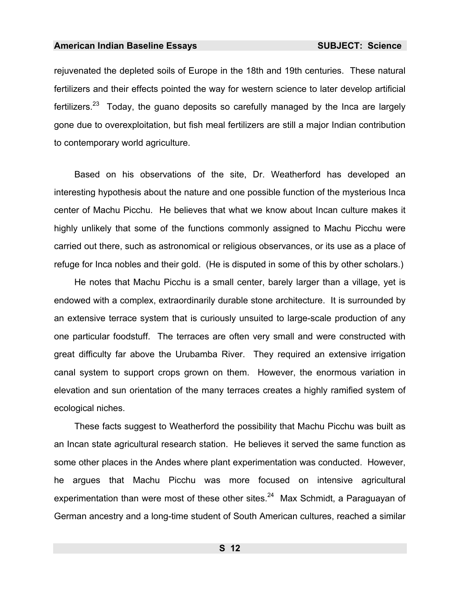rejuvenated the depleted soils of Europe in the 18th and 19th centuries. These natural fertilizers and their effects pointed the way for western science to later develop artificial fertilizers.<sup>23</sup> Today, the guano deposits so carefully managed by the Inca are largely gone due to overexploitation, but fish meal fertilizers are still a major Indian contribution to contemporary world agriculture.

Based on his observations of the site, Dr. Weatherford has developed an interesting hypothesis about the nature and one possible function of the mysterious Inca center of Machu Picchu. He believes that what we know about Incan culture makes it highly unlikely that some of the functions commonly assigned to Machu Picchu were carried out there, such as astronomical or religious observances, or its use as a place of refuge for Inca nobles and their gold. (He is disputed in some of this by other scholars.)

He notes that Machu Picchu is a small center, barely larger than a village, yet is endowed with a complex, extraordinarily durable stone architecture. It is surrounded by an extensive terrace system that is curiously unsuited to large-scale production of any one particular foodstuff. The terraces are often very small and were constructed with great difficulty far above the Urubamba River. They required an extensive irrigation canal system to support crops grown on them. However, the enormous variation in elevation and sun orientation of the many terraces creates a highly ramified system of ecological niches.

These facts suggest to Weatherford the possibility that Machu Picchu was built as an Incan state agricultural research station. He believes it served the same function as some other places in the Andes where plant experimentation was conducted. However, he argues that Machu Picchu was more focused on intensive agricultural experimentation than were most of these other sites. $24$  Max Schmidt, a Paraguayan of German ancestry and a long-time student of South American cultures, reached a similar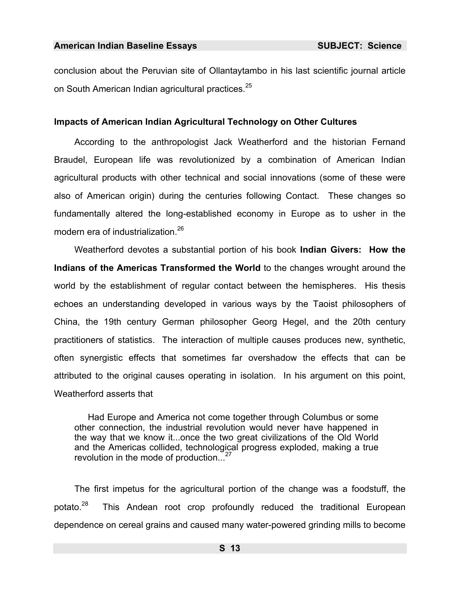conclusion about the Peruvian site of Ollantaytambo in his last scientific journal article on South American Indian agricultural practices.<sup>25</sup>

#### **Impacts of Ameri[ca](#page-986-16)n Indian Agricultural Technology on Other Cultures**

According to the anthropologist Jack Weatherford and the historian Fernand Braudel, European life was revolutionized by a combination of American Indian agricultural products with other technical and social innovations (some of these were also of American origin) during the centuries following Contact. These changes so fundamentally altered the long-established economy in Europe as to usher in the modern era of industrialization.<sup>26</sup>

Weatherford devotes a substantial portion of his book **Indian Givers: How the Indians of the Americas Transformed the World** to the changes wrought around the world by the establishment of regular contact between the hemispheres. His thesis echoes an understanding developed in variou[s](#page-986-17) ways by the Taoist philosophers of China, the 19th century German philosopher Georg Hegel, and the 20th century practitioners of statistics. The interaction of multiple causes produces new, synthetic, often synergistic effects that sometimes far overshadow the effects that can be attributed [to](#page-986-18) the original causes operating in isolation. In his argument on this point, Weatherford asserts that

Had Europe and America not come together through Columbus or some other connection, the industrial revolution would never have happened in the way that we know it...once the two great civilizations of the Old World and the Americas collided, technological progress exploded, making a true revolution in the mode of production...<sup>27</sup>

The first impetus for the agricultural portion of the change [w](#page-986-19)as a foodstuff, the potato.<sup>28</sup> This Andean root crop profoundly reduced the traditional European dependence on cereal grains and caused many water-powered grinding mills to become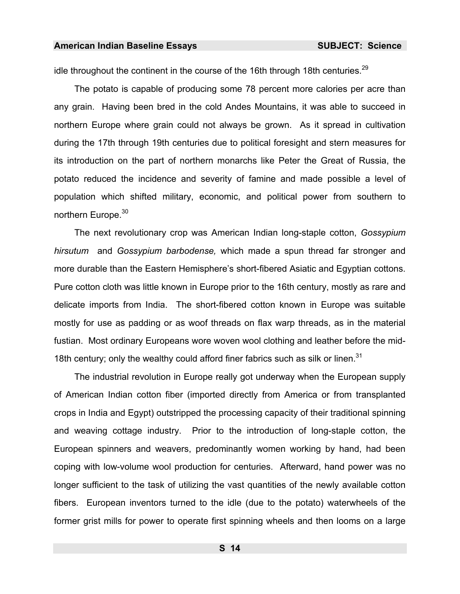idle throughout the continent in the course of the 16th through 18th centuries.<sup>29</sup>

The potato is capable of producing some 78 percent more calories per acre than any grain. Having been bred in the cold Andes Mountains, it was able to succeed in northern Europe where grain could not always be grown. As it spread in cultivation during the 17th through 19th centuries due to political foresight and stern measures for its introduction on the part of northern monarchs like Peter the Great of Russia, the potato reduced the incidence and severity of famine and made possible a level of population which shifted military, economic, and political power from southern to northern Europe.<sup>30</sup>

The next revolutionary crop was American Indian long-staple cotton, *Gossypium hirsutum* and *Gossypium barbodense,* which made a spun thread far stronger and more durable than the Eastern Hemisphere's short-fibered Asiatic and Egyptian cottons. Pure cotton cloth was little known in Europe prior to the 16th century, mostly as rare and delicate imports from India. The short-fibered cotton known in Europe was suitable mostly for use as padding or as woof threads on flax warp threads, as in the material fustian. Most ordinary Europeans wore woven wool clothing and leather before the mid-18th century; only the wealthy could afford finer fabrics such as silk or linen. $31$ 

The industrial revolution in Europe really got underway when the European supply of American Indian cotton fiber (imported directly from America or from transplanted crops in India and Egypt) outstripped the processing capacity of their traditional spinning and weaving cottage industry. Prior to the introduction of long-staple cotton, the European spinners and weavers, predominantly women working by hand, had been coping with low-volume wool production for centuries. Afterward, hand power was no longer sufficient to the task of utilizing the vast quantities of the newly available cotton fibers. European inventors turned to the idle (due to the potato) waterwheels of the former grist mills for power to operate first spinning wheels and then looms on a large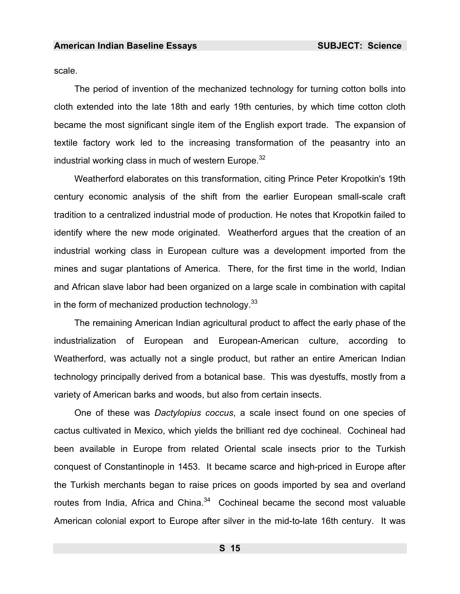<span id="page-16-0"></span>scale.

The period of invention of the mechanized technology for turning cotton bolls into cloth extended into the late 18th and early 19th centuries, by which time cotton cloth became the most significant single item of the English export trade. The expansion of textile factory work led to the increasing transformation of the peasantry into an industrial working class in much of western Europe.<sup>32</sup>

Weatherford elaborates on this transformation, citing Prince Peter Kropotkin's 19th century economic analysis of the shift from the earlier European small-scale craft tradition to a centralized industrial mode of production. He notes that Kropotkin failed to identify where the new mode originated. Weatherford argues that the creation of an industrial working class in European culture was a development imported from the mines and sugar plantations of America. There, for the first time in the world, Indian and African slave labor had been organized on a large scale in combination with capital in the form of mechanized production technology.  $33$ 

The remaining American Indian agricultural product to affect the early phase of the industrialization of European and European-American culture, according to Weatherford, was actually not a single product, but rather an entire American Indian technology principally derived from a botanical base. This was dyestuffs, mostly from a variety of American barks and woods, but also from certain in[se](#page-986-20)cts.

One of these was *Dactylopius coccus*, a scale insect found on one species of cactus cultivated in Mexico, which yields the brilliant red dye cochineal. Cochineal had been available in Europe from related Oriental scale insects prior to the Turkish conquest of Constantinople in 1453. It became scarce and high-priced in Europe after the Turkish merchants began to raise prices on goods imported by sea and overland routes from India, Africa and China. $34$  Cochineal became the second most valuable American colonial export to Europe after silver in the mid-to-late 16th century. It was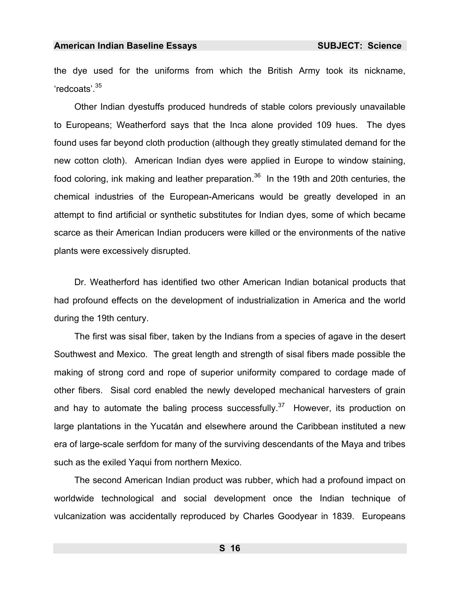the dye used for the uniforms from which the British Army took its nickname, 'redcoats'.35

Other Indian dyestuffs produced hundreds of stable colors previously unavailable to Europeans; Weatherford says that the Inca alone provided 109 hues. The dyes found uses far beyond cloth production (alt[ho](#page-986-21)ugh they greatly stimulated demand for the new cotton cloth). American Indian dyes were applied in Europe to window staining, food coloring, ink making and leather preparation.<sup>36</sup> In the 19th and 20th centuries, the chemical industries of the European-A[me](#page-986-22)ricans would be greatly developed in an attempt to find artificial or synthetic substitutes for Indian dyes, some of which became scarce as their American Indian producers were killed or the environments of the native plants were excessively disrupted.

Dr. Weatherford has identified two other American Indian botanical products that had profound effects on the development of industrialization in America and the world during the 19th century.

The first was sisal fiber, taken by the Indians from a species of agave in the desert Southwest and Mexico. The great length and strength of sisal fibers made possible the making of strong cord and rope of superior uniformity compared to cordage made of other fibers. Sisal cord enabled [th](#page-986-23)e newly developed mechanical harvesters of grain and hay to automate the baling process successfully.<sup>37</sup> However, its production on large plantations in the Yucatán and elsewhere around the Caribbean instituted a new era of large-scale serfdom for many of the surviving descendants of the Maya and tribes such as the exiled Yaqui from northern Mexico.

The second American Indian product was rubber, which had a profound impact on worldwide technological and social development once the Indian technique of vulcanization was accidentally reproduced by Charles Goodyear in 1839. Europeans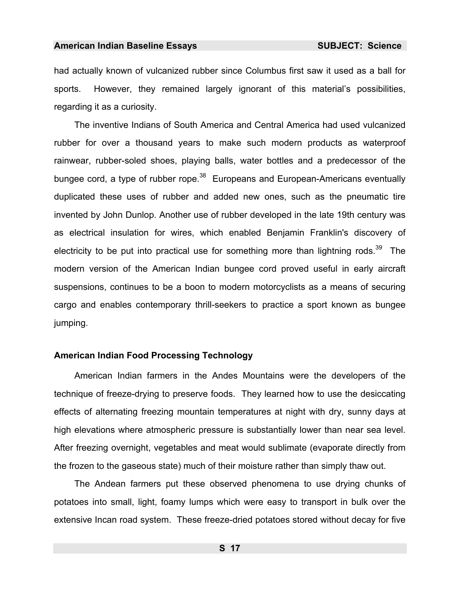had actually known of vulcanized rubber since Columbus first saw it used as a ball for sports. However, they remained largely ignorant of this material's possibilities, regarding it as a curiosity.

The inventive Indians of South America and Central America had used vulcanized rubber for over a thousand years to make such modern products as waterproof rainwear, rubber-soled shoes, playing balls, water bottles and a predecessor of the bungee cord, a type of rubber rope. $38$  Europeans and European-Americans eventually duplicated these uses of rubber and added new ones, such as the pneumatic tire invented by John Dunlop. Another use of rubber developed in the late 19th century was as electrical insulation for wires, which enabled Benjamin Franklin's discovery of electricity to be put into practical use for something more than lightning rods.<sup>39</sup> The modern version of the American Indian bungee cord proved useful in early aircraft suspensions, continues to be a boon to modern motorcyclists as a means of securing cargo and enables contemporary thrill-seekers to practice a sport known as bungee jumping.

#### **American Indian Food Processing Technology**

American Indian farmers in the Andes Mountains were the developers of the technique of freeze-drying to preserve foods. They learned how to use the desiccating effects of alternating freezing mountain temperatures at night with dry, sunny days at high elevations where atmospheric pressure is substantially lower than near sea level. After freezing overnight, vegetables and meat would sublimate (evaporate directly from the frozen to the gaseous state) much of their moisture rather than simply thaw out.

The Andean farmers put these observed phenomena to use drying chunks of potatoes into small, light, foamy lumps which were easy to transport in bulk over the extensive Incan road system. These freeze-dried potatoes stored without decay for five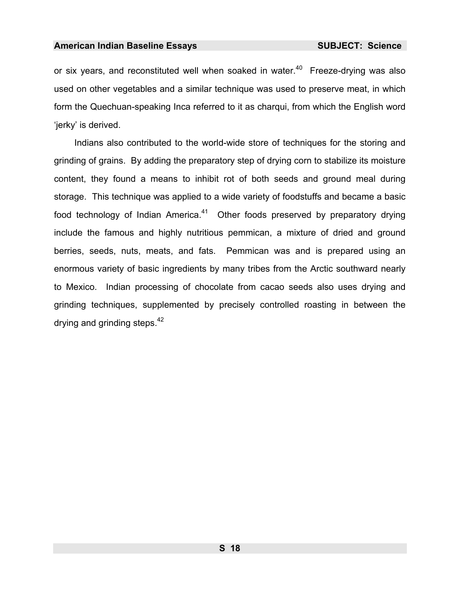or six years, and reconstituted well when soaked in water. $40$  Freeze-drying was also used on other vegetables and a similar technique was used to preserve meat, in which form the Quechuan-speaking Inca referred to it as charqui, from which the English word 'jerky' is derived.

Indians also contributed to the world-wide store of techniques for the storing and grinding of grains. By adding the preparatory step of drying corn to stabilize its moisture content, they found a means to inhibit rot of both seeds and ground meal during storage. This technique was applied to a wide variety of foodstuffs and became a basic food technology of Indian America. $41$  Other foods preserved by preparatory drying include the famous and highly nutritious pemmican, a mixture of dried and ground berries, seeds, nuts, meats, and fats. Pemmican was and is prepared using an enormous variety of basic ingredients by many tribes from the Arctic southward nearly to Mexico. Indian processing of chocolate from cacao seeds also uses drying and grinding techniques, supplemented by precisely controlled roasting in between the drying and grinding steps.  $42$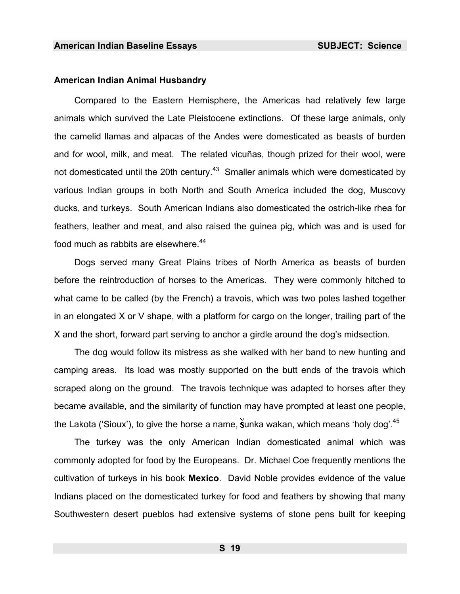#### **American Indian Animal Husbandry**

Compared to the Eastern Hemisphere, the Americas had relatively few large animals which survived the Late Pleistocene extinctions. Of these large animals, only the camelid llamas and alpacas of the Andes were domesticated as beasts of burden and for wool, milk, and meat. The related vicuñas, though prized for their wool, were not domesticated until the 20th century.<sup>43</sup> Smaller animals which were domesticated by various Indian group[s](#page-986-24) in both North and South America included the dog, Muscovy ducks, and turkeys. South American Indians also domesticated the ostrich-like rhea for feathers, leather and meat, and also raised the guinea pig, which was and is used for food much as rabbits are elsewhere.<sup>44</sup>

Dogs served many Great Plains tribes of North America as beasts of burden before the reintroduction of horses to the Americas. They were commonly hitched to what came to be called (by the French) a travois, which was two poles lashed together in an elongated X or V shape, with a platform for cargo on the longer, trailing part of the X and the short, forward part serving to anchor a girdle around the dog's midsection.

The dog would follow its mistress as she walked with her band to new hunting and camping areas. Its load was mostly supported on the butt ends of the travois which scraped along on the ground. The travois technique was adapted to horses after they became available, and the similarity of function may have prompted at least one people, the Lakota ('Sioux'), to give the horse a name, sunka wakan, which means 'holy dog'.  $45$ 

The turkey was the only American Indian domesticated animal which was commonly adopted for food by t[he](#page-986-5) Europeans. Dr. Michael Coe frequently mentions the cultivation of turkeys in his book **Mexico**. David Noble provides evidence of the value Indians placed on the domesticated turkey for food and feathers by showing that many Southwestern desert pueblos had extensive systems of stone pens built for keeping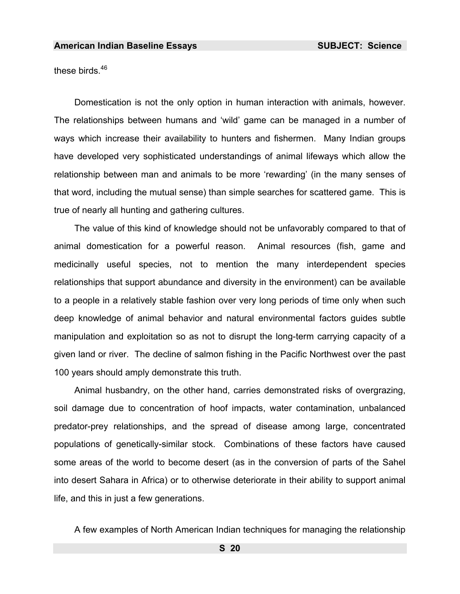<span id="page-21-0"></span>these birds.<sup>46</sup>

Domestication is not the only option in human interaction with animals, however. The relationships between humans and 'wild' game can be managed in a number of ways which increase their availability to hunters and fishermen. Many Indian groups have developed very sophisticated understandings of animal lifeways which allow the relationship between man and animals to be more 'rewarding' (in the many senses of that word, including the mutual sense) than simple searches for scattered game. This is true of nearly all hunting and gathering cultures.

The value of this kind of knowledge should not be unfavorably compared to that of animal domestication for a powerful reason. Animal resources (fish, game and medicinally useful species, not to mention the many interdependent species relationships that support abundance and diversity in the environment) can be available to a people in a relatively stable fashion over very long periods of time only when such deep knowledge of animal behavior and natural environmental factors guides subtle manipulation and exploitation so as not to disrupt the long-term carrying capacity of a given land or river. The decline of salmon fishing in the Pacific Northwest over the past 100 years should amply demonstrate this truth.

Animal hus[ban](#page-986-25)dry, on the other hand, carries demonstrated risks of overgrazing, soil damage due to concentration of hoof impacts, water contamination, unbalanced predator-prey relationships, and the spread of disease among large, concentrated populations of genetically-similar stock. Combinations of these factors have caused some areas of the world to become desert (as in the conversion of parts of the Sahel into desert Sahara in Africa) or to otherwise deteriorate in their ability to support animal life, and this in just a few generations.

A few examples of North American Indian techniques for managing the relationship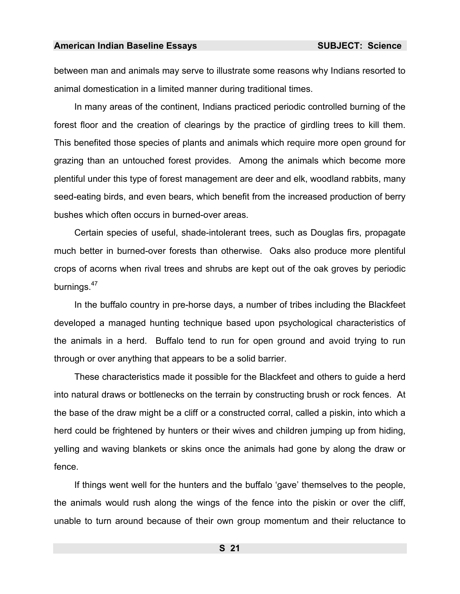between man and animals may serve to illustrate some reasons why Indians resorted to animal domestication in a limited manner during traditional times.

In many areas of the continent, Indians practiced periodic controlled burning of the forest floor and the creation of clearings by the practice of girdling trees to kill them. This benefited those species of plants and animals which require more open ground for grazing than an untouched forest provides. Among the animals which become more plentiful under this type of forest management are deer and elk, woodland rabbits, many seed-eating birds, and even bears, which benefit from the increased production of berry bushes which often occurs in burned-over areas.

Certain species of useful, shade-intolerant trees, such as Douglas firs, propagate much better in burned-over forests than otherwise. Oaks also produce more plentiful crops of acorns when rival trees and shrubs are kept out of the oak groves by periodic burnings.<sup>47</sup>

In the buffalo country in pre-horse days, a number of tribes including the Blackfeet developed a managed hunting technique based upon psychological characteristics of the animals in a herd. Buffalo tend to run for open ground and avoid trying to run through or over anything that appears to be a solid barrier.

These characteristics made it possible for the Blackfeet and others to guide a herd into natural draws or bottlenecks on the terrain by constructing brush or rock fences. At the base of the draw might be a cliff or a constructed corral, called a piskin, into which a herd could be frightened by hunters or their wives and children jumping up from hiding, yelling and waving blankets or skins once the animals had gone by along the draw or fence.

If things went well for the hunters and the buffalo 'gave' themselves to the people, the animals would rush along the wings of the fence into the piskin or over the cliff, unable to turn around because of their own group momentum and their reluctance to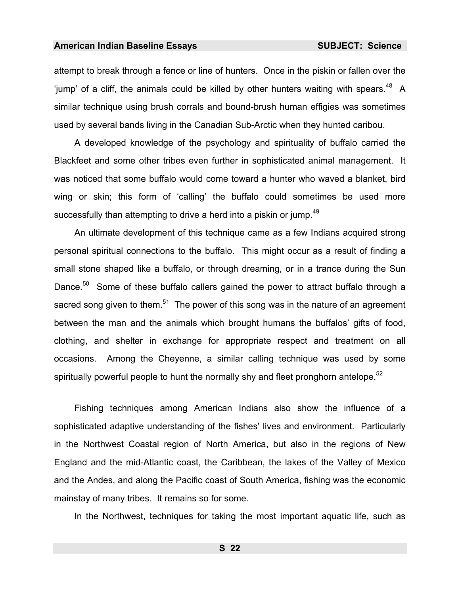<span id="page-23-0"></span>attempt to break through a fence or line of hunters. Once in the piskin or fallen over the 'jump' of a cliff, the animals could be killed by other hunters waiting with spears. $48$  A similar technique using brush corrals and bound-brush human effigies was sometimes used by several bands living in the Canadian Sub-Arctic when they hunted caribou.

A developed knowledge of the psychology and spirituality of buffalo carried the Blackfeet and some other tribes even further in sophisticated animal management. It was noticed that some buffalo would come toward a hunter who waved a blanket, bird wing or skin; t[his](#page-986-26) form of 'calling' the buffalo could sometimes be used more successfully than attempting to drive a herd into a piskin or jump.<sup>49</sup>

An ultimate development of this technique came as a few Indians acquired strong personal spiritual connections to the buffalo. This might occur as a result of finding a small stone shaped like a buffalo, or through dreaming, or in a trance during the Sun Dance.<sup>50</sup> Some of th[es](#page-986-27)e buffalo callers gained the power to attract buffalo through a sacred song given to them.<sup>51</sup> The power of this song was in the nature of an agreement between the man and the animals which brought humans the buffalos' gifts of food, clothing, and shelter in exchange for appropriate respect and treatment on all occasions. Among the Cheyenne, a similar calling technique was used by some spiritually powerful people to hunt the normally shy and fleet pronghorn antelope.<sup>52</sup>

Fishing techniques among American Indians also show the influence of a sophisticated adaptive understanding of the fishes' lives and environment. Particularly in the Northwest Coastal region of North America, but also in the regions of New England and the mid-Atlantic coast, the Caribbean, the lakes of the Valley of Mexico and the Andes, and along the Pacific coast of South America, fishing was the economic mainstay of many tribes. It remains so for some.

In the Northwest, techniques for taking the most important aquatic life, such as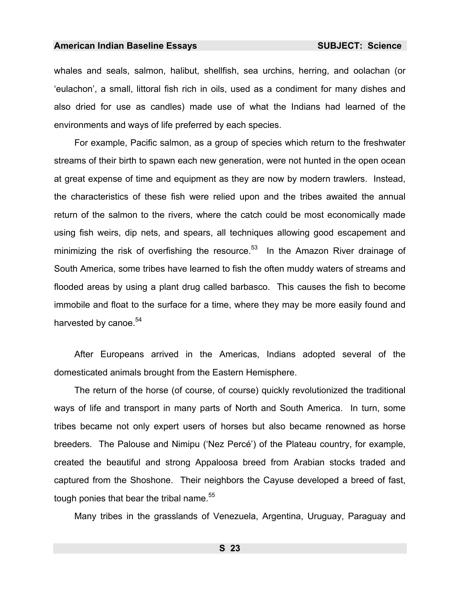whales and seals, salmon, halibut, shellfish, sea urchins, herring, and oolachan (or 'eulachon', a small, littoral fish rich in oils, used as a condiment for many dishes and also dried for use as candles) made use of what the Indians had learned of the environments and ways of life preferred by each species.

For example, Pacific salmon, as a group of species which return to the freshwater streams of their birth to spawn each new generation, were not hunted in the open ocean at great expense of time and equipment as they are now by modern trawlers. Instead, the characteristics of these fish were relied upon and the tribes awaited the annual return of the salmon to the rivers, where the catch could be most economically made using fish weirs, dip nets, and spears, all techniques allowing good escapement and minimizing the risk of overfishing the resource.<sup>53</sup> In the Amazon River drainage of South America, some tribes have learned to fish the often muddy waters of streams and flooded areas by using a plant drug called barbasco. This causes the fish to become immobile and float to the surface for a time, where they may be more easily found and harvested by canoe.<sup>54</sup>

After Europeans arrived in the Americas, Indians adopted several of the domesticated animals brought from the Eastern Hemisphere.

The return of the horse (of course, of course) quickly revolutionized the traditional ways of life and transport in many parts of North and South America. In turn, some tribes became not only expert users of horses but also became renowned as horse breeders. The Palouse and Nimipu ('Nez Percé') of the Plateau country, for example, created the beautiful and strong Appaloosa breed from Arabian stocks traded and captured from the Shoshone. Their neighbors the Cayuse developed a breed of fast, tough ponies that bear the tribal name.<sup>55</sup>

Many tribes in the grasslands of Venezuela, Argentina, Uruguay, Paraguay and

**S 23**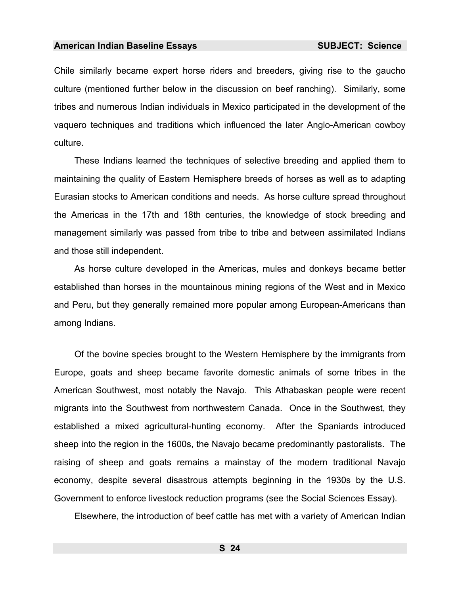Chile similarly became expert horse riders and breeders, giving rise to the gaucho culture (mentioned further below in the discussion on beef ranching). Similarly, some tribes and numerous Indian individuals in Mexico participated in the development of the vaquero techniques and traditions which influenced the later Anglo-American cowboy culture.

These Indians learned the techniques of selective breeding and applied them to maintaining the quality of Eastern Hemisphere breeds of horses as well as to adapting Eurasian stocks to American conditions and needs. As horse culture spread throughout the Americas in the 17th and 18th centuries, the knowledge of stock breeding and management similarly was passed from tribe to tribe and between assimilated Indians and those still independent.

As horse culture developed in the Americas, mules and donkeys became better established than horses in the mountainous mining regions of the West and in Mexico and Peru, but they generally remained more popular among European-Americans than among Indians.

Of the bovine species brought to the Western Hemisphere by the immigrants from Europe, goats and sheep became favorite domestic animals of some tribes in the American Southwest, most notably the Navajo. This Athabaskan people were recent migrants into the Southwest from northwestern Canada. Once in the Southwest, they established a mixed agricultural-hunting economy. After the Spaniards introduced sheep into the region in the 1600s, the Navajo became predominantly pastoralists. The raising of sheep and goats remains a mainstay of the modern traditional Navajo economy, despite several disastrous attempts beginning in the 1930s by the U.S. Government to enforce livestock reduction programs (see the Social Sciences Essay).

Elsewhere, the introduction of beef cattle has met with a variety of American Indian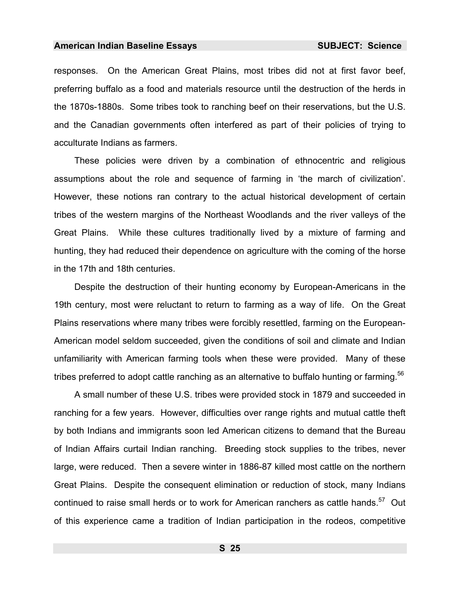responses. On the American Great Plains, most tribes did not at first favor beef, preferring buffalo as a food and materials resource until the destruction of the herds in the 1870s-1880s. Some tribes took to ranching beef on their reservations, but the U.S. and the Canadian governments often interfered as part of their policies of trying to acculturate Indians as farmers.

These policies were driven by a combination of ethnocentric and religious assumptions about the role and sequence of farming in 'the march of civilization'. However, these notions ran contrary to the actual historical development of certain tribes of the western margins of the Northeast Woodlands and the river valleys of the Great Plains. While these cultures traditionally lived by a mixture of farming and hunting, they had reduced their dependence on agriculture with the coming of the horse in the 17th and 18th centuries.

Despite the destruction of their hunting economy by European-Americans in the 19th century, most were reluctant to return to farming as a way of life. On the Great Plains reservations where many tribes were forcibly resettled, farming on the European-American model seldom succeeded, given the conditions of soil and climate and Indian unfamiliarity with American farming tools when these were provided. Many of these tribes preferred to adopt cattle ranching as an alternative to buffalo hunting or farming.<sup>56</sup>

A small number of these U.S. tribes were provided stock in 1879 and succeeded in ranching for a few years. However, difficulties over range rights and mutual cattle theft by both Indians and immigrants soon led American citizens to demand that the Bureau of Indian Affairs curtail Indian ranching. Breeding stock supplies to the tribes, never large, were reduced. Then a severe winter in 1886-87 killed most cattle on the northern Great Plains. Despite the consequent elimination or reduction of stock, many Indians continued to raise small herds or to work for American ranchers as cattle hands.<sup>57</sup> Out of this experience came a tradition of Indian participation in the rodeos, competitive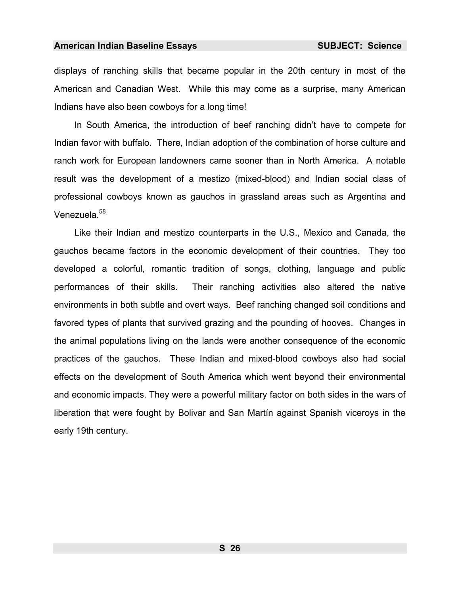displays of ranching skills that became popular in the 20th century in most of the American and Canadian West. While this may come as a surprise, many American Indians have also been cowboys for a long time!

In South America, the introduction of beef ranching didn't have to compete for Indian favor with buffalo. There, Indian adoption of the combination of horse culture and ranch work for European landowners came sooner than in North America. A notable result was the development of a mestizo (mixed-blood) and Indian social class of professional cowboys known as gauchos in grassland areas such as Argentina and Venezuela.<sup>58</sup>

Like their Indian and mestizo counterparts in the U.S., Mexico and Canada, the gauchos became factors in the economic development of their countries. They too developed a colorful, romantic tradition of songs, clothing, language and public performances of their skills. Their ranching activities also altered the native environments in both subtle and overt ways. Beef ranching changed soil conditions and favored types of plants that survived grazing and the pounding of hooves. Changes in the animal populations living on the lands were another consequence of the economic practices of the gauchos. These Indian and mixed-blood cowboys also had social effects on the development of South America which went beyond their environmental and economic impacts. They were a powerful military factor on both sides in the wars of liberation that were fought by Bolivar and San Martín against Spanish viceroys in the early 19th century.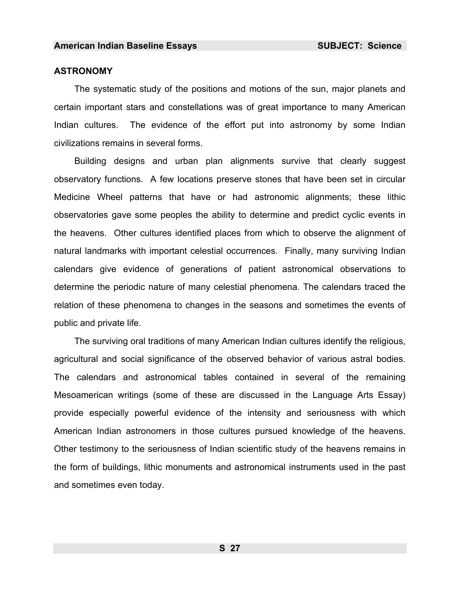#### **ASTRONOMY**

The systematic study of the positions and motions of the sun, major planets and certain important stars and constellations was of great importance to many American Indian cultures. The evidence of the effort put into astronomy by some Indian civilizations remains in several forms.

Building designs [an](#page-986-28)d urban plan alignments survive that clearly suggest observatory functions. A few locations preserve stones that have been set in circular Medicine Wheel patterns that have or had astronomic alignments; these lithic observatories gave some peoples the ability to determine and predict cyclic events in the heavens. Other cultures identified places from which to observe the alignment of natural landmarks with important celestial occurrences. Finally, many surviving Indian calendars give evidence of generations of patient astronomical observations to determine the periodic nature of many celestial phenomena. The calendars traced the relation of these phenomena to changes in the seasons and sometimes the events of public and private life.

The surviving oral traditions of many American Indian cultures identify the religious, agricultural and social significance of the observed behavior of various astral bodies. The calendars and astronomical tables containe[d](#page-986-29) in several of the remaining Mesoamerican writings (some of these are discussed in the Language Arts Essay) provide especially powerful evidence of the intensity and seriousness with which American Indian astronomers in those cultures pursued knowledge of the heavens. Other testimony to the seriousness of Indian scientific study of the heavens remains in the form of buildings, lithic monuments and astronomical instruments used in the past and sometimes even today.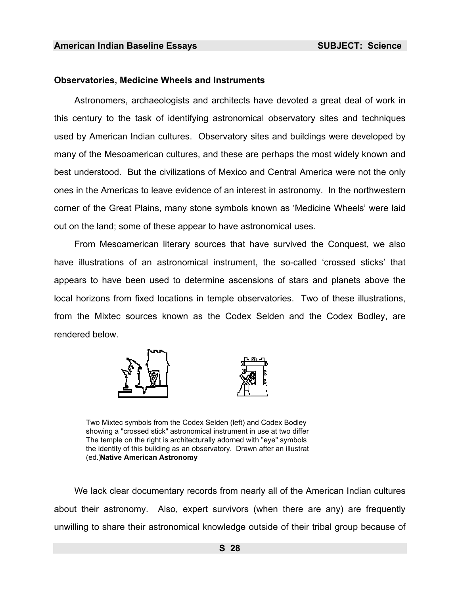#### **Observatories, Medicine Wheels and Instruments**

Astronomers, archaeologists and architects have devoted a great deal of work in this century to the task of identifying astronomical observatory sites and techniques used by American Indian cultures. Observatory sites and buildings were developed by many of the Mesoamerican cultures, and these are perhaps the most widely known and best understood. But the civilizations of Mexico and Central America were not the only ones in the Americas to leave evidence of an interest in astronomy. In the northwestern corner of the Great Plains, many stone symbols known as 'Medicine Wheels' were laid out on the land; some of these appear to have astronomical uses.

 From Mesoamerican literary sources that have survived the Conquest, we also have illustrations of an astronomical instrument, the so-called 'crossed sticks' that appears to have been used to determine ascensions of stars and planets above the local horizons from fixed locations in temple observatories. Two of these illustrations, from the Mixtec sources known as the Codex Selden and the Codex Bodley, are rendered below.





Two Mixtec symbols from the Codex Selden (left) and Codex Bodley showing a "crossed stick" astronomical instrument in use at two differ The temple on the right is architecturally adorned with "eye" symbols the identity of this building as an observatory. Drawn after an illustrat (ed.) **Native American Astronomy**.

We lack clear documentary records from nearly all of the American Indian cultures about their astronomy. Also, expert survivors (when there are any) are frequently unwilling to share their astronomical knowledge outside of their tribal group because of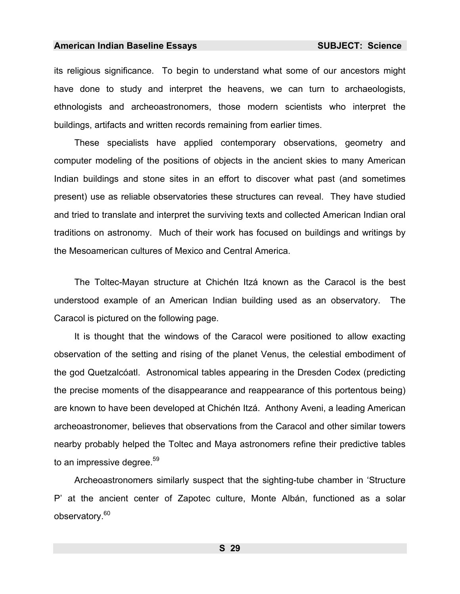its religious significance. To begin to understand what some of our ancestors might have done to study and interpret the heavens, we can turn to archaeologists, ethnologists and archeoastronomers, those modern scientists who interpret the buildings, artifacts and written records remaining from earlier times.

These specialists have applied contemporary observations, geometry and computer modeling of the positions of objects in the ancient skies to many American Indian buildings and stone sites in an effort to discover what past (and sometimes present) use as reliable observatories these structures can reveal. They have studied and tried to translate and interpret the surviving texts and collected American Indian oral traditions on astronomy. Much of their work has focused on buildings and writings by the Mesoamerican cultures of Mexico and Central America.

The Toltec-Mayan structure at Chichén Itzá known as the Caracol is the best understood example of an American Indian building used as an observatory. The Caracol is pictured on the following page.

It is thought that the windows of the Caracol were positioned to allow exacting observation of the setting and rising of the planet Venus, the celestial embodiment of the god Quetzalcóatl. Astronomical tables appearing in the Dresden Codex (predicting the precise moments of the disappearance and reapp[ear](#page-986-30)ance of this portentous being) are known to have been developed at Chichén Itzá. Anthony Aveni, a leading American archeoastronomer, believes that observations from the Caracol and other similar towers nearby probably helped the Toltec and Maya astronomers refine their predictive tables to an impressive degree.<sup>59</sup>

Archeoastronomers similarly suspect that the sighting-tube chamber in 'Structure P' at the ancient center of Zapotec culture, Monte Albán, functioned as a solar observatory.<sup>60</sup>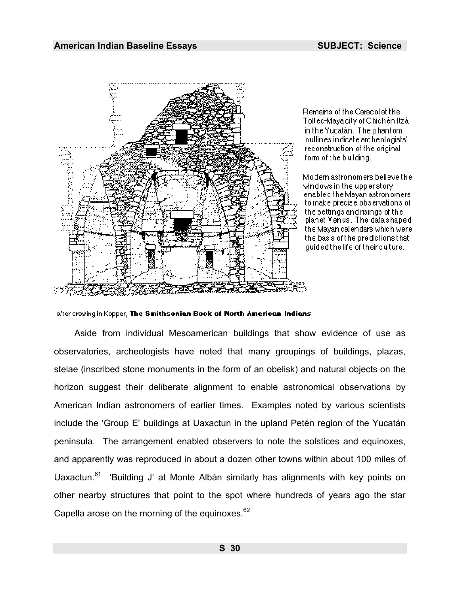

Remains of the Caracol at the Toltec-Maya city of Chichén Itzá. in the Yucatán. The phantom outlines indicate archeologists' reconstruction of the original form of the building.

Modern astronomers believe the windows in the upper story. enabled the Mayan astronomers to make precise observations of the settings and risings of the planet Venus. The data shaped the Mayan calendars which were the basis of the predictions that guided the life of their culture.

after drawing in Kopper, The Smithsonian Book of North American Indians

Aside from individual Mesoamerican buildings that show evidence of use as observatories, archeologists have noted that many groupings of buildings, plazas, stelae (inscribed stone monuments in the form of an obelisk) and natural objects on the horizon suggest their deliberate alignment to enable astronomical observations by American Indian astronomers of earlier times. Examples noted by various scientists include the 'Group E' buildings at Uaxactun in the upland Petén region of the Yucatán peninsula. The arrangement enabled observers to note the solstices and equinoxes, and apparently was reproduced in about a dozen other towns within about 100 miles of Uaxactun.<sup>61</sup> 'Building J' at Monte Albán similarly has alignments with key points on other nearby structures that point to the spot where hundreds of years ago the star Capella arose on the morning of the equinoxes. $62$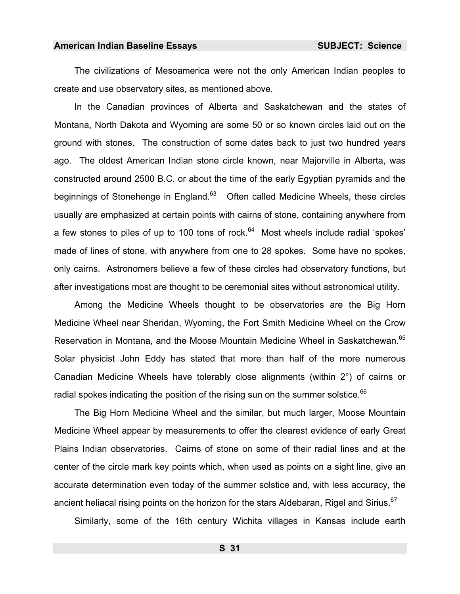The civilizations of Mesoamerica were not the only American Indian peoples to create and use observatory sites, as mentioned above.

In the Canadian provinces of Alberta and Saskatchewan and the states of Montana, North Dakota and Wyoming are some 50 or so known circles laid out on the ground with stones. The construction of some dates back to just two hundred years ago. The oldest American Indian stone circle known, near Majorville in Alberta, was constructed around 2500 B.C. or about the time of the early Egyptian pyramids and the beginnings of Stonehenge in England.<sup>63</sup> Often called Medicine Wheels, these circles usually are emphasized at certain points with cairns of stone, containing anywhere from a few stones to piles of up to 100 tons of rock.<sup>64</sup> Most wheels include radial 'spokes' made of lines of stone, with anywhere from one to 28 spokes. Some have no spokes, only cairns. Astronomers believe a few of these circles had observatory functions, but after investigations most are thought to be ceremonial sites without astronomical utility.

Among the Medicine Wheels thought to be observatories are the Big Horn Medicine Wheel near Sheridan, Wyoming, the Fort Smith Medicine Wheel on the Crow Reservation in Montana, and the Moose Mountain Medicine Wheel in Saskatchewan.<sup>65</sup> Solar physicist John Eddy has stated that more than half of the more numerous Canadian Medicine Wheels have tolerably close alignments (within 2°) of cairns or radial spokes indicating the position of the rising sun on the summer solstice. $^{66}$ 

The Big Horn Medicine Wheel and the similar, but much larger, Moose Mountain Medicine Wheel appear by measurements to offer the clearest evidence of early Great Plains Indian observatories. Cairns of stone on some of their radial lines and at the center of the circle mark key points which, when used as points on a sight line, give an accurate determination even today of the summer solstice and, with less accuracy, the ancient heliacal rising points on the horizon for the stars Aldebaran, Rigel and Sirius.<sup>67</sup>

Similarly, some of the 16th century Wichita villages in Kansas include earth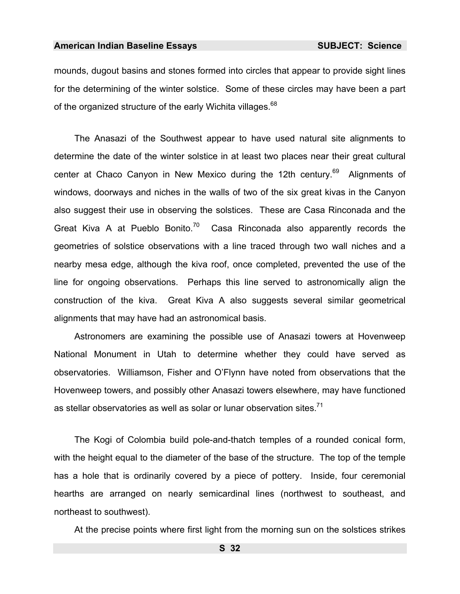<span id="page-33-0"></span>mounds, dugout basins and stones formed into circles that appear to provide sight lines for the determining of the winter solstice. Some of these circles may have been a part of the organized structure of the early Wichita villages.<sup>68</sup>

The Anasazi of the Southwest appear to have used natural site alignments to determine the date of the winter solstice in at least two places near their great cultural center at Chaco Canyon in New Mexico during the 12th century.<sup>69</sup> Alignments of windows, doorways and niches in the walls of two of the six great kivas in the Canyon also suggest their use in observing the solstices. These are Casa Rinconada and the Great Kiva A at Pueblo Bonito.<sup>70</sup> Casa Rinconada also apparently records the geometries of solstice observations with a line traced through two wall niches and a nearby mesa edge, although the kiva roof, once completed, prevented the use of the line for ongoing observations. Perhaps this line served to astronomically align the construction of the kiva. Great Kiva A also suggests several similar geometrical alignments that may have had an astronomical basis.

Astronomers are examining the possible use of Anasazi towers at Hovenweep National Monument in Utah to determine whether they could have served as observatories. Williamson, Fisher and O'Flynn have noted from observations that the Hovenweep towers, and possibly other Anasazi towers elsewhere, may have functioned as stellar observatories as well as solar or lunar observation sites. $<sup>71</sup>$ </sup>

The Kogi of Colombia build pole-and-thatch temples of a rounded conical form, with the height equal to the diameter of the base of the structure. The top of the temple has a hole that is ordinarily covered by a piece of pottery. Inside, four ceremonial hearths are arranged on nearly semicardinal lines (northwest to southeast, and northeast to southwest).

At the precise points where first light from the morning sun on the solstices strikes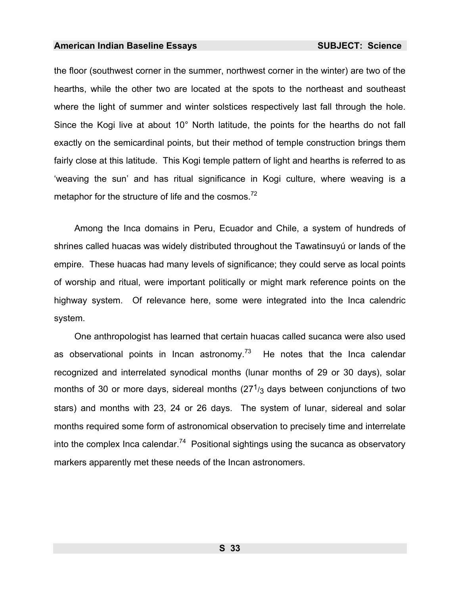the floor (southwest corner in the summer, northwest corner in the winter) are two of the hearths, while the other two are located at the spots to the northeast and southeast where the light of summer and winter solstices respectively last fall through the hole. Since the Kogi live at about 10° North latitude, the points for the hearths do not fall exactly on the semicardinal points, but their method of temple construction brings them fairly close at this latitude. This Kogi temple pattern of light and hearths is referred to as 'weaving the sun' and has ritual significance in Kogi culture, where weaving is a metaphor for the structure of life and the cosmos.<sup>72</sup>

Among the Inca domains in Peru, Ecuador and Chile, a system of hundreds of shrines called huacas was widely distributed throughout the Tawatinsuyú or lands of the empire. These huacas had many levels of significance; they could serve as local points of worship and ritual, were important politically or might mark reference points on the highway system. Of relevance here, some were integrated into the Inca calendric system.

One anthropologist has learned that certain huacas called sucanca were also used as observational points in Incan astronomy.<sup>73</sup> He notes that the Inca calendar recognized and interrelated synodical months (lunar months of 29 or 30 days), solar months of 30 or more days, sidereal months  $(27<sup>1</sup>/3)$  days between conjunctions of two stars) and months with 23, 24 or 26 days. The system of lunar, sidereal and solar months required some form of astronomical observation to precisely time and interrelate into the complex Inca calendar.<sup>74</sup> Positional sightings using the sucanca as observatory markers apparently met these needs of the Incan astronomers.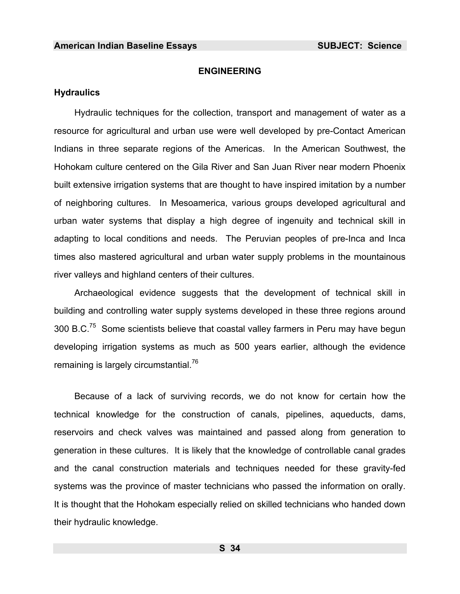# **ENGINEERING**

#### **Hydraulics**

Hydraulic techniques for the collection, transport and management of water as a resourc[e](#page-986-31) for agricultural and urban use were well developed by pre-Contact American Indians in three separate regions of the Americas. In the American Southwest, the Hohokam culture centered on the Gila River and San Juan River near modern Phoenix built extensive irrigation systems that are thought to have inspir[ed](#page-986-14) imitation by a number of neighboring cultures. In Mesoamerica, various groups developed agricultural and urban water systems that display a high degree of ingenuity and technical skill in adapting to local conditions and needs. The Peruvian peoples of pre-Inca and Inca times also mastered agricultural and urban water supply problems in the mountainous river valleys and highland centers of their cultures.

Archaeological evidence suggests that the development of technical skill in building and controlling water supply systems developed in these three regions around 300 B.C.75 Some scientists believe that coastal valley farmers in Peru may have begun developing irrigation systems as much as 500 years earlier, although the evidence remaining is largely circumstantial.<sup>76</sup>

Because of a lack of surviving records, we do not know for certain how the technical knowledge for the construction of canals, pipelines, aqueducts, dams, reservoirs and check valves was maintained and passed along from generation to generation in these cultures. It is likely that the knowledge of controllable canal grades and the canal construction materials and techniques needed for these gravity-fed systems was the province of master technicians who passed the information on orally. It is thought that the Hohokam especially relied on skilled technicians who handed down their hydraulic knowledge.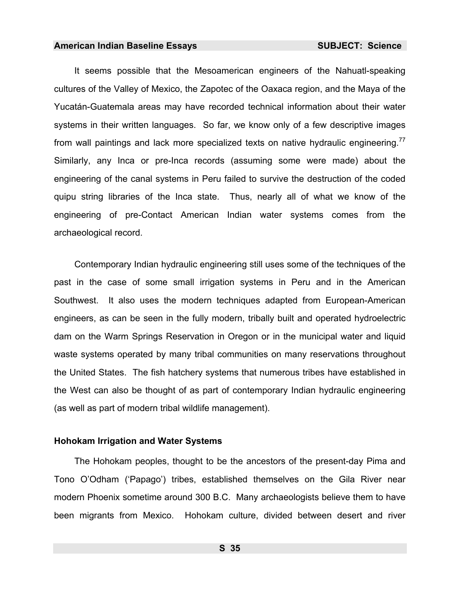It seems possible that the Mesoamerican engineers of the Nahuatl-speaking cultures of the Valley of Mexico, the Zapotec of the Oaxaca region, and the Maya of the Yucatán-Guatemala areas may have recorded technical information about their water systems in their written languages. So far, we know only of a few descriptive images from wall paintings and lack more specialized texts on native hydraulic engineering.<sup>77</sup> Similarly, any Inca or pre-Inca records (assuming some were made) about the engineering of the canal systems in Peru failed to survive the destruction of the coded quipu string libraries of the Inca state. Thus, nearly all of what we know of the engineering of pre-Contact American Indian water systems comes from the archaeological record.

Contemporary Indian hydraulic engineering still uses some of the techniques of the past in the case of some small irrigation systems in Peru and in the American Southwest. It also uses the modern techniques adapted from European-American engineers, as can be seen in the fully modern, tribally built and operated hydroelectric dam on the Warm Springs Reservation in Oregon or in the municipal water and liquid waste systems operated by many tribal communities on many reservations throughout the United States. The fish hatchery systems that numerous tribes have established in the West can also be thought of as part of contemporary Indian hydraulic engineering (as well as part of modern tribal wildlife management).

## **Hohokam Irrigation and Water Systems**

The Hohokam peoples, thought to be the ancestors of the present-day Pima and Tono O'Odham ('Papago') tribes, est[ab](#page-986-0)lished themselves on the Gila River near modern Phoenix sometime around 300 B.C. Many archaeologists believe them to have been migrants from Mexico. Hohokam culture, divided between desert and river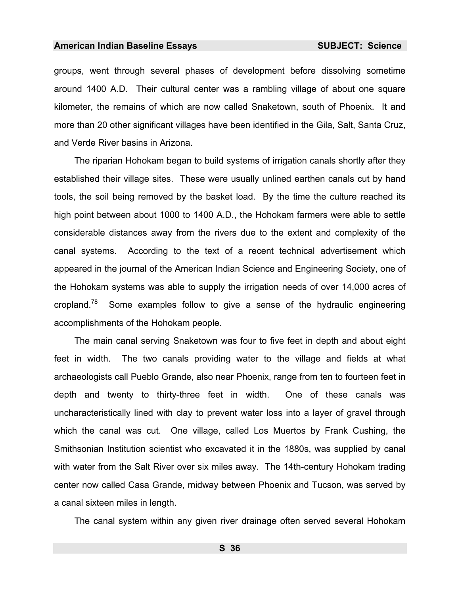groups, went through several phases of development before dissolving sometime around 1400 A.D. Their cultural center was a rambling village of about one square kilometer, the remains of which are now called Snaketown, south of Phoenix. It and more than 20 other significant villages have been identified in the Gila, Salt, Santa Cruz, and Verde River basins in Arizona.

The riparian Hohokam began to build systems of irrigation canals shortly after they established their village sites. These were usually unlined earthen canals cut by hand tools, the soil being removed by the basket load. By the time the culture reached its high point between about 1000 to 1400 A.D., the Hohokam farmers were able to settle considerable distances away from the rivers due to the extent and complexity of the canal systems. According to the text of a recent technical advertisement which appeared in the journal of the American Indian Science and Engineering Society, one of the Hohokam systems was able to supply the irrigation needs of over 14,000 acres of cropland.<sup>78</sup> Some examples follow to give a sense of the hydraulic engineering accomplishments of the Hohokam people.

The main canal serving Snaketown was four to five feet in depth and about eight feet in width. The two canals providing water to the village and fields at what archaeologists call Pueblo Grande, also near Phoenix, range from ten to fourteen feet in depth and twenty to thirty-three feet in width. One of these canals was uncharacteristically lined with clay to prevent water loss into a layer of gravel through which the canal was cut. One village, called Los Muertos by Frank Cushing, the Smithsonian Institution scientist who excavated it in the 1880s, was supplied by canal with water from the Salt River over six miles away. The 14th-century Hohokam trading center now called Casa Grande, midway between Phoenix and Tucson, was served by a canal sixteen miles in length.

The canal system within any given river drainage often served several Hohokam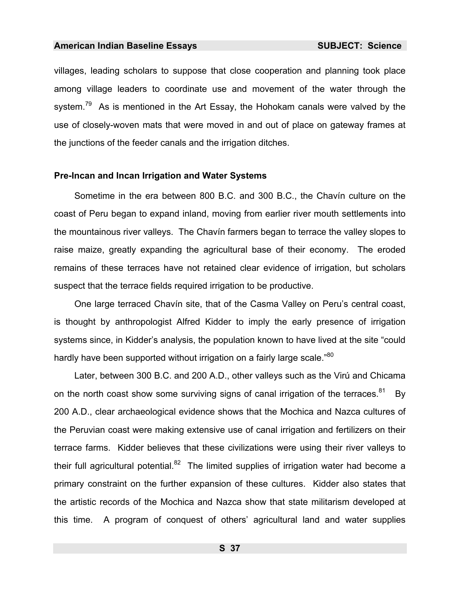villages, leading scholars to suppose that close cooperation and planning took place among village leaders to coordinate use and movement of the water through the system.<sup>79</sup> As is mentioned in the Art Essay, the Hohokam canals were valved by the use of closely-woven mats that were moved in and out of place on gateway frames at the junctions of the feeder canals and the irrigation ditches.

#### **Pre-Incan and Incan Irrigation and [Wat](#page-986-2)er Systems**

Sometime in the era between 800 B.C. and 300 B.C., the Chavín culture on the coast of Peru began to expand inland, moving from earlier river mouth settlements into the mountainous river valleys. The Chavín farmers began to terrace the valley slopes to raise maize, greatly expanding the agricultural base of their economy. The eroded remains of these terraces have not retained clear evidence of irrigation, but scholars suspect that the terrace fields required irrigation to be productive.

One large terraced Chavín site, that of the Casma Valley on Peru's central coast, is thought by anthropologist Alfred Kidder to imply the early presence of irrigation systems since, in Kidder's analysis, the population known to have lived at the site "could hardly have been supported without irrigation on a fairly large scale."<sup>80</sup>

Later, between 300 B.C. and 200 A.D., other valleys such as the Virú and Chicama on the north coast show some surviving signs of canal irrigation of the terraces.<sup>81</sup> By 200 A.D., clear archaeological evidence shows that the Mochica and Nazca cultures of the Peruvian coast were making extensive use of canal irrigation and fertilizers on their terrace farms. Kidder believes that these civilizations were using their river valleys to their full agricultural potential. $82$  The limited supplies of irrigation water had become a primary constraint on the further expansion of these cultures. Kidder also states that the artistic records of the Mochica and Nazca show that state militarism developed at this time. A program of conquest of others' agricultural land and water supplies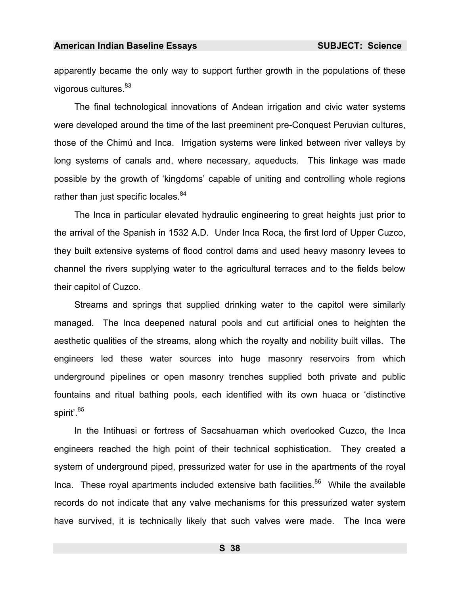apparently became the only way to support further growth in the populations of these vigorous cultures. 83

The final technological innovations of Andean irrigation and civic water systems were developed around the time of the last preeminent pre-Conquest Peruvian cultures, those of the Chimú and Inca. Irrigation systems were linked between river valleys by long systems of canals and, where necessary, aqueducts. This linkage was made possible by the growth of 'kingdoms' capable of uniting and controlling whole regions rather than just specific locales.<sup>84</sup>

The Inca in particular elevated hydraulic engineering to great heights just prior to the arrival of the Spanish in 1532 A.D. Under Inca Roca, the first lord of Upper Cuzco, they built extensive systems of flood control dams and used heavy masonry levees to channel the rivers supplying water to the agricultural terraces and to the fields below their capitol of Cuzco.

Streams and springs that supplied drinking water to the capitol were similarly managed. The Inca deepened natural pools and cut artificial ones to heighten the aesthetic qual[itie](#page-986-3)s of the streams, along which the royalty and nobility built villas. The engineers led these water sources into huge masonry reservoirs from which underground pipelines or open masonry trenches supplied both private and public fountains and ritual bathing pools, each identified with its own huaca or 'distinctive spirit'.<sup>85</sup>

In the Intihuasi or fortress of [S](#page-986-4)acsahuaman which overlooked Cuzco, the Inca engineers reached the high point of their technical sophistication. They created a system of underground piped, pressurized water for use in the apartments of the royal Inca. These royal apartments included extensive bath facilities. $86$  While the available records do not indicate that any valve mechanisms for this pressurized water system have survived, it is technically likely that such valves were made. The Inca were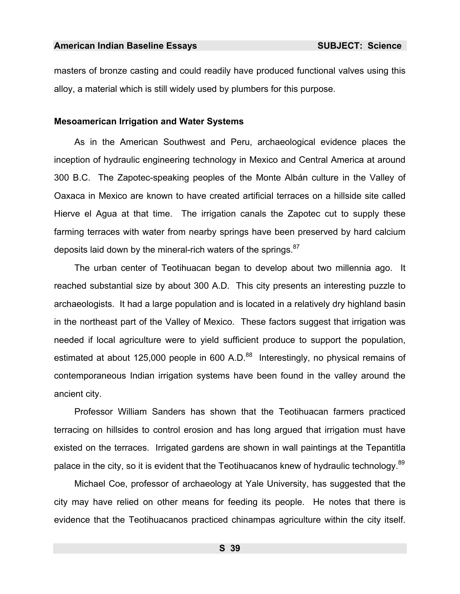masters of bronze casting and could readily have produced functional valves using this alloy, a material which is still widely used by plumbers for this purpose.

### **Mesoamerican Irrigation and Water Systems**

As in the American Southwest and Peru, archaeological evidence places the inception of hydraulic engineering technology in Mexico and Central America at around 300 B.C. The Zapotec-speaking peoples of the Monte Albán culture in the Valley of Oaxaca in Mexico are known to have created artificial terraces on a hillside site called Hierve el Agua at that time. The irrigation canals the Zapotec cut to supply these farming terraces with water from nearby springs have been preserved by hard calcium deposits laid down by the mineral-rich waters of the springs.<sup>87</sup>

The urban center of Teotihuacan began to develop about two millennia ago. It reached substantial size by about 300 A.D. This city presents an interesting puzzle to archaeologists. It had a large population and is located in a relatively dry highland basin in the northeast part of the Valley of Mexico. These factors suggest that irrigation was needed if local agriculture were to yield sufficient produce to support the population, estimated at about 125,000 people in 600 A.D.<sup>88</sup> Interestingly, no physical remains of contemp[ora](#page-986-5)neous Indian irrigation systems have been found in the valley around the ancient city.

Professor William Sanders has shown that the Teotihu[aca](#page-986-6)n farmers practiced terracing on hillsides to control erosion and has long argued that irrigation must have existed on the terraces. Irrigated gardens are shown in wall paintings at the Tepantitla palace in the city, so it is evident that the Teotihuacanos knew of hydraulic technology.<sup>89</sup>

Michael Coe, professor of archaeology at Yale University, has suggested that the city may have relied on other means for feeding its people. He notes that there is evidence that the Teotihuacanos practiced chinampas agriculture within the city itself.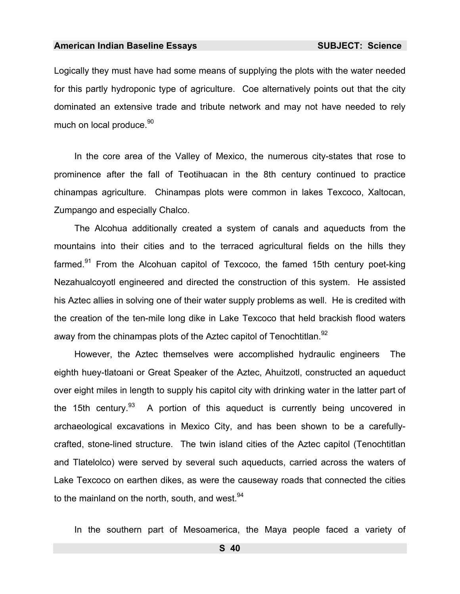Logically they must have had some means of supplying the plots with the water needed for this partly hydroponic type of agriculture. Coe alternatively points out that the city dominated an extensive trade and tribute network and may not have needed to rely much on local produce.<sup>90</sup>

In the core area of the Valley of Mexico, the numerous city-states that rose to prominence after the fall of Teotihuacan in the 8th century continued to practice chinampas agriculture. Chinampas plots were common in lakes Texcoco, Xaltocan, Zumpango and especially Chalco.

The Alcohua additionally created a system of canals and aqueducts from the mountains into their cities and to the terraced agricultural fields on the hills th[ey](#page-986-7)  farmed.<sup>91</sup> From the Alcohuan capitol of Texcoco, the famed 15th century poet-king Nezahualcoyotl engineered and directed the construction of this system. He assisted his Aztec allies in solving one of their water supply problems as well. He is credited with the creation of the ten-mile long dike in Lake Texcoco that held brackish flood waters away from the chinampas plots of the Aztec capitol of Tenochtitlan.<sup>92</sup>

However, the Aztec themselves were accomplished hydraulic engineers The eighth huey-tlatoani or Great Speaker of the Aztec, Ahuitzotl, constructed an aqueduct over eight miles in length to supply his capitol city with drinking water in the latter part of the 15th century.  $93$  A portion of this aqueduct is currently being uncovered in archaeological excavations in Mexico City, and has been shown to be a carefullycrafted, stone-lined structure. The twin island cities of the Aztec capitol (Tenochtitlan and Tlatelolco) were served by several such aqueducts, carried across the waters of Lake Texcoco on earthen dikes, as were the causeway roads that connected the cities to the mainland on the north, south, and west.<sup>94</sup>

In the southern part of Mesoamerica, the Maya people faced a variety of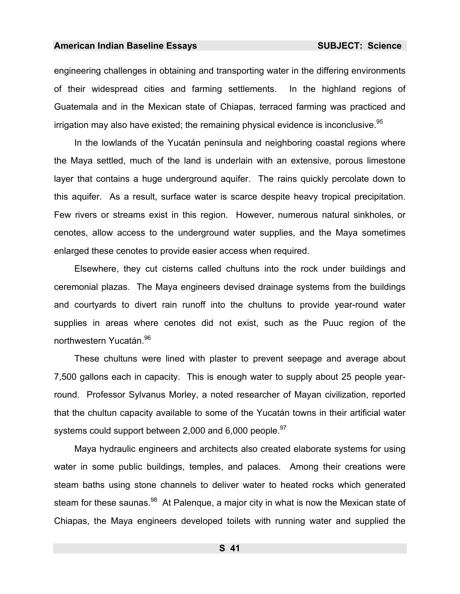engineering challenges in obtaining and transporting water in the differing environments of their widespread cities and farming settlements. In the highland regions of Guatemala and in the Mexican state of Chiapas, terraced farming was practiced and irrigation may also have existed; the remaining physical evidence is inconclusive.  $95$ 

In the lowlands of the Yucatán peninsula and neighboring coastal regions where the Maya settled, much of the land is underlain with an extensive, porous limestone layer that contains a huge underground aquifer. The rains quickly percolate down to this aquifer. As a result, surface water is scarce despite heavy tropical precipitation. Few rivers or streams exist in this region. However, numerous natural sinkholes, or cenotes, allow access to the underground water supplies, and the Maya sometimes enlarged these cenotes to provide easier access when required.

Elsewhere, they cut cisterns called chultuns into the rock under buildings and ceremonial plazas. The Maya engineers devised drainage systems from the buildings and courtyards to divert rain runoff into the chultuns to provide year-round water supplies in areas where cenotes did not exist, such as the Puuc region of the northwestern Yucatán.<sup>96</sup>

These chultuns were lined with plaster to prevent seepage and average about 7,500 gallons each in capacity. This is enough water to supply about 25 people yearround. Professor Sylvanus Morley, a noted researcher of Mayan civilization, reported that the chultun capacity available to some of the Yucatán towns in their artificial water systems could support between 2,000 and 6,000 people.  $97$ 

Maya hydraulic engineers and architects also created elaborate systems for using water in some public buildings, temples, and palaces. Among their creations were steam baths using stone channels to deliver water to heated rocks which generated steam for these saunas.<sup>98</sup> At Palengue, a major city in what is now the Mexican state of Chiapas, the Maya engineers developed toilets with running water and supplied the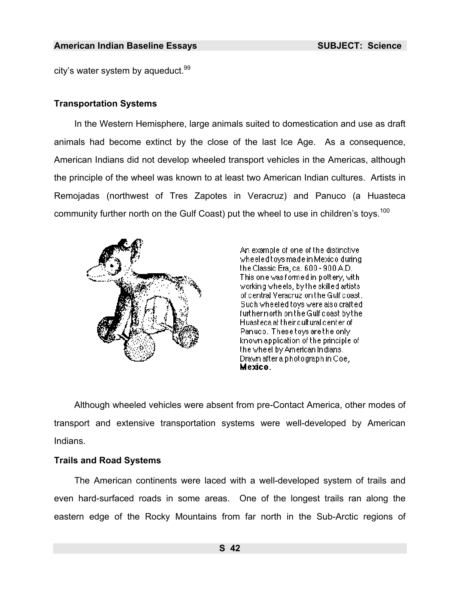city's water system by aqueduct.  $99$ 

## **Transportation Systems**

In the Western Hemisphere, large animals suited to domestication and use as draft animals had become extinct by the close of the last Ice Age. As a consequence, American Indians did not develop wheeled transport vehicles in the Americas, although the principle of the wheel was known to at least two American Indian cultures. Artists in Remojadas (northwest of Tres Zapotes in Veracruz) and Panuco (a Huasteca community further north on the Gulf Coast) put the wheel to use in children's toys.<sup>100</sup>



An example of one of the distinctive . wheeled toys made in Mexico during. the Classic Era, ca. 600 - 900 A.D. This one was formed in pottery, with working wheels, by the skilled artists of dentral Veracruz on the Gulf doast. Such wheeled toys were also crafted. further north on the Gulf coast by the I Huasteca at their cultural center of Panuco. These toys are the onlyknown application of the principle of the wheel by American Indians. Drawn after a photograph in Coe, I Mexico.

Although wheeled vehicles were absent from pre-Contact America, other modes of transport and extensive transportation systems were well-developed by American Indians.

# **Trails and Road Systems**

The American continents were laced with a well-developed system of trails and even hard-surfaced roads in some areas. One of the longest trails ran along the eastern edge of the Rocky Mountains from far north in the Sub-Arctic regions of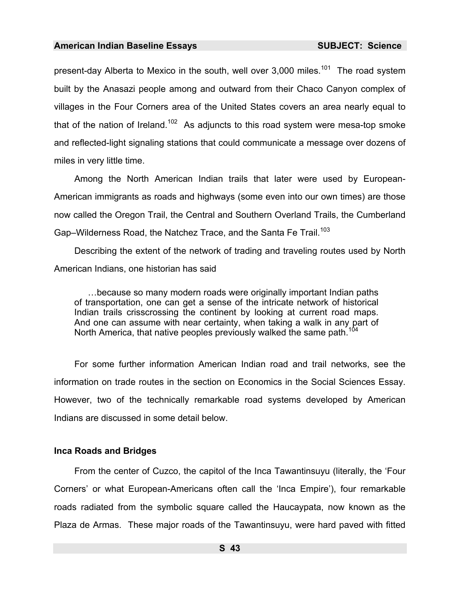present-day Alberta to Mexico in the south, well over 3,000 miles.<sup>101</sup> The road system built by the Anasazi people among and outward from their Chaco Canyon complex of villages in the Four Corners area of the United States covers an area nearly equal to that of the nation of Ireland.<sup>102</sup> As adjuncts to this road system were mesa-top smoke and reflected-light signaling stations that could communicate a message over dozens of miles in very little time.

Among the North American Indian trails that later were used by European-American immigrants as roads and highways (some even into our own times) are those now called the Oregon Trail, the Central and Southern Overland Trails, the Cumberland Gap–Wilderness Road, the Natchez Trace, and the Santa Fe Trail.<sup>103</sup>

Describing the extent of the network of trading and traveling routes used by North American Indians, one historian has said

…because so many modern roads were originally important Indian paths of transportation, one can get a sense of the intricate network of historical Indian trails crisscrossing the continent by looking at current road maps. And one can assume with near certainty, when taking a walk in any part of North America, that native peoples previously walked the same path.<sup>11</sup>

For [so](#page-986-8)me further information American Indian road and trail networks, see the information on trade routes in the section on Economics in the Social Sciences Essay. However, two of the technically remarkable road systems developed by American Indians are discussed in some detail below.

#### **Inca Roads and Bridg[es](#page-986-9)**

From the center of Cuzco, the capitol of the Inca Tawantinsuyu (literally, the 'Four Corners' or what European-Americans often call the 'Inca Empire'), four remarkable roads radiated from the symbolic square called the Haucaypata, now known as the Plaza de Armas. These major roads of the Tawantinsuyu, were hard paved with fitted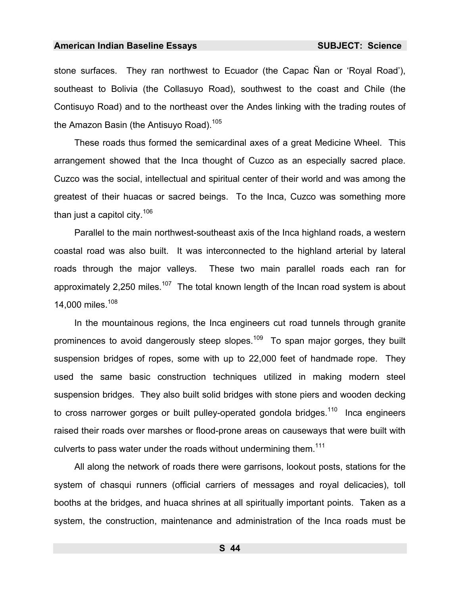stone surfaces. They ran northwest to Ecuador (the Capac Ñan or 'Royal Road'), southeast to Bolivia (the Collasuyo Road), southwest to the coast and Chile (the Contisuyo Road) and to the northeast over the Andes linking with the trading routes of the Amazon Basin (the Antisuvo Road).<sup>105</sup>

These roads thus formed the semicardinal axes of a great Medicine Wheel. This arrangement showed that the Inca thought of Cuzco as an especially sacred place. Cuzco was the social, intellectual and spiritual center of their world and was among the greatest of their huacas or sacred beings. To the Inca, Cuzco was something more than just a capitol city.<sup>106</sup>

Parallel to the main northwest-southeast axis of the Inca highland roads, a western coastal road was also built. It was interconnected to the highland arterial by lateral roads through the major valleys. These two main parallel roads each ran for approximately 2,250 miles.<sup>107</sup> The total known length of the Incan road system is about 14,000 miles.<sup>108</sup>

In the mountainous regions, the Inca engineers cut road tunnels through granite prominences to avoid dangerously steep slopes.<sup>109</sup> To span major gorges, they built suspension bridges of ropes, some with up to 22,000 feet of handmade rope. They used the same basic construction techniques utilized in making modern steel suspension bridges. They also built solid bridges with stone piers and wooden decking to cross narrower gorges or built pulley-operated gondola bridges.<sup>110</sup> Inca engineers raised their roads over marshes or flood-prone areas on causeways that were built with culverts to pass water under the roads without undermining them.<sup>111</sup>

All along the network of roads there were garrisons, lookout posts, stations for the system of chasqui runners (official carriers of messages and royal delicacies), toll booths at the bridges, and huaca shrines at all spiritually important points. Taken as a system, the construction, maintenance and administration of the Inca roads must be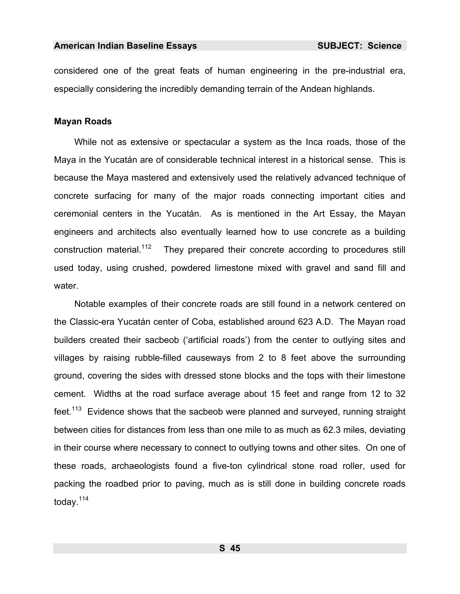considered one of the great feats of human engineering in the pre-industrial era, especially considering the incredibly demanding terrain of the Andean highlands.

## **Mayan Roads**

While not as extensive or spectacular a system as the Inca roads, those of the Maya in the Yucatán are of considerable technical interest in a historical sense. This is because the Maya mastered and extensively used the relatively advanced technique of concrete surfacing for many of the major roads connecting important cities and ceremonial centers in the Yucatán. As is mentioned in the Art Essay, the Mayan engineers and architects also eventually learned how to use concrete as a building construction material.<sup>112</sup> They prepared their concrete according to procedures still used today, using crushed, powdered limestone mixed with gravel and sand fill and water.

Notable examples of their c[onc](#page-986-10)rete roads are still found in a network centered on the Classic-era Yucatán center of Coba, established around 623 A.D. The Mayan road builders created their sacbeob ('artificial roads') from the center to outlying sites and villages by raising rubble-filled causeways from 2 to 8 feet above the surrounding ground, covering the sides with dressed stone blocks and the tops with their limestone cement. Widths at the road surface average about 15 feet and range from 12 to 32 feet.<sup>113</sup> Evidence shows that the sacbeob were planned and surveyed, running straight between cities for distances from less th[an](#page-986-11) one mile to as much as 62.3 miles, deviating in their course where necessary to connect to outlying towns and other sites. On one of these roads, archaeologists found a five-ton cylindrical stone road roller, used for packing the roadbed prior to paving, much as is still done in building concrete roads today.114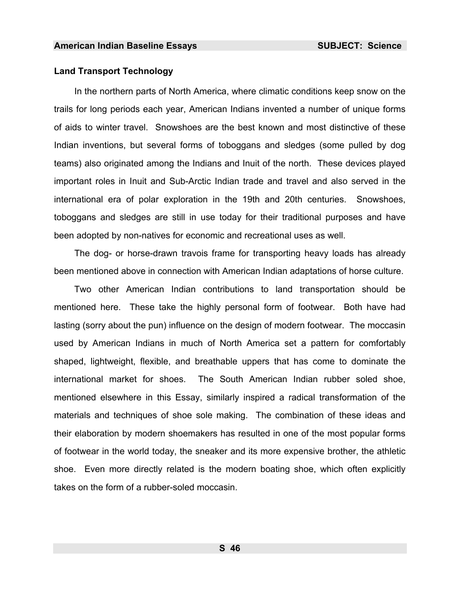## **Land Transport Technology**

In the [no](#page-986-1)rthern parts of North America, where climatic conditions keep snow on the trails for long periods each year, American Indians invented a number of unique forms of aids to winter travel. Snowshoes are the best known and most distinctive of these Indian inventions, but several forms of toboggans and sledges (some pulled by dog teams) also originated among the Indians and Inuit of the north. These devices played important roles in Inuit and Sub-Arctic Indian trade and travel and also served in the international era of polar exploration in the 19th and 20th centuries. Snowshoes, toboggans and sledges are still in use today for their traditional purposes and have been adopted by non-nativ[es](#page-986-12) for economic and recreational uses as well.

The dog- or horse-drawn travois frame for transporting heavy loads has already been mentioned above in connection with American Indian adaptations of horse culture.

Two other American Indian contributions to land transportation should be mentioned here. These take the highly personal form of footwear. Both have had lasting (sorry about the pun) influence on the design of modern footwear. The moccasin used by American Indians in much of North America set a pattern for comfortably shaped, lightweight, flexible, and breathable uppers that has come to dominate the international market for shoes. The South American Indian rubber soled shoe, mentioned elsewhere in this Essay, similarly inspired a radical transformation of the materials and techniques of shoe sole making. The [co](#page-986-13)mbination of these ideas and their elaboration by modern shoemakers has resulted in one of the most popular forms of footwear in the world today, the sneaker and its more expensive brother, the athletic shoe. Even more directly related is the modern boating shoe, which often explicitly takes on the form of a rubber-soled moccasin.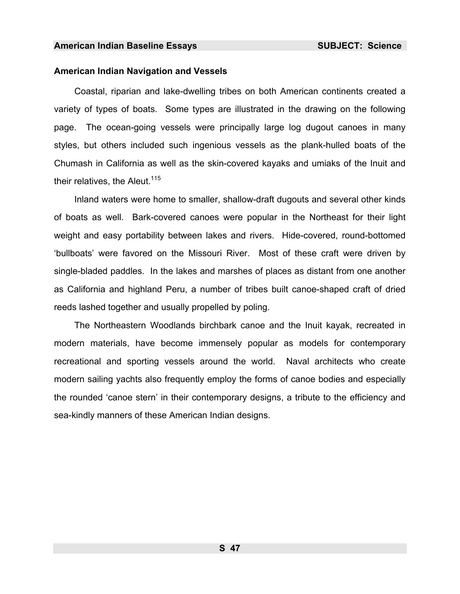## **American Indian Navigation and Vessels**

Coastal, riparian and lake-dwelling tribes on both American continents created a variety of types of boats. Some types are illustrated in the drawing on the following page. The ocean-going vessels were principally large log dugout canoes in many styles, [bu](#page-986-14)t others included such ingenious vessels as the plank-hulled boats of the Chumash in California as well as the skin-covered kayaks and umiaks of the Inuit and their relatives, the Aleut.<sup>115</sup>

Inland waters were home to smaller, shallow-draft dugouts and several other kinds of boats as well. Bark-covered canoes were popular in the Northeast for their light weight and easy portability between lakes and rivers. Hide-covered, round-bottomed 'bullboats' were favored on the Missouri River. Most of these craft were driven by single-bladed paddles. [I](#page-986-15)n the lakes and marshes of places as distant from one another as California and highland Peru, a number of tribes built canoe-shaped craft of dried reeds lashed together and usually propelled by poling.

The Northeastern Woodlands birchbark canoe and the Inuit kayak, recreated in modern materials, have become immensely popular as models for contemporary recreational and sporting vessels around the world. Naval architects who create modern sailing yachts also frequently employ the forms of canoe bodies and especially the rounded 'canoe stern' in their contemporary designs, a tribute to the efficiency and sea-kindly manners of th[es](#page-986-16)e American Indian designs.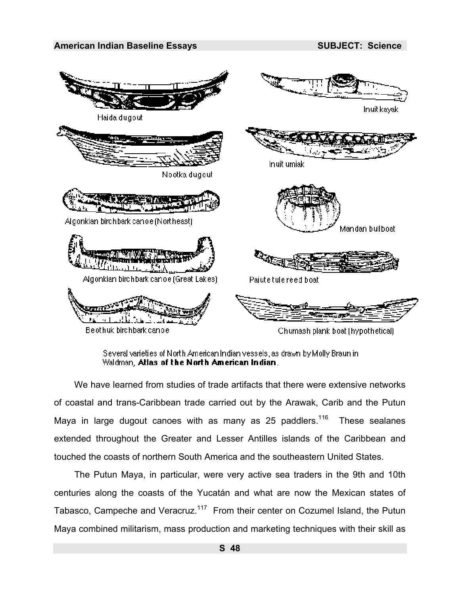

Several varieties of North American Indian vessels, as drawn by Molly Braun in Waldman, Atlas of the North American Indian.

We have learned from studies of trade artifacts that there were extensive networks of coastal and trans-Caribbean trade carried out by the Arawak, Carib and the Putun Maya in large dugout canoes with as many as 25 paddlers.<sup>116</sup> These sealanes extended thr[ou](#page-986-17)ghout the Greater and Lesser Antilles islands of the Caribbean and touched the coasts of northern South America and the southeastern United States.

The Putun Maya, in particular, were very active sea traders in the 9th and 10th centuries along the coasts of the Yucatán and what are now the Mexican states of Tabasco, Campeche and Veracruz.<sup>117</sup>From their center on Cozumel Island, the Putun Maya combined militarism, mass production and marketing techniques with their skill as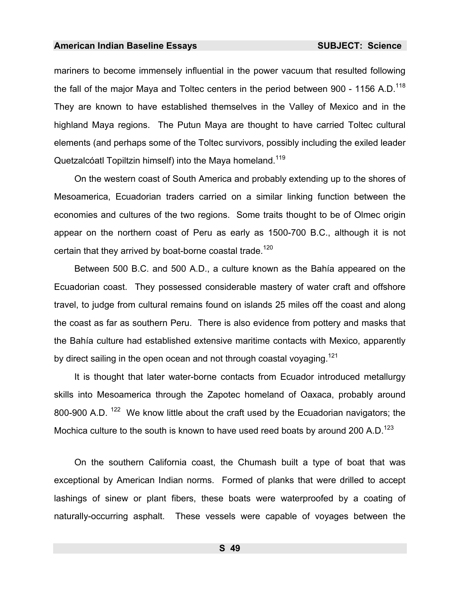mariners to become immensely influential in the power vacuum that resulted following the fall of the major Maya and Toltec centers in the period between 900 - 1156 A.D.<sup>118</sup> They are known to have established themselves in the Valley of Mexico and in the highland Maya regions. The Putun Maya are thought to have carried Toltec cultural elements (and perhaps some of the Toltec survivors, possibly including the exiled leader Quetzalcóatl Topiltzin himself) into the Maya homeland.<sup>119</sup>

On the western coast of South America and probably extending up to the shores of Mesoamerica, Ecuadorian traders carried on a similar linking function between the economies and cultures of the two regions. Some traits thought to be of Olmec origin appear on the northern coast of Peru as early as 1500-700 B.C., although it is not certain that they arrived by boat-borne coastal trade.<sup>120</sup>

Between 500 B.C. and 500 A.D., a culture known as the Bahía appeared on the Ecuadorian coast. They possessed considerable mastery of water craft and offshore travel, to judge from cultural remains found on islands 25 miles off the coast and along the coast as far as southern Peru. There is also evidence from pottery and masks that the Bahía culture had established extensive maritime contacts with Mexico, apparently by direct sailing in the open ocean and not through coastal voyaging.<sup>121</sup>

It is thought that later water-borne contacts from Ecuador introduced metallurgy skills into Mesoamerica through the Zapotec homeland of Oaxaca, probably around 800-900 A.D.  $122$  We know little about the craft used by the Ecuadorian navigators; the Mochica culture to the south is known to have used reed boats by around 200 A.D.<sup>123</sup>

On the southern California coast, the Chumash built a type of boat that was exceptional by American Indian norms. Formed of planks that were drilled to accept lashings of sinew or plant fibers, these boats w[ere](#page-986-18) waterproofed by a coating of naturally-occurring asphalt. These vessels were capable of voyages between the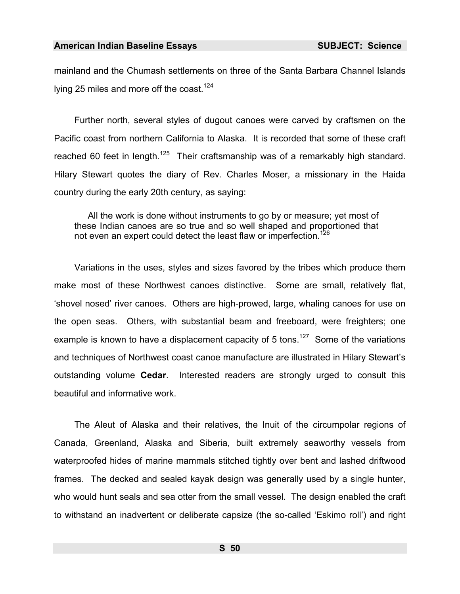mainland and the Chumash settlements on three of the Santa Barbara Channel Islands lying 25 miles and more off the coast.<sup>124</sup>

Further north, several styles of dugout canoes were carved by craftsmen on the Pacific coast from northern California to Alaska. It is recorded that some of these craft reached 60 feet in length.<sup>125</sup> Their craftsmanship was of a remarkably high standard. Hilary Stewart quotes the diary of Rev. Charles Moser, a missionary in the Haida country during the early 20th century, as saying:

All the work is done without instruments to go by or measure; yet most of these Indian canoes are so true and so well shaped and proportioned that not e[ven](#page-986-19) an expert could detect the least flaw or imperfection.<sup>126</sup>

Variations in the uses, styles and sizes favored by the tribes which produce them make most of these Northwest canoes distinctive. Some are small, relatively flat, 'shovel nosed' river canoes. Others are high-prowed, large, whaling canoes for use on the open seas. Others, with substantial beam and freeboard, were freighters; one example is known to have a displacement capacity of 5 tons.<sup>127</sup> Some of the variations and techn[iqu](#page-986-20)es of Northwest coast canoe manufacture are illustrated in Hilary Stewart's outstanding volume **Cedar**. Interested readers are strongly urged to consult this beautiful and informative work.

The Aleut of Alaska and their relatives, the Inuit of the circumpolar regions of Canada, Greenland, Alaska and Siberia, built extremely seaworthy vessels from waterproofed hides of marine mammals stitched tightly over bent and lashed driftwood frames. The decked and sealed kayak design was generally used by a single hunter, who would hunt seals and sea otter from the small vessel. The design enabled the craft to withstand an inadvertent or deliberate capsize (the so-called 'Eskimo roll') and right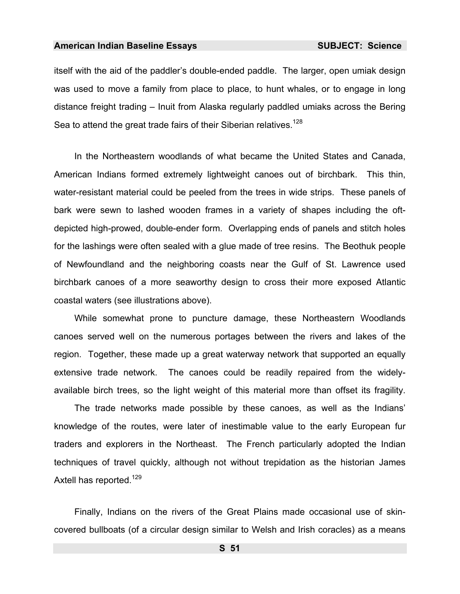itself with the aid of the paddler's double-ended paddle. The larger, open umiak design was used to move a family from place to place, to hunt whales, or to engage in long distance freight trading – Inuit from Alaska regularly paddled umiaks across the Bering Sea to attend the great trade fairs of their Siberian relatives.<sup>128</sup>

In the Northeastern woodlands of what became the United States and Canada, American Indians formed extremely lightweight canoes out of birchbark. This thin, water-[resi](#page-986-21)stant material could be peeled from the trees in wide strips. These panels of bark were sewn to lashed wooden frames in a variety of shapes including the oftdepicted high-prowed, double-ender form. Overlapping ends of panels and stitch holes for the lashings were often sealed with a glue made of tree resins. The Beothuk people of Newfoundland and the neighboring coasts near the Gulf of St. Lawrence used birchbark canoes of a more seaworthy design to cross their more expose[d A](#page-986-22)tlantic coastal waters (see illustrations above).

While somewhat prone to puncture damage, these Northeastern Woodlands canoes served well on the numerous portages between the rivers and lakes of the region. Together, these made up a great wat[erw](#page-986-23)ay network that supported an equally extensive trade network. The [can](#page-986-24)oes could be readily repaired from the widelyavailable birch trees, so the light weight of this material more than offset its fragility.

The trade networks made possible by these canoes, as well as the Indians' knowle[dge](#page-986-25) of the routes, were later of inestimable value to the early European fur traders and explorers in the Northeast. The French particularly adopted the Indian techniques of travel quickly, although not without trepidation as the historian James Axtell has reported.<sup>129</sup>

Finally, Indians on the rivers of the Great Plains made occasional use of skincovered bullboats (of a circular design similar to Welsh and Irish coracles) as a means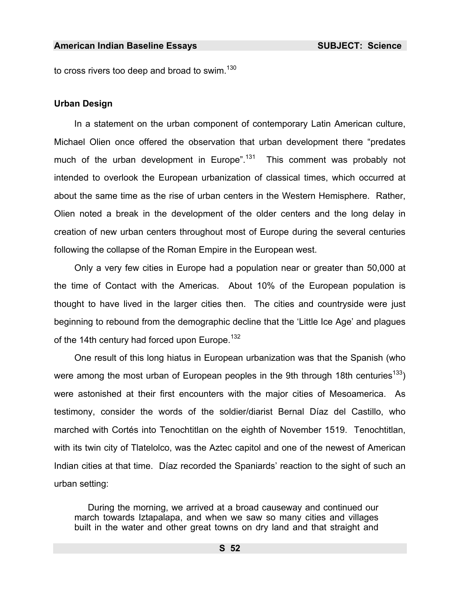to cross rivers too deep and broad to swim. $130$ 

## **Urban Design**

In a statement on the urban component of contemporary Latin American culture, Michael Olien once offered the observation that urban development there "predates much of the urban development in Europe".<sup>131</sup> This comment was probably not intended to overlook the European urbanization of classical times, which occurred at about the same time as the rise of urban centers in the Western Hemisphere. Rather, Olien noted a break in the development of the older centers and the long delay in creation of new urban centers throughout most of Europe during the several centuries following the collapse of the Roman Empire in the European west.

Only a very few cities in Europe had a population near or greater than 50,000 at the time of Contact with the Americas. About 10% of the European population is thought to have lived in the larger cities then. The cities and countryside were just beginning to rebound from the demographic decline that the 'Little Ice Age' and plagues of the 14th century had forced upon Europe.<sup>132</sup>

One result of this long hiatus in European urbanization was that the Spanish (who were among the most urban of European peoples in the 9th through 18th centuries<sup>133</sup>) were astonished at their first encounters with the major cities of Mesoamerica. As testimony, consider the words of the soldier/diarist Bernal Díaz del Castillo, who marched with Cortés into Tenochtitlan on the eighth of November 1519. Tenochtitlan, with its twin city of Tlatelolco, was the Aztec capitol and one of the newest of American Indian cities at that time. Díaz recorded the Spaniards' reaction to the sight of such an urban setting:

During the morning, we arrived at a broad causeway and continued our march towards Iztapalapa, and when we saw so many cities and villages built in the water and other great towns on dry land and that straight and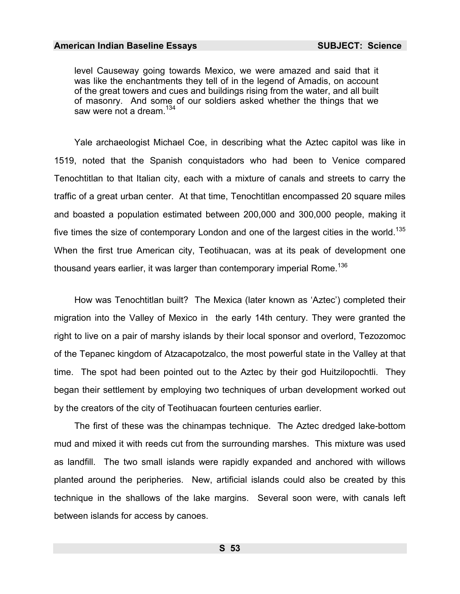level Causeway going towards Mexico, we were amazed and said that it was like the enchantments they tell of in the legend of Amadis, on account of the great towers and cues and buildings rising from the water, and all built of masonry. And some of our soldiers asked whether the things that we saw were not a dream.<sup>134</sup>

Yale archaeologist Michael Coe, in describing what the Aztec capitol was like in 1519, noted that the Spanish conquistadors who had been to Venice compared Tenochtitlan to that Italian city, each with a mixture of canals and streets to carry the traffic of a great urban center. At that time, Tenochtitlan encompassed 20 square miles and boasted a population estimated between 200,000 and 300,000 people, making it five times the size of contemporary London and one of the largest cities in the world.<sup>135</sup> When the first true American city, Teotihuacan, was at its peak of development one thousand years earlier, it was larger than contemporary imperial Rome.<sup>136</sup>

How was Tenochtitlan built? The Mexica (later known as 'Aztec') completed their migration into the Valley of Mexico in the early 14th century. They were granted the right to live on a pair of marshy islands by their local sponsor and overlord, Tezozomoc of the Tepanec kingdom of Atzacapotzalco, the most powerful state in the Valley at that time. The spot had been pointed out to the Aztec by their god Huitzilopochtli. They began their settlement by employing two techniques of urban development worked out by the creators of the city of Teotihuacan fourteen centuries earlier.

The first of these was the chinampas technique. The Aztec dredged lake-bottom mud and mixed it with reeds cut from the surrounding marshes. This mixture was used as landfill. The two small islands were rapidly expanded and anchored with willows planted around the peripheries. New, artificial islands could also be created by this technique in the shallows of the lake margins. Several soon were, with canals left between islands for access by canoes.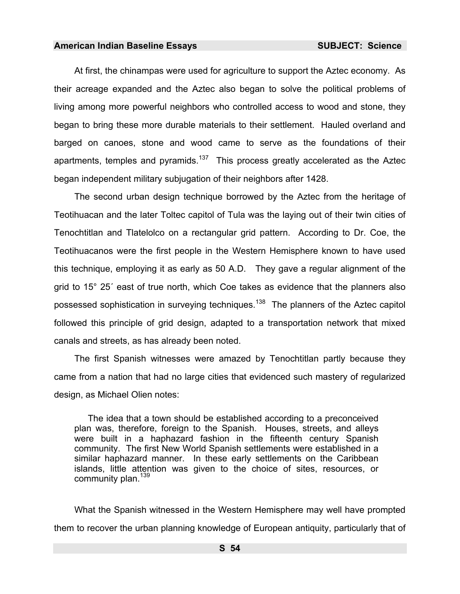At first, the chinampas were used for agriculture to support the Aztec economy. As their acreage expanded and the Aztec also began to solve the political problems of living among more powerful neighbors who controlled access to wood and stone, they began to bring these more durable materials to their settlement. Hauled overland and barged on canoes, stone and wood came to serve as the foundations of their apartments, temples and pyramids.<sup>137</sup> This process greatly accelerated as the Aztec began independent military subjugation of their neighbors after 1428.

The second urban design technique borrowed by the Aztec from the heritage of Teotihuacan and the later Toltec capitol of Tula was the laying out of their twin cities of Tenochtitlan and Tlatelolco on a rectangular grid pattern. According to Dr. Coe, the Teotihuacanos were the first people in the Western Hemisphere known to have used this technique, employing it as early as 50 A.D. They gave a regular alignment of the grid to 15° 25´ east of true north, which Coe takes as evidence that the planners also possessed sophistication in surveying techniques.<sup>138</sup> The planners of the Aztec capitol followed this principle of grid design, adapted to a transportation network that mixed canals and streets, as has already been noted.

The first Spanish witnesses were amazed by Tenochtitlan partly because they came from a nation that had no large cities that evidenced such mastery of regularized design, as Michael Olien notes:

The idea that a town should be established according to a preconceived plan was, therefore, foreign to the Spanish. Houses, streets, and alleys were built in a haphazard fashion in the fifteenth century Spanish community. The first New World Spanish settlements were established in a similar haphazard manner. In these early settlements on the Caribbean islands, little attention was given to the choice of sites, resources, or community plan.<sup>139</sup>

What the Spanish witnessed in the Western Hemisphere may well have prompted them to recover the urban planning knowledge of European antiquity, particularly that of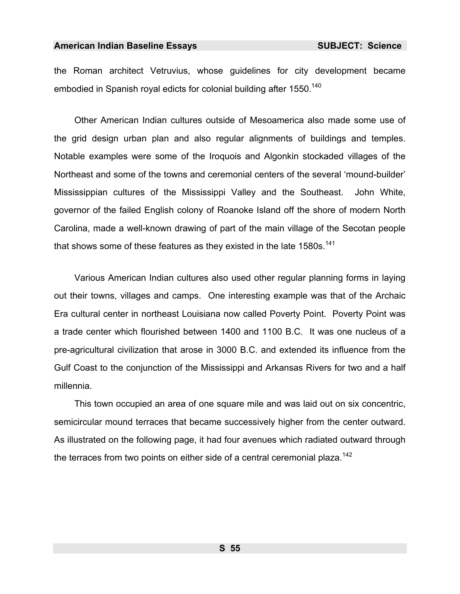the Roman architect Vetruvius, whose guidelines for city development became embodied in Spanish royal edicts for colonial building after 1550.<sup>140</sup>

Other American Indian cultures outside of Mesoamerica also made some use of the grid design urban plan and also regular alignments of buildings and temples. Notable examples were some of the Iroquois and Algonkin stockaded villages of the Northeast and some of the towns and ceremonial centers of the several 'mound-builder' Mississippian cultures of the Mississippi Valley and the Southeast. John White, governor of the failed English colony of Roanoke Island off the shore of modern North Carolina, made a well-known drawing of part of the main village of the Secotan people that shows some of these features as they existed in the late  $1580s$ .<sup>141</sup>

Various American Indian cultures also used other regular planning forms in laying out their towns, villages and camps. One interesting example was that of the Archaic Era cultural center in northeast Louisiana now called Poverty Point. Poverty Point was a trade center which flourished between 1400 and 1100 B.C. It was one nucleus of a pre-agricultural civilization that arose in 3000 B.C. and extended its influence from the Gulf Coast to the conjunction of the Mississippi and Arkansas Rivers for two and a half millennia.

This town occupied an area of one square mile and was laid out on six concentric, semicircular mound terraces that became successively higher from the center outward. As illustrated on the following page, it had four avenues which radiated outward through the terraces from two points on either side of a central ceremonial plaza.<sup>142</sup>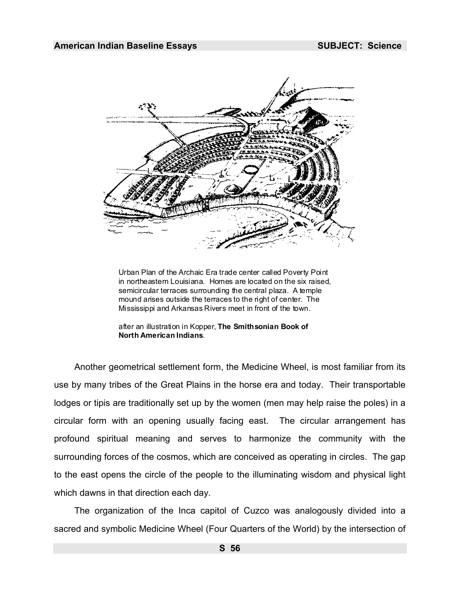

Urban Plan of the Archaic Era trade center called Poverty Point in northeastern Louisiana. Homes are located on the six raised, semicircular terraces surrounding the central plaza. A temple mound arises outside the terraces to the right of center. The Mississippi and Arkansas Rivers meet in front of the town.

after an illustration in Kopper, **The Smithsonian Book of North American Indians**.

Another geometrical settlement form, the Medicine Wheel, is most familiar from its use by many tribes of the Great Plains in the horse era and today. The[ir tr](#page-986-26)ansportable lodges or tipis are traditionally set up by the women (men may help raise the poles) in a circular form with an opening usually facing east. The circular arrangement has profound spiritual meaning and serves to harmonize the community with the surrounding forces of the cosmos, which are conceived as operating in circles. The gap to the east opens the circle of the people to the illuminating wisdom and physical light which dawns in that direction each day.

The organization of the Inca capitol of Cuzco was analogously divided into a sacred and symbolic Medicine Wheel (Four Quarters of the World) by the intersection of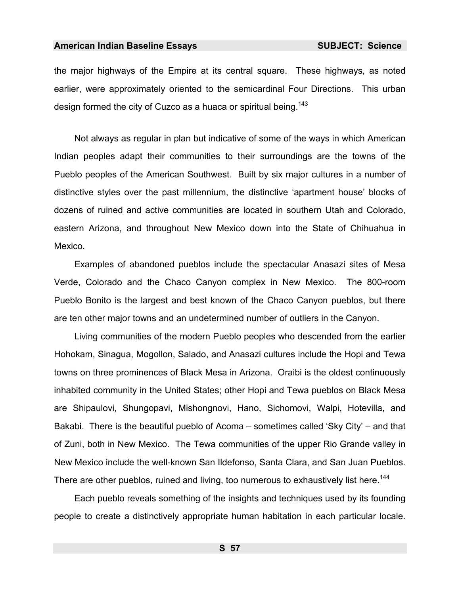the major highways of the Empire at its central square. These highways, as noted earlier, were approximately oriented to the semicardinal Four Directions. This urban design formed the city of Cuzco as a huaca or spiritual being.<sup>143</sup>

Not always as regular in plan but indicative of some of the ways in which American Indian peoples adapt their communities to their surroundings [are](#page-986-14) the towns of the Pueblo peoples of the American Southwest. Built by six major cultures in a number of distinctive styles over the past millennium, the distinctive 'apartment house' blocks of dozens of ruined and active communities are located in southern Ut[ah](#page-986-27) and Colorado, eastern Arizona, and throughout New Mexico down into the State of Chihuahua in Mexico.

[Ex](#page-986-22)amples of abandoned pueblos include the spectacular Anasazi sites of Mesa Verde, Colorado and the Chaco Canyon complex in New Mexico. The 800-room Pueblo Bonito is the largest and best known of the Chaco Canyon pueblos, but there are ten other major towns and an undetermined number of outliers in the Canyon.

Living communities of the modern Pueblo peoples who descended from the earlier Hohokam, Sinagua, Mogollon, Salado, and Anasazi cultures include the Hopi and Tewa towns on three prominences of Black Mesa in Arizona. Oraibi is the oldest continuously inhabited community in the United States; other Hopi and Tewa pueblos on Black Mesa are Shipaulovi, Shungopavi, Mishongnovi, Hano, Sichomovi, Walpi, Hotevilla, and Bakabi. There is the beautiful pueblo of Acoma – sometimes called 'Sky City' – and that of Zuni, both in New Mexico. The Tewa communities of the upper Rio Grande valley in New Mexico include the well-known San Ildefonso, Santa Clara, and San Juan [Pu](#page-986-28)eblos. There are other pueblos, ruined and living, too numerous to exhaustively list here.<sup>144</sup>

Each pueblo reveals something of the insights and techniques used by its founding people to create a distinctively appropriate human habitation in each particular locale.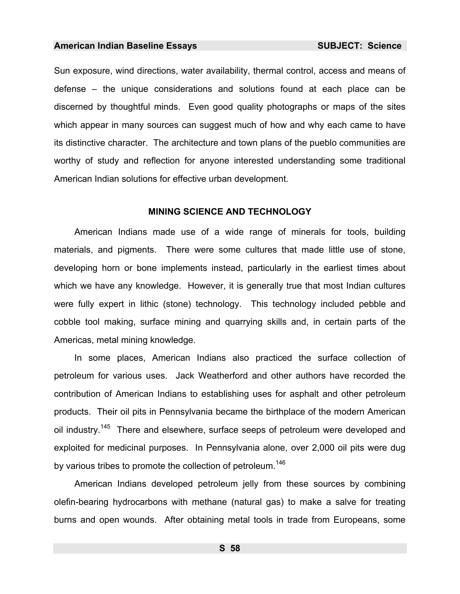Sun exposure, wind directions, water availability, thermal control, access and means of defense – the unique considerations and solutions found at each place can be discerned by thoughtful minds. Even good quality photographs [or](#page-986-29) maps of the sites which appear in many sources can suggest much of how and why each came to have its distinctive character. The architecture and town plans of the pueblo communities are worthy of study and reflection for anyone interested understanding some traditional American Indian solutions for effective urban development.

### **MINING SCIENCE AND TECHNOLOGY**

American Indians made use of a wide range of minerals for tools, building materials, and pigments. There were some cultures that made little use of stone, developing horn or bone implements instead, particularly in the earliest times about which we have any knowledge. However, it is generally true that most Indian cultures were fully expert in lithic (stone) technology. This technology included pebble and cobble tool making, surface mining and quarrying skills and, in certain parts of the Americas, metal mining knowledge.

In some places, American Indians also practiced the surface collection of petroleum for various uses. Jack Weatherford and other authors have recorded the contribution of American Indians to establishing uses for asphalt and other petroleum products. Their oil pits in Pennsylvania became the birthplace of the modern American oil industry.<sup>145</sup> There and elsewhere, surface seeps of petroleum were developed and exploited for medicinal purposes. In Pennsylvania alone, over 2,000 oil pits were dug by various tribes to promote the collection of petroleum.<sup>146</sup>

American Indians developed petroleum jelly from these sources by com[binin](#page-986-30)g olefin-bearing hydrocarbons with methane (natural gas) to make a salve for treating burns and open wounds. After obtaining metal tools in trade from Europeans, some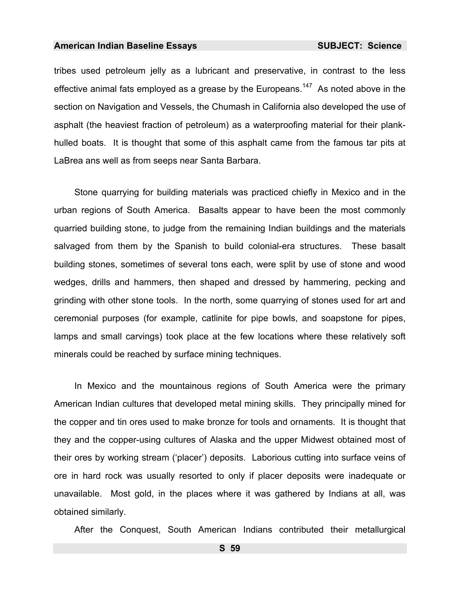tribes used petroleum jelly as a lubricant and preservative, in contrast to the less effective animal fats employed as a grease by the Europeans.<sup>147</sup> As noted above in the section on Navigation and Vessels, the Chumash in California also developed the use of asphalt (the heaviest fraction of petroleum) as a waterproofing material for their plankhulled boats. It is thought that some of this asphalt came from the famous tar pits at LaBrea ans well as from seeps near Santa Barbara.

Stone quarrying for building materials was practiced chiefly in Mexico and in the urban regions of South America. Basalts appear to have been the most commonly quarried building stone, to judge from the remaining Indian buildings and the materials salvaged from them by the Spanish to build colonial-era structures. These basalt building stones, sometimes of several tons each, were split by use of stone and wood wedges, drills and hammers, then shaped and dressed by hammering, pecking and grinding with other stone tools. In the north, some quarrying of stones used for art and ceremonial purposes (for example, catlinite for pipe bowls, and soapstone for pipes, lamps and small carvings) took place at the few locations where these relatively soft minerals could be reached by surface mining techniques.

In Mexico and the mountainous regions of South America were the primary American Indian cultures that developed metal minin[g sk](#page-986-31)ills. They principally mined for the copper and tin ores used to make bronze for tools and ornaments. It is thought that they and the copper-using cultures of Alaska and the upper Midwest obtained most of their ores by working stream ('placer') deposits. Laborious cutting into surface veins of ore in hard rock was usually resorted to only if placer deposits were inadequat[e o](#page-986-0)r unavailable. Most gold, in the places where it was gathered by Indians at all, was obtained similarly.

After the Conquest, South American Indians contributed their metallurgical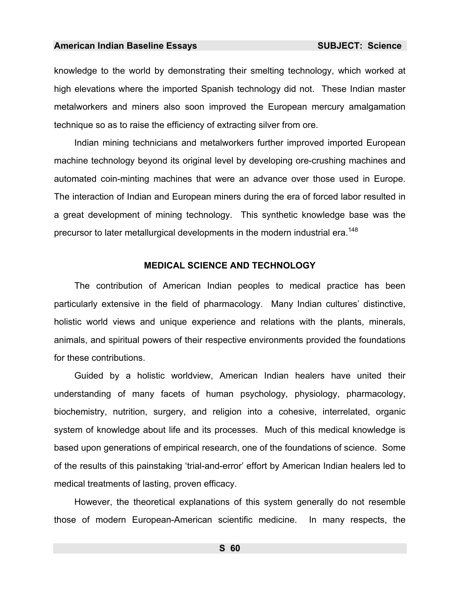knowledge to the world by demonstrating their smelting technology, which worked at high elevations where the imported Spanish technology did not. These Indian master metalworkers and miners also soon improved the European mercury amalgamation technique so as to raise the efficiency of extracting silver from ore.

Indian mining technicians and metalworkers further improved imported European machine technology beyond its original level by developing ore-crushing machines and automated coin-minting machines that were an advance over those used in Europe. The interaction of Indian and European miners during the era of forced labor resulted in a great development of mining technology. This synthetic knowledge base was the precursor to later metallurgical developments in the modern industrial era.<sup>148</sup>

### **MEDICAL SCIENCE AND TECHNOLOGY**

The contribution of American Indian peoples to medical practice has been particularly extensive in the field of pharmacology. Many Indian cultures' distinctive, holistic world views and unique experien[ce a](#page-986-32)nd relations with the plants, minerals, animals, and spiritual powers of their respective environments provided the foundations for these contributions.

Guided by a holistic worldview, American Indian healers have united their understanding of many facets of human psychology, physiology, pharmacology, biochemistry, nutrition, surgery, and religion into a cohesive, interrelated, organic system of knowledge about life and its processes. Much of this medical knowledge is based upon generations of empirical research, one of the foundations of science. Some of the results of this painstaking 'trial-and-error' effort by American Indian healers led to medical treatments of lasting, proven efficacy.

However, the theoretical explanations of this system generally do not resemble those of modern European-American scientific medicine. In many respects, the

**S 60**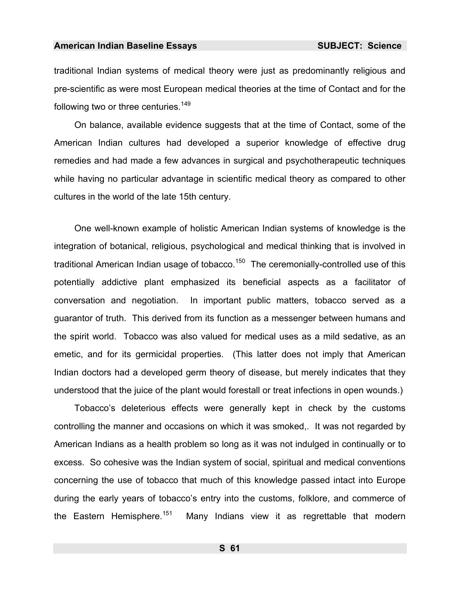traditional Indian systems of medical theory were just as predominantly religious and pre-scientific as were most European medical theories at the time of Contact and for the following two or three centuries.<sup>149</sup>

On balance, available evidence suggests that at the ti[me o](#page-986-33)f Contact, some of the American Indian cultures had developed a superior knowledge of effective drug remedies and had made a few advances in surgical and psychotherapeutic techniques while having no particular advantage in scientific medical theory as compared to other cultures in the world of the late 15th century.

One well-known example of holistic American Indian systems of knowledge is the integration of botanical, religi[ous,](#page-986-34) psychological and medical thinking that is involved in traditional American Indian usage of tobacco.<sup>150</sup> The ceremonially-controlled use of this potentially addictive plant emphasize[d i](#page-986-35)ts beneficial aspects as a facilitator of conversation and negotiation. In important public matters, tobacco served as a guarantor of truth. This derived from its function as a messenger between humans and the spirit world. Tobacco was also valued for medical uses as a mild sedative, as an emetic, and for its germicidal properties. (This latter does not imply that American Indian doctors had a developed germ theory of disease, but merely indicates that they understood that the juice of the plant would forestall or treat infections in open wounds.)

Tobacco's deleterious effects were generally kept in check by the customs controlling the manner and occasions on which it was smoked,. It was not regarded by American Indians as a health problem so long as it was not indulged in continually or to excess. So cohesive was the Indian system of social, spiritual and medical conventions concerning the use of tobacco that much of this knowledge passed intact into Europe during the early years of tobacco's entry into the customs, folklore, and commerce of the Eastern Hemisphere.<sup>151</sup> Many Indians view it as regrettable that modern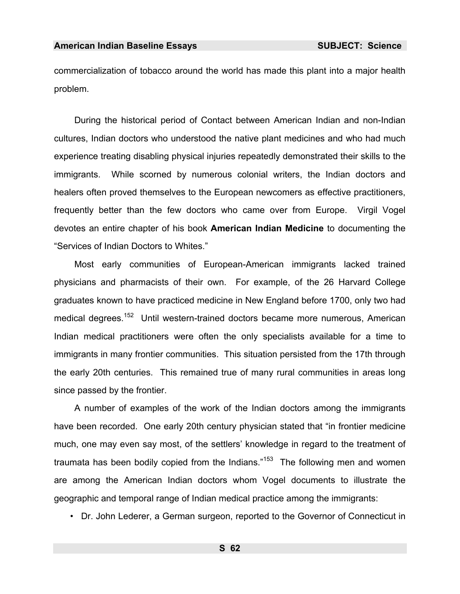commercialization of tobacco around the world has made this plant into a major health problem.

During the historical period of Contact between American Indian and non-Indian cultures, Indian doctors who understood the native plant medicines and who had much experience treating disabling physical injuries repeatedly demonstrated their skills to the immigrants. While scorned by numerous colonial writers, the Indian doctors and healers often proved themselves to the European newcomers as effective practitioners, frequently better than the few doctors who came over from Europe. Virgil Vogel devotes [an e](#page-986-36)ntire chapter of his book **American Indian Medicine** to documenting the "Services of Indian Doctors to Whites."

Most early communities of European-American immigrants lacked trained physicians and pharmacists of their own. For example, of the 26 Harvard College graduates known to have practiced medicine in New England before 1700, only two had medical degrees.<sup>152</sup> Until western-trained doctors became more numerous, American Indian medical practitioners were often the only specialists available for a time to immigrants in many frontier communities. This situation persisted from the 17th through the early 20th centuries. This remained true of many rural communities in areas long since passed by the frontier.

A number of examples of the work [of](#page-986-26) the Indian doctors among the immigrants have been recorded. One early 20th century physician stated that "in frontier medicine much, one may even say most, of the settlers' knowledge in regard to the treatment of traumata has been bodily copied from the Indians."<sup>153</sup> The following men and women are among the American Indian doctors whom Vogel documents to illustrate the geographic and temporal range of Indian medical practice among the immigrants:

• Dr. John Lederer, a German surgeon, reported to the Governor of Connecticut in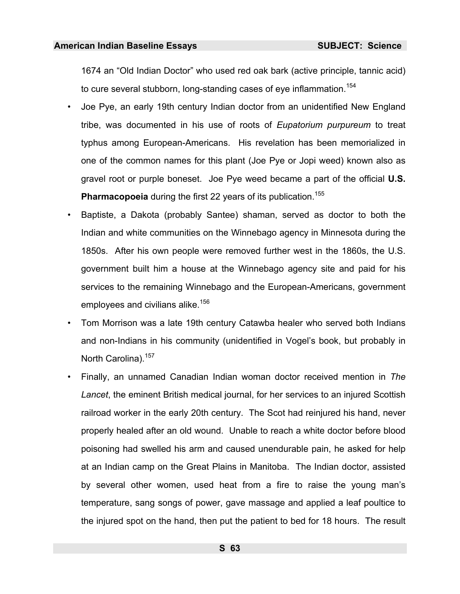1674 an "Old Indian Doctor" who used red oak bark (active principle, tannic acid) to cure several stubborn, long-standing cases of eye inflammation.<sup>154</sup>

- Joe Pye, an early 19th century Indian doctor from an unidentified New England tribe, was documented in his use of roots of *Eupatorium purpureum* to treat typhus among European-A[mer](#page-986-37)icans. His revelation has been memorialized in one of the common names for this plant (Joe Pye or Jopi weed) known also as gravel root or purple boneset. Joe Pye weed became a part of the official **U.S. Pharmacopoeia** during the first 22 years of its publication.<sup>155</sup>
- Baptiste, a Dakota (probably Santee) shaman, served as doctor to both the [In](#page-986-38)dian and white communities on the Winnebago agency in Minnesota during the 1850s. After his own people were removed further west in the 1860s, the U.S. government built him a house at the Winnebago agency site and paid for his services to the remaining Winnebago and the European-Americans, government employees and civilians alike.<sup>156</sup>
- Tom Morrison was a late 19th century Catawba healer who served both Indians and non-Indians in his community (unidentified in Vogel's book, but probably in North Carolina).<sup>157</sup>
- Finally, an unnamed Canadian Indian woman doctor received mention in *The Lancet*, the eminent British medical journal, for her services to an injured Scottish railroad worker in the early 20th century. The Scot had reinjured his hand, never properly healed after an old wound. Unable to reach a white doctor b[efo](#page-986-39)re blood poisoning had swelled his arm and caused unendurable pain, he asked for help at an Indian camp on the Great Plains in Manitoba. The Indian doctor, assisted by several other women, used heat from a fire to raise the young man's temperature, sang songs of power, gave massage and applied a leaf poultice to the injured spot on the hand, then put the patient to bed for 18 hours. The result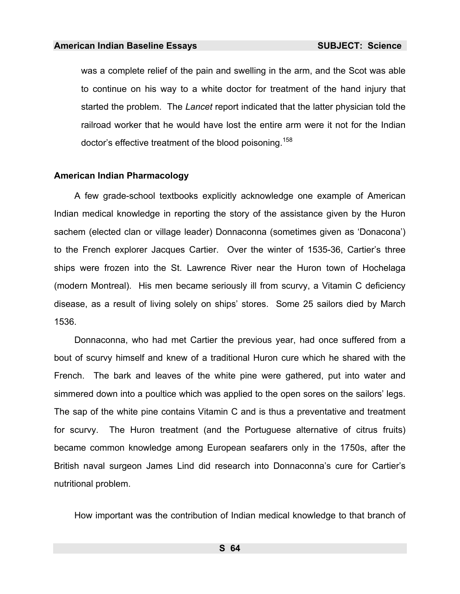was a complete relief of the pain and swelling in the arm, and the Scot was able to continue on his way to a white doctor for treatment of the hand injury that started the problem. The *Lancet* report indicated that the latter physician told the railroad worker that he would have lost the entire arm were it not for the Indian doctor's effective treatment of the blood poisoning.<sup>158</sup>

## **American Indian Pharmacology**

A few grade-school textbooks explicitly acknowledge one example of American Indian medical knowledge in reporting the story of the assistance given by the Huron sachem (elected clan or village leader) Donnaconna (sometimes given as 'Donacona') to the French explorer Jacques Cartier. Over the winter of 1535-36, Cartier's three ships were frozen into the St. Lawrence River near the Huron town of Hochelaga (modern Montreal). His men became seriously ill from scurvy, a Vitamin C deficiency disease, as a result of living solely on ships' stores. Some 25 sailors died by March 1536.

Donnaconna, who had met Cartier the previous year, had once suffered from a bout of scurvy himself and knew of a traditional Huron cure which he shared with the French. The bark and leaves of the white pine were gathered, put into water and simmered down into a poultice which was applied to the open sores on the sailors' legs. The sap of the white pine contains Vitamin C and is thus a preventative and treatment for scurvy. The Huron treatment (and the Portuguese alternative of citrus fruits) became common knowledge among European seafarers only in the 1750s, after the British naval surgeon James Lind did research into Donnaconna's cure for Cartier's nutritional problem.

How important was the contribution of Indian medical knowledge to that branch of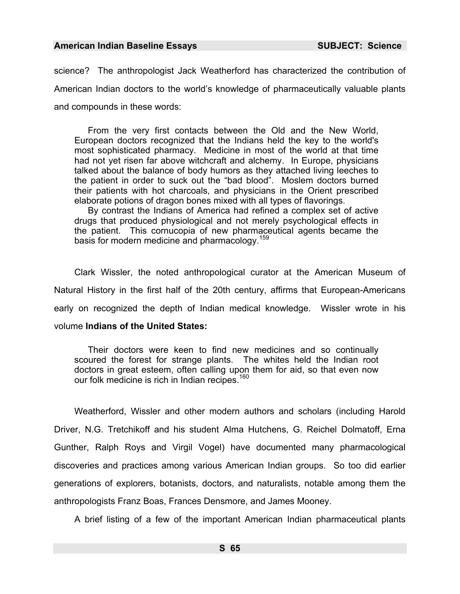science? The anthropologist Jack Weatherford has characterized the contribution of American Indian doctors to the world's knowledge of pharmaceutically valuable plants and compounds in these words:

From the very first contacts between the Old and the New World, European doctors recognized that the Indians held the key to the world's most sophisticated pharmacy. Medicine in most of the world at that time had not yet risen far above witchcraft and alchemy. In Europe, physicians talked about the balance of body humors as they attached living leeches to the patient in order to suck out the "bad blood". Moslem doctors burned their patients with hot charcoals, and physicians in the Orient prescribed elaborate potions of dragon bones mixed with all types of flavorings.

By contrast the Indians of America had refined a complex set of active drugs that produced physiological and not merely psychological effects in the patient. This cornucopia of new pharmaceutical agents became the basis for modern medicine and pharmacology.<sup>159</sup>

Clark Wissler, the noted anthropological curator at the American Museum of Natural History in the first half of the 20th century, affirms that European-Americans early on recognized the depth of Indian medical k[now](#page-986-40)ledge. Wissler wrote in his volume **Indians of the United States:** 

Their doctors were keen to find new medicines and so continually scoured the forest for strange plants. The whites held the Indian root doctors in great esteem, often calling upon them for aid, so that even now our folk medicine is rich in Indian recipes.<sup>160</sup>

Weatherford, Wissler and other modern authors and scholars (including Harold Driver, N.G. Tretchikoff and his student Alma Hutchens, G. Reichel Dolmatoff, Erna Gunther, Ralph Roys and Virgil Vogel) have documented many pharmacological discoveries and practices among various American Indian groups. So too did earlier generations of explorers, botanists, doctors, and naturalists, notable among them the anthropologists Franz Boas, Frances Densmore, and James Mooney.

A brief listing of a few of the important American Indian pharmaceutical plants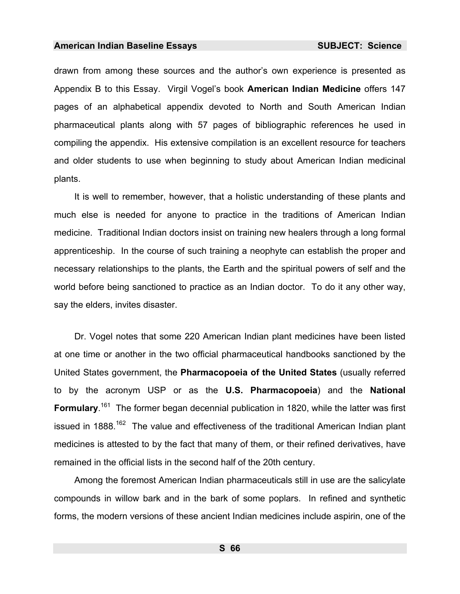drawn from among these sources and the author's own experience is presented as Appendix B to this Essay. Virgil Vogel's book **American Indian Medicine** offers 147 pages of an alphabetical appendix devoted to North and South American Indian pharmaceutical plants along with 57 pages of bibliographic references he used in compiling the appendix. His extensive compilation is an excellent resource for teachers and older students to use when beginning to study about American Indian medicinal plants.

It is well to remember, however, that a holistic understanding of these plants and much else is needed for anyone to practice in the traditions of American Indian medicine. Traditional Indian doctors insist on training new healers through a long formal apprenticeship. In the course of such training a neophyte can establish the proper and necessary relationships to the plants, the Earth and the spiritual powers of self and the world before being sanctioned to practice as an Indian doctor. To do it any other way, say the elders, invites disaster.

Dr. Vogel notes that some 220 American Indian plant medicines have been listed at one time or another in the two official pharmaceutical handbooks sanctioned by the United States government, the **Pharmacopoeia of the United States** (usually referred to by the acronym USP or as the **U.S. Pharmacopoeia**[\)](#page-986-24) and the **National**  Formulary.<sup>161</sup> The former began decennial publication in 1820, while the latter was first issued in 1888.<sup>162</sup> The value and effectiveness of the traditional American Indian plant medicines is attested to by the fact that many of them, or their refined derivatives, have remained in the official lists in the second half of the 20th century.

Among the foremost American Indian pharmaceuticals still in use are the salicylate compounds in willow bark and in the bark of some poplars. In refined and synthetic forms, the modern versions of these ancient Indian medicines include aspirin, one of the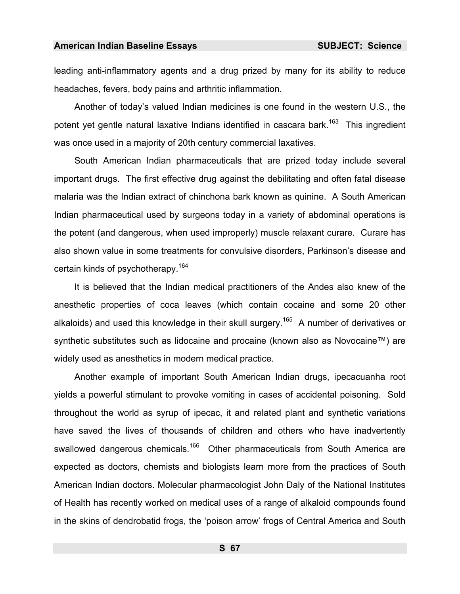leading anti-inflammatory agents and a drug prized by many for its ability to reduce headaches, fevers, body pains and arthritic inflammation.

Another of today's valued Indian medicines is one found in the western U.S., the potent vet gentle natural laxative Indians identified in cascara bark.<sup>163</sup> This ingredient was once used in a majority of 20th century commercial laxatives.

South American Indian pharmaceuticals that are prized today include several important drugs. The first effective drug against the debilitating and often fatal disease malaria was the Indian extract of chinchona bark known as quinine. A South American Indian pharmaceutical used by surgeons today in a variety of abdominal operations is the potent (and dangerous, when used improperly) muscle relaxant curare. Curare has also shown value in some treatments for convulsive disorders, Parkinson's disease and certain kinds of psychotherapy.<sup>164</sup>

It is believed that the Indian medical practitioners of the Andes also knew of the anesthetic properties of coca leaves (which contain cocaine and some 20 other alkaloids) and used this knowledge in their skull surgery.<sup>165</sup> A number of derivatives or synthetic substitutes such as lidocaine and procaine (known also as Novocaine™) are widely used as anesthetics in [mo](#page-986-41)dern medical practice.

Another example of important South American Indian drugs, ipecacuanha root yields a powerful stimulant to provoke vomiting in cases of accidental poisoning. Sold throughou[t th](#page-986-42)e world as syrup of ipecac, it and related plant and synthetic variations have saved the lives of thousands of children and others who have inadvertently swallowed dangerous chemicals.<sup>166</sup> Other pharmaceuticals from South America are expected as doctors, chemists and biologists learn more from the practices of South American Indian doctors. Molecular pharmacologist John Daly of the National Institutes of Health has recently worked on medical uses of a range of alkaloid compounds found in the skins [of](#page-986-43) dendrobatid frogs, the 'poison arrow' frogs of Central America and South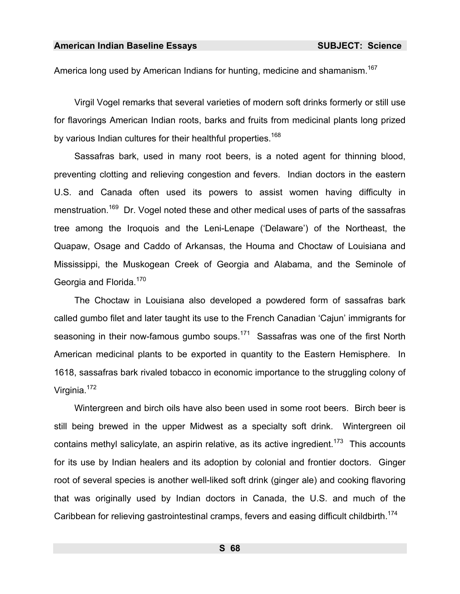America long used by American Indians for hunting, medicine and shamanism.<sup>167</sup>

Virgil Vogel remarks that several varieties of modern soft drinks formerly or still use for flavorings American Indian roots, barks and fruits from medicinal plants long prized by various Indian cultures for their healthful properties.<sup>168</sup>

Sassafras bark, used in many root beers, is a noted agent for thinning blood, preventing clotting and relieving congestion and fevers. Indian doctors in the eastern U.S. and Canada often used its powers to assist women having difficulty in menstruation.<sup>169</sup> Dr. Vogel noted these and other medical uses of parts of the sassafras tree among the Iroquois and the Leni-Lenape ('Delaware') of the Northeast, the Quapaw, Osage and Caddo of Arkansas, the Houma and Choctaw of Louisiana and Mississippi, the Muskogean Creek of Georgia and Alabama, and the Seminole of Georgia and Florida.<sup>170</sup>

The Choctaw in Louisiana also developed a powdered form of sassafras bark called gumbo filet and later taught its use to the French Canadian 'Cajun' immigrants for seasoning in their now-famous gumbo soups.<sup>171</sup> Sassafras was one of the first North American medicinal plants to be exported in quantity to the Eastern Hemisphere. In 1618, sassafras bark rivaled tobacco in economic importance to the struggling colony of Virginia.<sup>172</sup>

Wintergreen and birch oils have also been used in some root beers. Birch beer is still being brewed in the upper Midwest as a specialty soft drink. Wintergreen oil contains methyl salicylate, an aspirin relative, as its active ingredient.<sup>173</sup> This accounts for its use by Indian healers and its adoption by colonial and frontier doctors. Ginger root of several species is another well-liked soft drink (ginger ale) and cooking flavoring that was originally used by Indian doctors in Canada, the U.S. and much of the Caribbean for relieving gastrointestinal cramps, fevers and easing difficult childbirth.<sup>174</sup>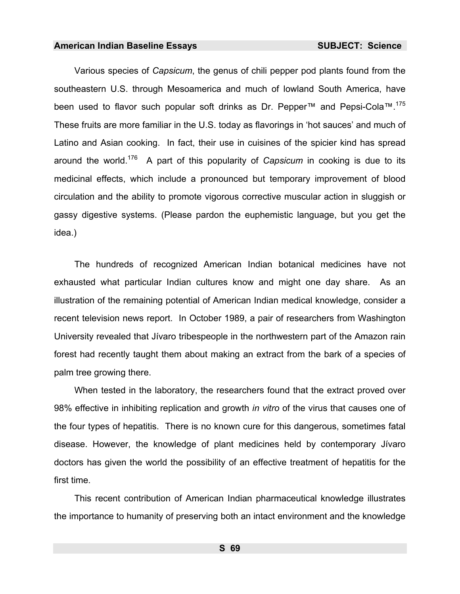Various species of *Capsicum*, the genus of chili pepper pod plants found from the southeastern U.S. through Mesoamerica and much of lowland South America, have been used to flavor such popular soft drinks as Dr. Pepper<sup>™</sup> and Pepsi-Cola<sup>™.175</sup> These fruits are more familiar in the U.S. today as flavorings in 'hot sauces' and much of Latino and Asian cooking. In fact, their use in cuisines of the spicier kind has spread around the world.176 A part of this popularity of *Capsicum* in cooking is due to its medicinal effects, which include a pronounced but temporary improvement of blood circulation and the ability to promote vigorous corrective muscular action in sluggish or gassy digestive systems. (Please pardon the euphemistic language, but you get the idea.)

The hundreds of recognized American Indian botanical medicines have not exhausted what particular Indian cultures know and might one day share. As an illustration of the remaining potential of American Indian medical knowledge, consider a recent television news report. In October 1989, a pair [of r](#page-986-40)esearchers from Washington University revealed that Jívaro tribespeople in the northwestern part of the Amazon rain forest had recently taught them about making an extract from the bark of a species of palm tree growing there.

When tested in the laboratory, the researchers found that the extract proved over 98% effective in inhibiting replication and growth *in vitro* of the virus that causes one of the four types of hepatitis. There is no known cure for this dangerous, sometimes fatal disease. However, the knowledge of plant medicines held by contemporary Jívaro doctors has given the world the possibility of an effective treatment of hepatitis for the first time.

This recent contribution of American Indian pharmaceutical knowledge illustrates the importance to humanity of preserving both an intact environment and the knowledge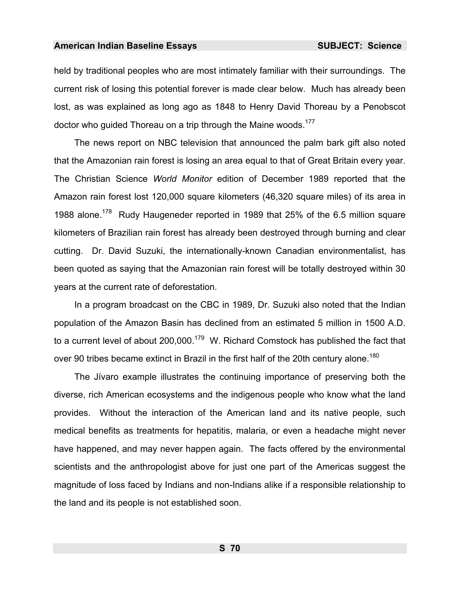held by traditional peoples who are most intimately familiar with their surroundings. The current risk of losing this potential forever is made clear below. Much has already been lost, as was explained as long ago as 1848 to Henry David Thoreau by a Penobscot doctor who guided Thoreau on a trip through the Maine woods.<sup>177</sup>

The news report on NBC television that announced the palm bark gift also noted that the Amazonian rain forest is losing an area equal to that of Great Britain every year. The Christian Science *World Monitor* edition of December 1989 reported that the Amazon rain forest lost 120,000 square kilometers (46,320 square miles) of its area in 1988 alone.<sup>178</sup> Rudy Haugeneder reported in 1989 that 25% of the 6.5 million square kilometers of Brazilian rain forest has already been destroyed through burning and clear cutting. Dr. David Suzuki, the internationally-known Canadian environmentalist, has been quoted as saying that the Amazonian rain forest will be totally destroyed within 30 years at the current rate of deforestation.

In a program broadcast on the CBC in 1989, Dr. Suzuki also noted that the Indian population of the Amazon Basin has declined from an estimated 5 million in 1500 A.D. to a current level of about  $200,000$ .<sup>179</sup> W. Richard Comstock has published the fact that over 90 tribes became extinct in Brazil in the first half of the 20th century alone.<sup>180</sup>

The Jívaro example illustrates the continuing importance of preserving both the diverse, rich American ecosystems and the indigenous people who know what the land provides. Without the interactio[n of](#page-986-44) the American land and its native people, such medical benefits as treatments for hepatitis, malaria, or even a headache might never have happened, and may never happen again. The facts offered by the environmental scientists and the anthropologist above for just one part of the Americas suggest the magnitude of loss faced by Indians and non-Indians alike if a responsible relationship to the land and its people is not established soon.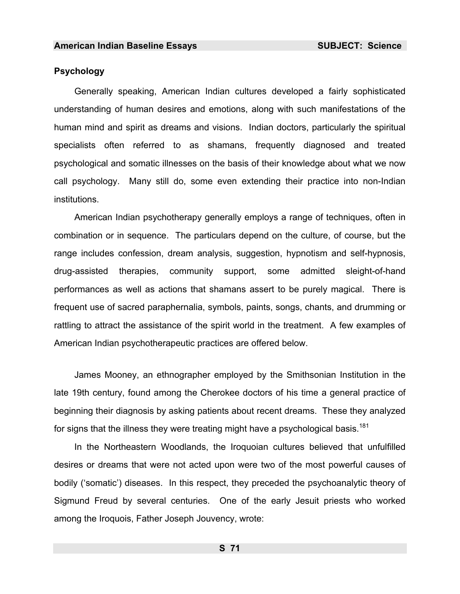## **Psychology**

Generally speaking, American Indian cultures developed a fairly sophisticated understanding of human desires and emotions, along with such manifestations of the human mind and spirit as dreams and visions. Indian doctors, particularly the spiritual specialists often referred to as shamans, frequently diagnosed and treated psychological and somatic illnesses on the basis of their knowledge about what we now call psychology. Many still do, some even extending their practice into non-Indian institutions.

American Indian psychotherapy gener[ally](#page-986-0) employs a range of techniques, often in combination or in sequence. The particulars depend on the culture, of course, but the range includes confession, dream analysis, suggestion, hypnotism and self-hypnosis, drug-assisted therapies, community support, some admitted sleight-of-hand performances as well as actions that shamans assert to be purely magical. There is frequent use of sacred paraphernalia, symbols, paints, songs, chants, and drumming or rattling to attract the assistance of the spirit world in the treatment. A few examples of American Indian psychotherapeutic practices are offered below.

James Mooney, an ethnographer employed by the Smithsonian Institution in the late 19th century, found among the Cherokee doctors of his time a general practice of beginning their diagnosis by asking patients about recent dreams. These they analyzed for signs that the illness they were treating might have a psychological basis.<sup>181</sup>

In the Northeastern Woodlands, the Iroquoian cultures believed that unfulfilled desires or dreams that were not acted upon were two of the most powerful causes of bodily ('somatic') [dis](#page-986-1)eases. In this respect, they preceded the psychoanalytic theory of Sigmund Freud by several centuries. One of the early Jesuit priests who worked among the Iroquois, Father Joseph Jouvency, wrote: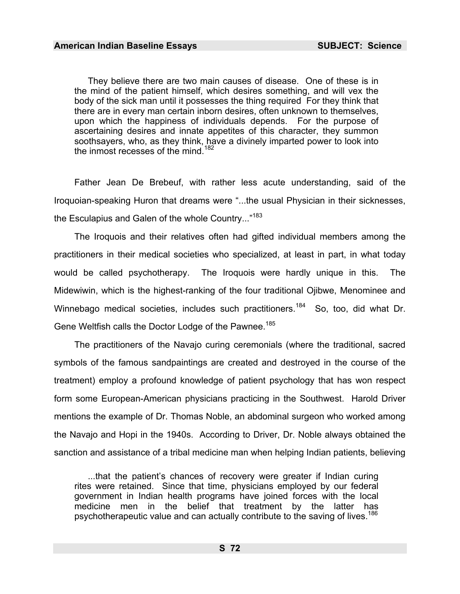They believe there are two main causes of disease. One of these is in the mind of the patient himself, which desires something, and will vex the body of the sick man until it possesses the thing required For they think that there are in every man certain inborn desires, often unknown to themselves, upon which the happiness of individuals depends. For the purpose of ascertaining desires and innate appetites of this character, they summon soothsayers, who, as they think, have a divinely imparted power to look into the inmost recesses of the mind.<sup>182</sup>

Father Jean De Brebeuf, with rather less acute understanding, said of the Iroquoian-speaking Huron that dreams were "...the usual Physician in their sicknesses, the Esculapius and Galen of the whole Country..."<sup>183</sup>

The Iroquois and their relatives often had gifted individual members among the practitioners in their medical societies who specialized, at least in part, in what today would be called psychotherapy. The Iroquois were hardly unique in this. The Midewiwin, which is [th](#page-986-2)e highest-ranking of the four traditional Ojibwe, Menominee and Winnebago medical societies, includes such practitioners.<sup>184</sup> So, too, did what Dr. Gene Weltfish calls the Doctor Lodge of the Pawnee.<sup>185</sup>

The practitioners of the Navajo curing ceremonials (where the traditional, sacred symbols of the famous sandpaintings are created and destroyed in the course of the treatment) employ a profound knowledge of patient psychology that has won respect form some European-American physicians practicing in the Southwest. Harold Driver mentions the example of Dr. Thomas Noble, an [ab](#page-986-3)dominal surgeon who worked among the Navajo and Hopi in the 1940s. According to Driver, Dr. Noble always obtained the sanction and assistance of a tribal medicine man when helping Indian patients, believing

...that the patient's chances of recovery were greater if Indian curing rites were retained. Since that time, physicians employed by our federal government in Indian health programs have joined forces with the local medicine men in the belief that treatment by the latter has psychotherapeutic value and can actually contribute to the saving of lives.<sup>186</sup>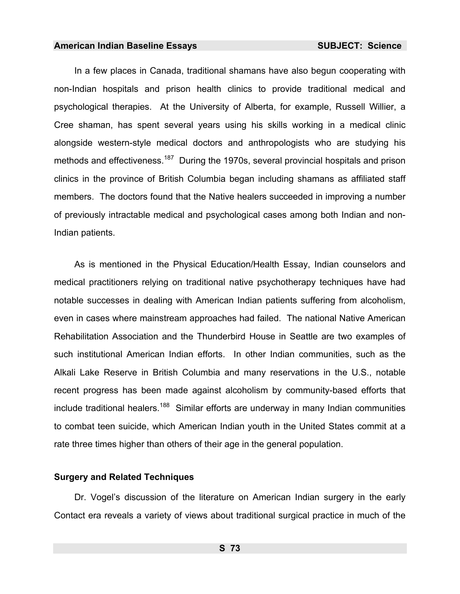In a few places in Canada, traditional shamans have also begun cooperating with non-Indian hospitals and prison health clinics to provide traditional medical and psychological therapies. At the University of Alberta, for example, Russell Willier, a Cree shaman, has spent several years using his skills working in a medical clinic alongside western-style medical doctors and anthropologists who are studying his methods and effectiveness.<sup>187</sup> During the 1970s, several provincial hospitals and prison clinics in the province of British Columbia began including shamans as affiliated staff members. The doctors found that the Native healers succeeded in improving a number of previously intractable medical and psychological cases among both Indian and non-Indian patients.

As is mentioned in the Physical Education/Health Essay, Indian counselors and medical practitioners relying on traditional native psychotherapy techniques have had notable successes in dealing with American Indian patients suffering from alcoholism, even in cases where mainstream approaches had failed. The national Native American Rehabilitation Association and the Thunderbird House in Seattle are two examples of such institutional American Indian efforts. In other Indian communities, such as the Alkali Lake Reserve in British Columbia and many reservations in the U.S., notable recent progress has been made against alcoholism by community-based efforts that include traditional healers.<sup>188</sup> Similar efforts are underway in many Indian communities to combat teen suicide, which American Indian youth in the United States commit at a rate three times higher than others of their age in the gen[era](#page-986-4)l population.

#### **Surgery and Related Techniques**

Dr. Vogel's discussion of the literature on American Indian surgery in the early Contact era reveals a variety of views about traditional surgical practice in much of the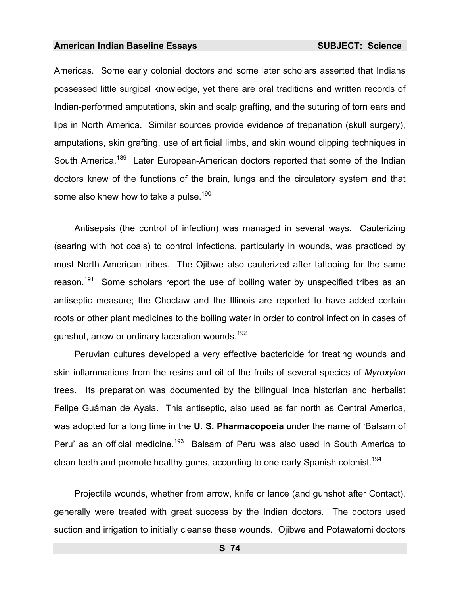Americas. Some early colonial doctors and some later scholars asserted that Indians possessed little surgical knowledge, yet there are oral traditions and written records of Indian-performed amputations, skin and scalp grafting, and the suturing of torn ears and lips in North America. Similar sources provide evidence of trepanation (skull surgery), amputations, skin grafting, use of artificial limbs, and skin wound clipping techniques in South America.<sup>189</sup> Later European-American doctors reported that some of the Indian doctors knew of the functions of the brain, lungs and the circulatory system and that some also knew how to take a pulse.<sup>190</sup>

Antisepsis (the control of infection) was managed in several ways. Cauterizing (searing with hot coals) to control infections, particularly in wounds, was practiced by most North American tribes. The Ojibwe also cauterized after tattooing for the same reason.<sup>191</sup> Some scholars report the use of boiling water by unspecified tribes as an antiseptic measure; the Choctaw and the Illinois are reported to have added certain roots or other plant medicines to the boiling water in order to control infection in cases of gunshot, arrow or ordinary laceration wounds.192

Peruvian cultures developed a very effective bactericide for treating wounds and skin inflammations from the resins and oil of the fruits of several species of *Myroxylon* trees. Its preparation was documented by the bilingual Inca historian and herbalist Felipe Guáman de Ayala. This antiseptic, also used as far north as Central America, was adopted for a long time in the **U. S. Pharmacopoeia** under the name of 'Balsam of Peru' as an official medicine.<sup>193</sup> Balsam of Peru was also used in South America to clean teeth and promote healthy gums, according to one early Spanish colonist.<sup>194</sup>

Projectile wounds, whether from arrow, knife or lance (and gunshot after Contact), generally were treated with great success by the Indian doctors. The doctors used suction and irrigation to initially cleanse these wounds. Ojibwe and Potawatomi doctors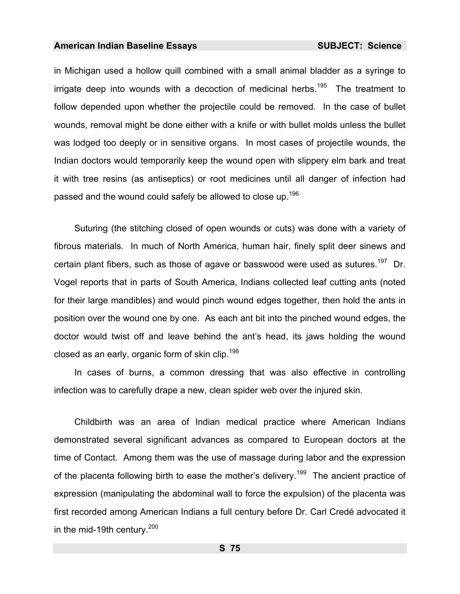in Michigan used a hollow quill combined with a small animal bladder as a syringe to irrigate deep into wounds with a decoction of medicinal herbs.<sup>195</sup> The treatment to follow depended upon whether the projectile could be removed. In the case of bullet wounds, removal might be done either wit[h a](#page-986-5) knife or with bullet molds unless the bullet was lodged too deeply or in sensitive organs. In most cases of projectile wounds, the Indian doctors would temporarily keep the wound open with slippery elm bark and treat it with tree resins (as antiseptics) or root medicines until all danger of infection had passed and the wound could safely be allowed to close up.<sup>196</sup>

Suturing (the stitching closed of open wounds or cuts) was done with a variety of fibrous materials. In much of North America, human hair, finely split deer sinews and certain plant fibers, such as those of agave o[r ba](#page-986-6)sswood were used as sutures.<sup>197</sup> Dr. Vogel reports that in parts of South America, Indians collected leaf cutting ants (noted for their large mandibles) and would pinch wound edges together, then hold the ants in position over the wound one by one. As each ant bit into the pinched wound edges, the doctor would twist off and leave behind the ant's head, its jaws holding the wound closed as an early, organic form of skin clip.<sup>198</sup>

In cases of burns, a common dressing that was also effective in controlling infection was to carefully drape a new, clean spider web over the injured skin.

Childbirth was an area of Indian medical practice where American Indians demonstrated several significant advances as compared to European doctors at the time of Contact. Among them was the use of massage during labor and the expression of the placenta following birth to ease the mother's delivery.<sup>199</sup> The ancient practice of expression (manipulating the abdominal wall to force the expulsion) of the placenta was first recorded among American Indians a full century before Dr. Carl Credé advocated it in the mid-19th century. $200$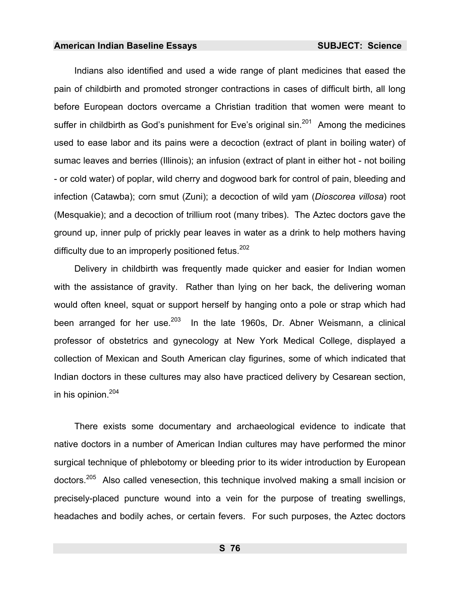Indians also identified and used a wide range of plant medicines that eased the pain of childbirth and promoted stronger contractions in cases of difficult birth, all long before European doctors overcame a Christian tradition that women were meant to suffer in childbirth as God's punishment for Eve's original  $sin<sup>201</sup>$  Among the medicines used to ease labor and its pains were a decoction (extract of plant in boiling water) of sumac leaves and berries (Illinois); an infusion (extract of plant in either hot - not boiling - or cold water) of poplar, wild cherry and dogwood bark for control of pain, bleeding and infection (Catawba); corn smut (Zuni); a decoction of wild yam (*Dioscorea villosa*) root (Mesquakie); and a decoction of trillium root (many tribes). The Aztec doctors gave the ground up, inner pulp of prickly pear leaves in water as a drink to help mothers having difficulty due to an improperly positioned fetus.  $202$ 

Delivery in childbirth was frequently made quicker and easier for Indian women [with](#page-986-7) the assistance of gravity. Rather than Iving on her back, the delivering woman woul[d of](#page-986-8)ten kneel, squat or support herself by hanging onto a pole or strap which had been arranged for her use. $203$  In the late 1960s, Dr. Abner Weismann, a clinical professor of obstetrics and gynecology at New York Medical College, displayed a collection of Mexican and South American clay figurines, some of which indicated that Indian doctors in these cultures may also have practiced delivery by Cesarean section, in his opinion.<sup>204</sup>

There exists some documentary and archaeological evidence to indicate that native doctors in a number of American Indian cultures may have performed the minor surgical technique of phlebotomy or bleeding prior to its wider introduction by European doctors.205 Also called venesection, this technique involved making a small incision or precisely-placed puncture wound into a vein for the purpose of treating swellings, headaches and bodily aches, or certain fevers. For such purposes, the Aztec doctors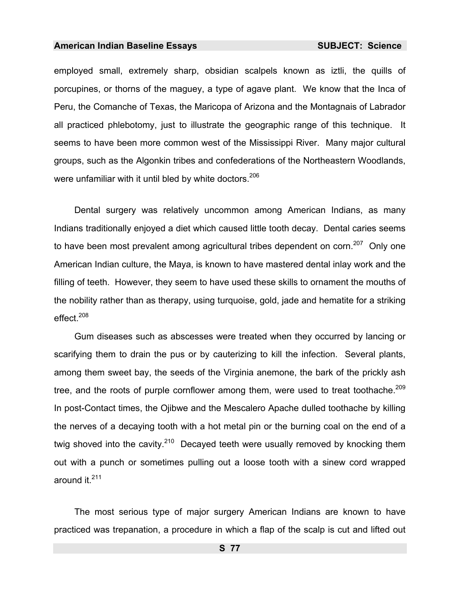employed small, extremely sharp, obsidian scalpels known as iztli, the quills of porcupines, or thorns of the maguey, a type of agave plant. We know that the Inca of Peru, the Comanche of Texas, the Maricopa of Arizona and the Montagnais of Labrador all practiced phlebotomy, just to illustrate the geographic range of this technique. It seems to have been more common west of the Mississippi River. Many major cultural groups, such as the Algonkin tribes and confederations of the Northeastern Woodlands, were unfamiliar with it until bled by white doctors.<sup>206</sup>

Dental surgery was relatively uncomm[on](#page-986-0) among American Indians, as many Indians traditionally enjoyed a diet which caused little tooth decay. Dental caries seems to have been most prevalent among agricultural tribes dependent on corn.<sup>207</sup> Only one American Indian culture, the Maya, is known to have mastered dental inlay work and the filling of teeth. However, they seem to have used these skills to ornam[ent](#page-986-9) the mouths of the nobility rather than as therapy, using turquoise, gold, jade and hematite for a striking effect.<sup>208</sup>

Gum diseases such as abscesses were treated when they occurred by lancing or scarifying them to drain the pus or by cauterizing to kill the infection. Several plants, among them sweet bay, the seeds of the Virginia anemone, the bark of the prickly ash tree, and the roots of purple cornflower among them, were used to treat toothache.<sup>209</sup> In post-Contact times, the Ojibwe and the Mescalero Apache dulled toothache by killing the nerves of a decay[ing](#page-986-10) tooth with a hot metal pin or the burning coal on the end of a twig shoved into the cavity.<sup>210</sup> Decayed teeth were usually removed by knocking them out with a punch or sometimes pulling out a loose tooth with a sinew cord wrapped around it.<sup>211</sup>

The most serious type of major surgery American Indians are known to have practiced was trepanation, a procedure in which a flap of the scalp is cut and lifted out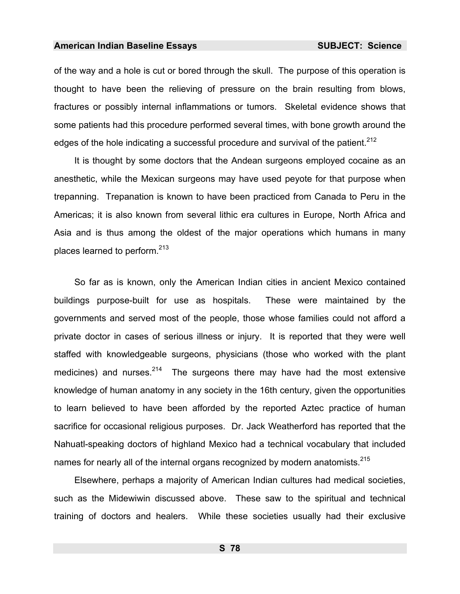of the way and a hole is cut or bored through the skull. The purpose of this operation is thought to have been the relieving of pressure on the brain resulting from blows, fractures or possibly internal inflammations or tumors. Skeletal evidence shows that some patients had this procedure performed several times, with bone growth around the edges of the hole indicating a successful procedure a[nd s](#page-986-11)urvival of the patient.<sup>212</sup>

It is thought by some doctors that the Andean surgeons employed cocaine as an anesthetic, while the Mexican surgeons may have used peyote for that purpose when trepanning. Trepanation is known to have been practiced from Canada to Peru in the Americas; it is also known from several lithic era cultures in Europe, North Afri[ca](#page-986-12) and Asia and is thus among the oldest of the major operations which humans in many places learned to perform.<sup>213</sup>

So far as is known, only the American Indian cities in ancient Mexico contained buildings purpose-built for use as hospitals. These were maintained by the governments and served most of the people, those whose families could not afford a private doctor in cases of serious illness or injury. It is reported that they were well staffed with knowledgeable surgeons, physicians (those who worked with the plant medicines) and nurses.  $2^{14}$  The surgeons there may have had the most extensive knowledge of human anatomy in any society in the 16th century, given the opportunities to learn believed to have been afforded by the reported Aztec practice of human sacrifice for occasional religious purposes. Dr. Jack Weatherford has reported that the Nahuatl-speaking doctors of highland Mexico had a technical vocabulary that included names for nearly all of the internal organs recognized by modern anatomists.<sup>215</sup>

Elsewhere, perhaps a majority of American Indian cultures had medical societies, such as the Midewiwin discussed above. These saw to the spiritual and technical training of doctors and healers. While these societies usually had their exclusive

**S 78**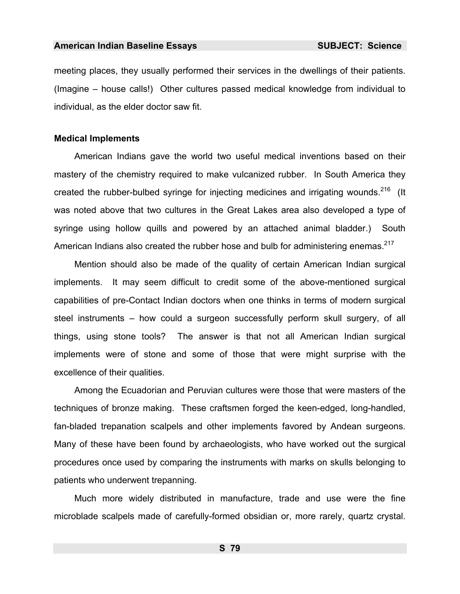meeting places, they usually performed their services in the dwellings of their patients. (Imagine – house calls!) Other cultures passed medical knowledge from individual to individual, as the elder doctor saw fit.

## **Medical Implement[s](#page-986-13)**

American Indians gave the world two useful medical inventions based on their mastery of the chemistry required to make vulcanized rubber. In South America they created the rubber-bulbed syringe for injecting medicines and irrigating wounds.<sup>216</sup> (It was noted above that two cultures in the Great Lakes area also developed a type of syringe using h[ollo](#page-986-14)w quills and powered by an attached animal bladder.) South American Indians also created the rubber hose and bulb for administering enemas.<sup>217</sup>

Mention should also be made of the quality of certain American Indian surgical implements. It may seem difficult to credit some of the above-mentioned surgical capabilities of pre-Contact Indian doctors when one thinks in terms of modern surgical steel instr[um](#page-986-15)ents – how could a surgeon successfully perform skull surgery, of all things, using stone tools? The answer is that not all American Indian surgical implements were of stone and some o[f th](#page-986-16)ose that were might surprise with the excellence of their qualities.

Among the Ecuadorian and Peruvian cultures were those that were masters of the techniques of bronze making. These craftsmen forged the keen-edged, long-handled, fan-bladed trepanation scalpels and other implements favored by Andean surgeons. Many of these have been found by archaeologists, who have worked out the surgical procedures once used by comparing the instruments with marks on skulls belonging to patients who underwent trepanning.

Much more widely distributed in manufacture, trade and use were the fine microblade scalpels made of carefully-formed obsidian or, more rarely, quartz crystal.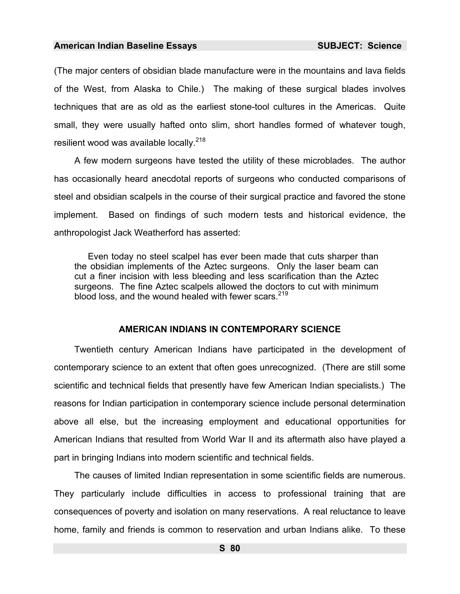(The major centers of obsidian blade manufacture were in the mountains and lava fields of the West, from Alaska to Chile.) The making of these surgical blades involves techniques that are as old as the earliest stone-tool cultures in the Americas. Quite small, they were usually hafted onto slim, short handles formed of whatever tough, resilient wood was available locally.<sup>218</sup>

A few modern surgeons have tested the utility of these microblades. The author has occasionally heard anecdotal reports of surgeons who conducted comparisons of steel and obsidian scalpels in the course of their surgical practice and favored the stone implement. Based on findings of such modern tests and historical evidence, the anthropologist Jack Weatherford has asserted:

Even today no steel scalpel has ever been made that cuts sharper than the obsidian implements of the Aztec surgeons. Only the laser beam can cut a finer incision with less bleeding and less scarification than the Aztec surgeons. The fine Aztec scalpels allowed the doctors to cut with minimum blood loss, and the wound healed with fewer scars.<sup>219</sup>

## **AMERICAN INDIANS IN [CO](#page-986-17)NTEMPORARY SCIENCE**

Twentieth century American Indians have participated in the development of contemporary science to an extent that often goes unrecognized. (There are still some scientific and technical fields that presently have few American Indian specialists.) The reasons for Indian participation in contemporary science include personal determination above all else, but the incre[asi](#page-986-18)ng employment and educational opportunities for American Indians that resulted from World War II and its aftermath also have played a part in bringing Indians into modern scientific and technical fields.

The causes of limited Indian representation in some scientific fields are numerous. They particularly include difficulties in access to professional training that are consequences of poverty and isolation on many reservations. A real reluctance to leave home, family and friends is common to reservation and urban Indians alike. To these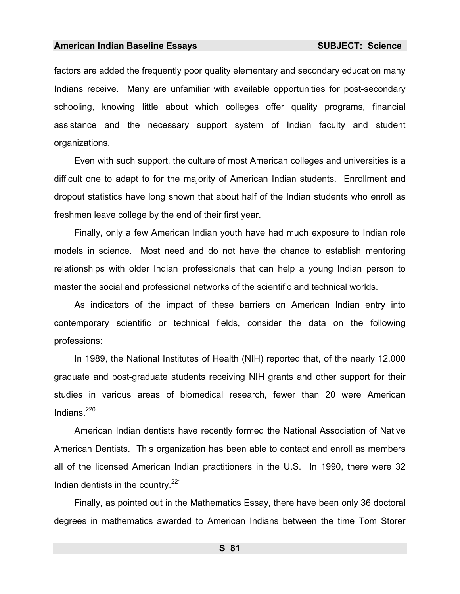factors are added the frequently poor quality elementary and secondary education many Indians receive. Many are unfamiliar with available opportunities for post-secondary schooling, knowing little about which colleges offer quality programs, financial assistance and the necessary support system of Indian faculty and student organizations.

Even with such support, the culture of most American colleges and universities is a difficult one to adapt to for the majority of American Indian students. Enrollment and dropout statistics have long shown that about half of the Indian students who enroll as freshmen leave college by the end of their first year.

Finally, only a few American Indian youth have had much exposure to Indian role models in science. Most need and do not have the chance to establish mentoring relationships with older Indian professionals that can help a young Indian person to master the social and professional networks of the scientific and technical worlds.

As indicators of the impact of these barriers on American Indian entry into contemporary scientific or technical fields, consider the data on the following professions:

In 1989, the National Institutes of Health (NIH) reported that, of the nearly 12,000 graduate and post-graduate students receiving NIH grants and other support for their studies in various areas of biomedical research, fewer than 20 were American Indians. $^{220}$ 

American Indian dentists have recently formed the National Association of Native American Dentists. This organization has been able to contact and enroll as members all of the licensed American Indian practitioners in the U.S. In 1990, there were 32 Indian dentists in the country. $221$ 

Finally, as pointed out in the Mathematics Essay, there have been only 36 doctoral degrees in mathematics awarded to American Indians between the time Tom Storer

**S 81**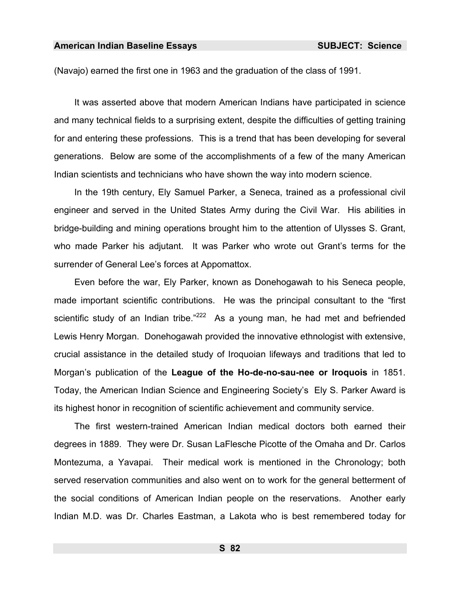(Navajo) earned the first one in 1963 and the graduation of the class of 1991.

It was asserted above that modern American Indians have participated in science and many technical fields to a surprising extent, despite the difficulties of getting training for and entering these professions. This is a trend that has been developing for several generations. Below are some of the accomplishments of a few of the many American Indian scientists and technicians who have shown the way into modern science.

In the 19th century, Ely Samuel Parker, a Seneca, trained as a professional civil engineer and served in the United States Army during the Civil War. His abilities in bridge-building and mining operations brought him to the attention of Ulysses S. Grant, who made Parker his adjutant. It was Parker who wrote out Grant's terms for the surrender of General Lee's forces at Appomattox.

Even before the war, Ely Parker, known as Donehogawah to his Seneca people, made important scientific contributions. He was the principal consultant to the "first scientific study of an Indian tribe." $222$  As a young man, he had met and befriended Lewis Henry Morgan. Donehogawah provided the innovative ethnologist with extensive, crucial assistance in the detailed study of Iroquoian lifeways and traditions that led to Morgan's publication of the **League of the Ho-de-no-sau-nee or Iroquois** in 1851. Today, the American Indian Science and Engineering Society's Ely S. Parker Award is its highest honor in recognition of scientific achievement and community service.

The first western-trained American Indian medical doctors both earned their degrees in 1889. They were Dr. Susan LaFlesche Picotte of the Omaha and Dr. Carlos Montezuma, a Yavapai. Their medical work is mentioned in the Chronology; both served reservation communities and also went on to work for the general betterment of the social conditions of American Indian people on the reservations. Another early Indian M.D. was Dr. Charles Eastman, a Lakota who is best remembered today for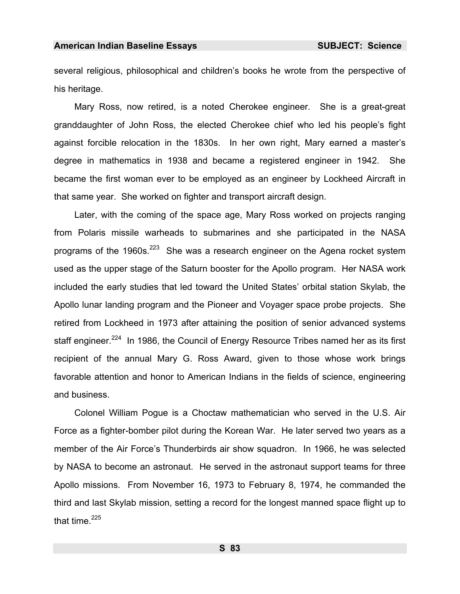several religious, philosophical and children's books he wrote from the perspective of his heritage.

Mary Ross, now retired, is a noted Cherokee engineer. She is a great-great granddaughter of John Ross, the elected Cherokee chief who led his people's fight against forcible relocation in the 1830s. In her own right, Mary earned a [ma](#page-986-19)ster's degree in mathematics in 1938 and became a registered engineer in 1942. She became the first woman ever to be employed as an engineer by Lockheed Aircraft in that same year. She worked on fighter and transport aircraft design.

Later, with the coming of the space age, Mary Ross worked on projects ranging from Polaris missile warheads to submarines and she participated in the NASA programs of the 1960s.<sup>223</sup> She was a research engineer on the Agena rocket system used as the upper stage of the Saturn booster for the Apollo program. Her NASA work included the early studie[s th](#page-986-21)at led toward the United States' orbital station Skylab, the Apollo lunar landing program and the Pioneer and Voyager space probe projects. She retired from Lockheed in 1973 after attaining the position of senior advanced systems staff engineer.<sup>224</sup> In 1986, the Council of Energy Resource Tribes named her as its first recipient of the annual Mary G. Ross Award, given to those whose work brings favorable attention and honor to American Indians in the fields of science, engineering and business.

Colonel William Pogue is a Choctaw mathematician who served in the U.S. Air Force as a fighter-bomber pilot during the Korean War. He later served two years as a member of the Air Force's Thunderbirds air show squadron. In 1966, he was selected by NASA to become an astronaut. He served in the astronaut support teams for three Apollo missions. From November 16, 1973 to February 8, 1974, he commanded the third and last Skylab mission, setting a record for the longest manned space flight up to that time. $225$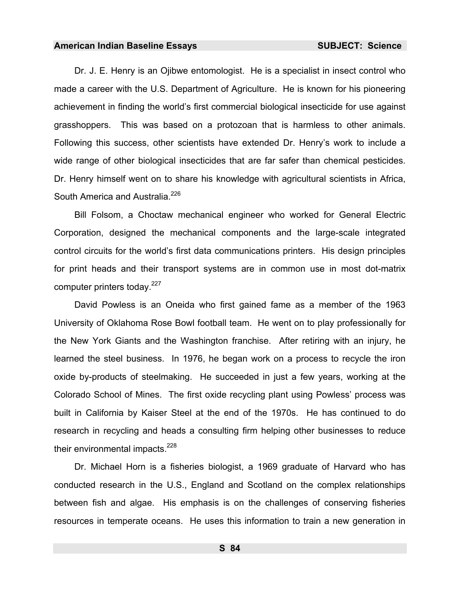Dr. J. E. Henry is an Ojibwe entomologist. He is a specialist in insect control who made a career with the U.S. Department of Agriculture. He is known for his pioneering achievement in finding the world's first commercial biological insecticide for use against grasshoppers. This was based on a protozoan that is harmless to other animals. Following this success, other scientists have extended Dr. Henry's work to include a wide range of other biological insecticides that are far safer than chemical pesticides. Dr. Henry himself went on to share his knowledge with agricultural scientists in Africa, South America and Australia.<sup>226</sup>

Bill Folsom, a Choctaw mechanical engineer who worked for General Electric Corporation, designed the mechanical components and the large-scale integrated control circuits for the world's first data communications printers. His design principles for print heads and their transport systems are in common use in most dot-matrix computer printers today. $227$ 

David Powless is an Oneida who first gained fame as a member of the 1963 University of Oklahoma Rose Bowl football team. He went on to play professionally for the New York Giants and the Washington franchise. After retiring with an injury, he learned the steel business. In 1976, he began work on a process to recycle the iron oxide by-products of steelmaking. He succeeded in just a few years, working at the Colorado School of Mines. The first oxide recycling plant using Powless' process was built in California by Kaiser Steel at the end of the 1970s. He has continued to do research in recycling and heads a consulting firm helping other businesses to reduce their environmental impacts. $228$ 

Dr. Michael Horn is a fisheries biologist, a 1969 graduate of Harvard who has conducted research in the U.S., Eng[lan](#page-986-1)d and Scotland on the complex relationships between fish and algae. His emphasis is on the challenges of conserving fisheries resources in temperate oceans. He uses this information to train a new generation in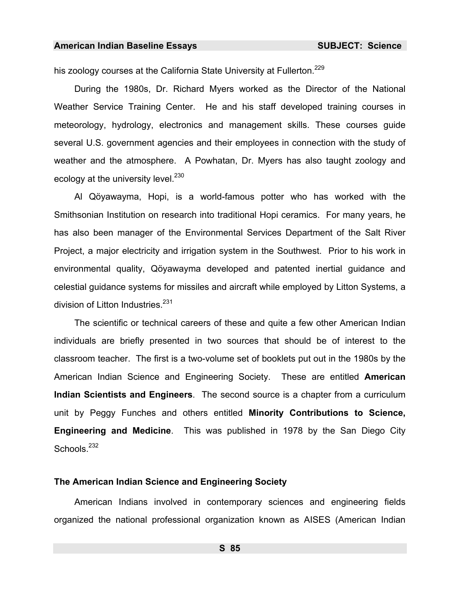his zoology courses at the California State University at Fullerton.<sup>229</sup>

During the 1980s, Dr. Richard Myers worked as the Director of the National Weather Service Training Center. He and his staff developed training courses in meteorology, hydrology, electronics and management skills. These courses guide several U.S. government agencies and their employees in connection with the study of weather and the atmosphere. A Powhatan, Dr. Myers has also taught zoology and ecology at the university level.<sup>230</sup>

Al Qöyawayma, Hopi, is a world-famous potter who has worked with the Smithsonian Institution on research into traditional Hopi ceramics. For many years, he has also been manager of the Environmental Services Department of the Salt River Project, a major electricity and irrigation system in the [Sou](#page-986-22)thwest. Prior to his work in environmental quality, Qöyawayma developed and patented inertial guidance and celestial guidance systems for missiles and aircraft while employed by Litton S[yste](#page-986-23)ms, a division of Litton Industries.<sup>231</sup>

The scientific or technical careers of these and quite a few other American Indian individuals are briefly presented in two sources that should be of interest to the classroom teacher. The first is a two-volume set of booklets put out in the 1980s by the American Indian Science and Engineering Society. These are entitled **Americ[an](#page-986-24)  Indian Scientists and Engineers**. The second source is a chapter from a curriculum unit by Peggy Funches and others entitled **Minority Contributions to Science, Engineering and Medicine**. This was published in 1978 by the San Diego City Schools.<sup>232</sup>

## **The American Indian Science and Engineering Society**

American Indians involved in contemporary sciences and engineering fields organized the national professional organization known as AISES (American Indian

**S 85**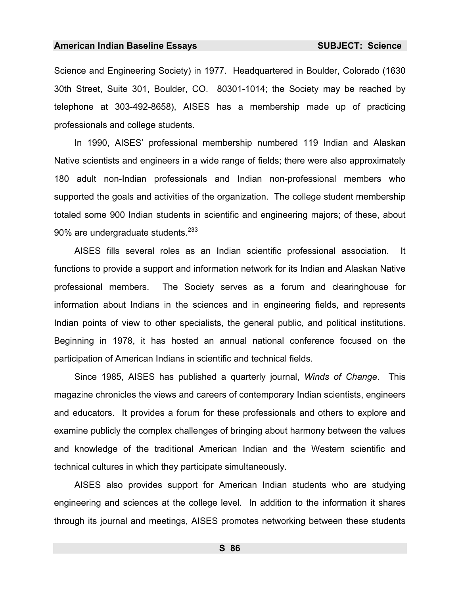Science and Engineering Society) in 1977. Headquartered in Boulder, Colorado (1630 30th Street, Suite 301, Boulder, CO. 80301-1014; the Society may be reached by telephone at 303-492-8658), AISES has a membership made up of practicing professionals and college students.

In 1990, AISES' professional membership numbered 119 Indian and Alaskan Native scientists and engineers in a wide range of fields; there were also approximately 180 adult non-Indian professionals and Indian non-professional members who supported the goals and activities of the organization. The college student membership totaled some 900 Indian students in scientific and engineering majors; of these, about 90% are undergraduate students.<sup>233</sup>

AISES fills several roles as an Indian scientific professional association. It functions to provide a support and information network for its Indian and Alaskan Native professional members. The Society serves as a forum and clearinghouse for information abo[ut I](#page-986-8)ndians in the sciences and in engineering fields, and represents Indian points of view to other specialists, the general public, and political institutions. Beginning in 1978, it has hosted an annual national conference focused on the participation of American Indians in scientific and technical fields.

Since 1985, AISES has published a quarterly journal, *Winds of Change*. This magazine chronicles the views and careers of contemporary Indian scientists, engineers and educators. It provides a forum for these pro[fess](#page-986-25)ionals and others to explore and examine publicly the complex challenges of bringing about harmony between the values and knowledge of the traditional American Indian and the Western scientific and technical cultures in which they participate simultaneously.

AISES also provides support for American Indian students who are studying engineerin[g an](#page-986-26)d sciences at the college level. In addition to the information it shares through its journal and meetings, AISES promotes networking between these students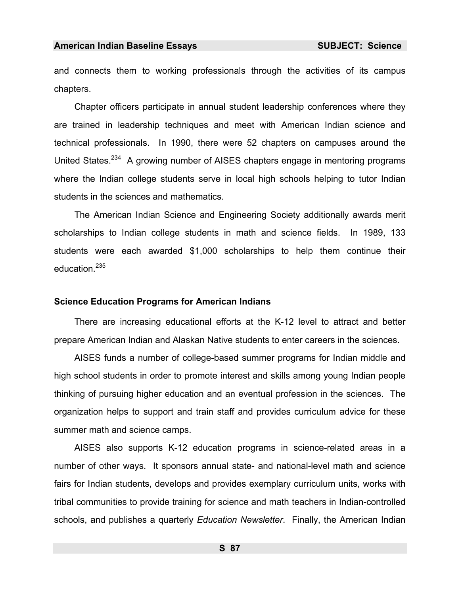and connects them to working professionals through the activities of its campus chapters.

Chapter officers participate in annual student leadership conferences where they are trained in leadership techniques and meet with American Indian science and technical professionals. In 1990, there were 52 chapters on campuses around the United States.<sup>234</sup> A growing number of AISES chapters engage in mentoring programs where the Indian college students serve in local high schools helping to tutor Indian students in the sciences and mathematics.

The American Indian Science and Engineering Society additionally awards merit scholarships to Indian college students in math and science fields. In 1989, 133 students were each awarded \$1,000 scholarships to help them continue their education.<sup>235</sup>

## **Science Education Programs for American Indians**

There are increasing educational ef[fort](#page-986-27)s at the K-12 level to attract and better prepare American Indian and Alaskan Native students to enter careers in the sciences.

AISES funds a number of college-based summer programs for Indian middle and high school students in order to promote interest and skills among young Indian people thinking of pursuing higher education and an eventual profession in the sciences. The organizatio[n h](#page-986-28)elps to support and train staff and provides curriculum advice for these summer math and science camps.

AISES also supports K-12 education programs in science-related areas in a number of other ways. It sponsors annual state- and national-level math and science fairs for Indian students, develops and provides exemplary curriculum units, works with tribal communities to provide training for science and math teachers in Indian-controlled schools, and publishes a quarterly *Education Newsletter*. Finally, the American Indian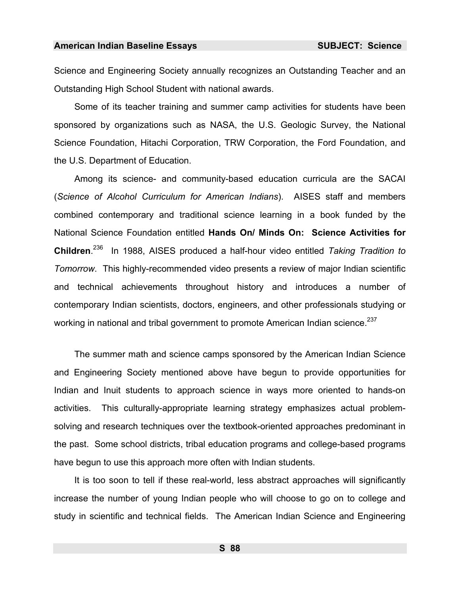Science and Engineering Society annually recognizes an Outstanding Teacher and an Outstanding High School Student with national awards.

Some of its teacher training and summer camp activities for students have been sponsored by organizations such as NASA, the U.S. Geologic Survey, the National Science Foundation, Hitachi Corporation, TRW Corporation, the Ford Foundation, and the U.S. Department of Education.

Among its science- and community-based education curricula are the SACAI (*Science of Alcohol Curriculum for American Indians*). AISES staff and members combined contemporary and traditional science learning in a book funded by the National Science Foundation entitled **Hands On/ Minds On: Science Activities for Children**. 236 In 1988, AISES produced a half-hour video entitled *Taking Tradition to Tomorrow*. This highly-recommended video presents a review of major Indian scientific and technical achievements throughout history and introduces a number of contemporary Indian scientists, doctors, engineers, and other professionals studying or working in national and tribal government to promote American Indian science.<sup>237</sup>

The summer math and science camps sponsored by the American Indian Science and Engineering Society mentioned above have begun to provide opportunities for Indian and Inuit students to approach science in ways more oriented to hands-on activities. This culturally-appropriate learning strategy emphasizes actual problemsolving and research techniques over the textbook-oriented approaches predominant in the past. Some school districts, tribal education programs and college-based programs have begun to use this approach more often with Indian students.

It is too soon to tell if these real-world, less abstract approaches will significantly increase the number of young Indian people who will choose to go on to college and study in scientific and technical fields. The American Indian Science and Engineering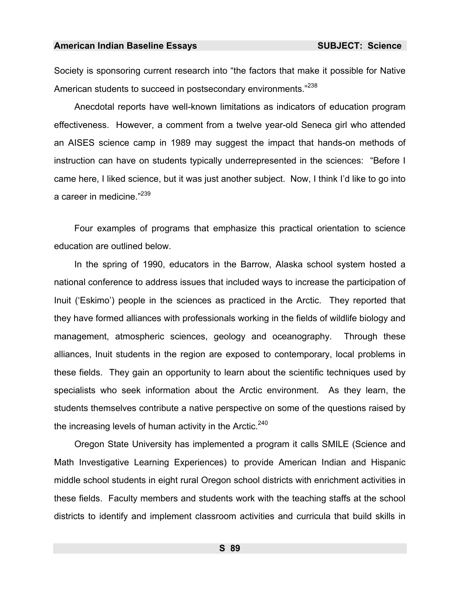Society is sponsoring current research into "the factors that make it possible for Native American students to succeed in postsecondary environments."<sup>238</sup>

Anecdotal reports have well-known limitations as indicators of education program effectiveness. However, a comment from a twelve year-old Seneca girl who attended an AISES science camp in 1989 may suggest the impact that hands-on methods of instruction can have on students typically underrepresented in the sciences: "Before I came here, I liked science, but it was just another subject. Now, I think I'd like to go into a career in medicine."<sup>239</sup>

Four examples of programs that emphasize this practical orientation to science education are outlined below.

In the spring of 1990, educators in the Barrow, Alaska school system hosted a national conference to address issues that included ways to increase the participation of Inuit ('Eskimo') people in the sciences as practiced in the Arctic. They reported that they have formed alliances with professionals working in the fields of wildlife biology and management, atmospheric sciences, geology and oceanography. Through these alliances, Inuit students in the region are exposed to contemporary, local problems in these fields. They gain an opportunity to learn about the scientific techniques used by specialists who seek information about the Arctic environment. As they learn, the students themselves contribute a native perspective on some of the questions raised by the increasing levels of human activity in the Arctic.<sup>240</sup>

Oregon State University has implemented a program it calls SMILE (Science and Math Investigative Learning Experiences) to provide American Indian and Hispanic middle school students in eight rural Oregon school districts with enrichment activities in these fields. Faculty members and students work with the teaching staffs at the school districts to identify and implement classroom activities and curricula that build skills in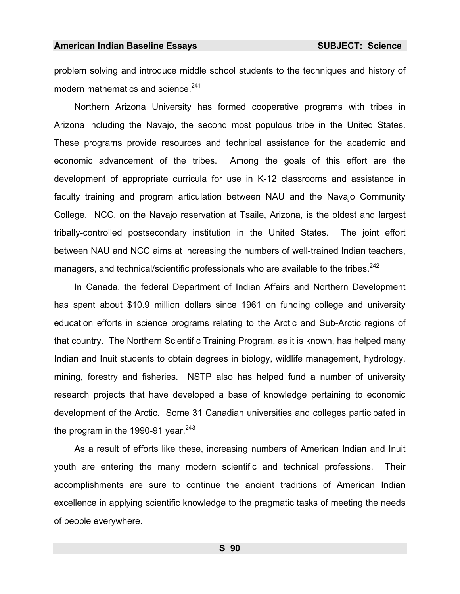problem solving and introduce middle school students to the techniques and history of modern mathematics and science.<sup>241</sup>

Northern Arizona University has formed cooperative programs with tribes in Arizona including the Navajo, the second most populous tribe in the United States. These programs provide resources and technical assistance for the academic and economic advancement of the tribes. Among the goals of this effort are the development of appropriate curricula for use in K-12 classrooms and assistance in faculty training and program articulation between NAU and the Navajo Community College. NCC, on the Navajo reservation at Tsaile, Arizona, is the oldest and largest tribally-controlled postsecondary institution in the United States. The joint effort between NAU and NCC aims at increasing the numbers of well-trained Indian teachers, managers, and technical/scientific professionals who are available to the tribes.<sup>242</sup>

In Canada, the federal Department of Indian Affairs and Northern Development has spent about \$10.9 million dollars since 1961 on funding college and university education efforts in science programs relating to the Arctic and Sub-Arctic regions of that country. The Northern Scientific Training Program, as it is known, has helped many Indian and Inuit students to obtain degrees in biology, wildlife management, hydrology, mining, forestry and fisheries. NSTP also has helped fund a number of university research projects that have developed a base of knowledge pertaining to economic d[eve](#page-986-28)lopment of the Arctic. Some 31 Canadian universities and colleges participated in the program in the 1990-91 year.  $243$ 

As a result of efforts like these, increasing numbers of American Indian and Inuit youth are entering the many modern scientific and technical professions. Their accomplishments are sure to continue the ancient traditions of American Indian excellence in applying scientific knowledge to the pragmatic tasks of meeting the needs of people everywhere.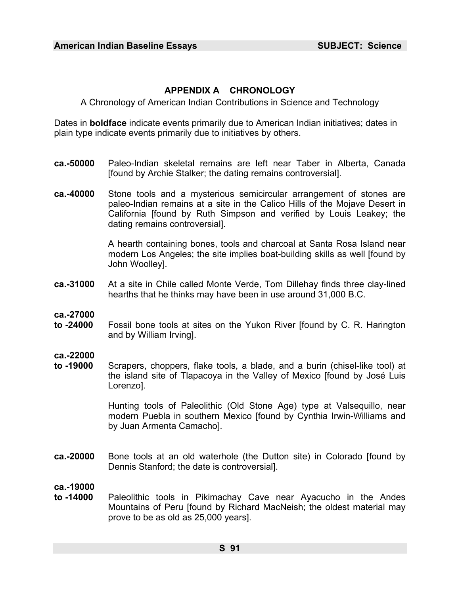# **APPENDIX A CHRONOLOGY**

A Chronology of American Indian Contributions in Science and Technology

Dates in **boldface** indicate events primarily due to American Indian initiatives; dates in plain type indicate events primarily due to initiatives by others.

- **ca.-50000** Paleo-Indian skeletal remains are left near Taber in Alberta, Canada [found by Archie Stalker; the dating remains controversial].
- **ca.-40000** Stone tools and a mysterious semicircular arrangement of stones are paleo-Indian remains at a site in the Calico Hills of the Mojave Desert in California [found by Ruth Simpson and verified by Louis Leakey; the dating remains controversial].

A hearth containing bones, tools and charcoal at Santa Rosa Island near modern Los Angeles; the site implies boat-building skills as well [found by John Woolley].

- **ca.-31000** At a site in Chile called Monte Verde, Tom Dillehay finds three clay-lined hearths that he thin[ks m](#page-986-29)ay have been in use around 31,000 B.C.
- **ca.-27000**
- **to -24000** Fossil bone tools at sites on the Yukon River [found by C. R. Harington and by William Irving].
- **ca.-22000**
- **to -19000** Scrapers, choppers, flak[e t](#page-986-30)ools, a blade, and a burin (chisel-like tool) at the island site of Tlapacoya in the Valley of Mexico [found by José Luis Lorenzo].

Hunting tools of Paleolithic (Old Stone Age) type at Valsequillo, near modern Puebla in southern Mexico [found by Cynthia Irwin-Williams and by Juan Armenta Camacho].

**ca.-20000** Bone tools at an old waterhole (the Dutton site) in Colorado [found by Dennis Stanford; the date is controversial].

## **ca.-19000**

**to -14000** Paleolithic tools in Pikimachay Cave near Ayacucho in the Andes Mountains of Peru [found by Richard MacNeish; the oldest material may prove to be as old as 25,000 years].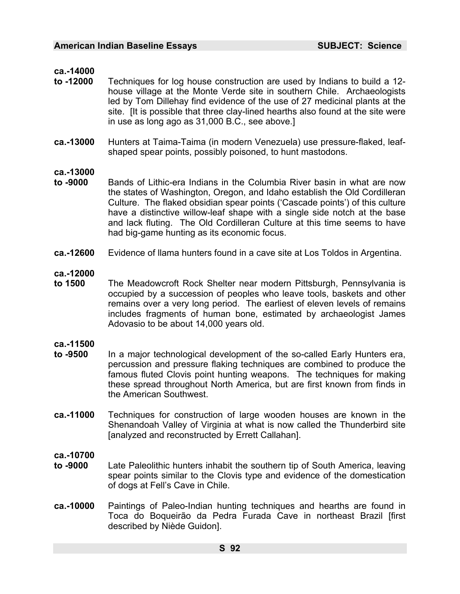## **ca.-14000**

- **to -12000** Techniques for log house construction are used by Indians to build a 12 house village at the Monte Verde site in southern Chile. Archaeologists led by Tom Dillehay find evidence of the use of 27 medicinal plants at the site. [It is possible that three clay-lined hearths also found at the site were in use as long ago as 31,000 B.C., see above.]
- **ca.-13000** Hunters at Taima-Taima (in modern Venezuela) use pressure-flaked, leafshaped spear points, possibly poisoned, to hunt mastodons.

## **ca.-13000**

- **to -9000** Bands of Lithic-era Indians in the Columbia River basin in what are now the states of Washington, Oregon, and Idaho establish the Old Cordilleran Culture. The flaked obsidian spear points ('Cascade points') of this culture have a distinctive willow-leaf shape with a single side notch at the base and lack fluting. The Old Cordilleran Culture at this time seems to have had big-game hunting as its economic focus.
- **ca.-12600** Evidence of llama hunters found in a cave site at Los Toldos in Argentina.

## **ca.-12000**

**to 1500** The Meadowcroft Rock Shelter near modern Pittsburgh, Pennsylvania is occupied by a succession of peoples who leave tools, baskets and other remains over a very long period. The earliest of eleven levels of remains includes fragments of human bone, estimated by archaeologist James Adovasio to be about 14,000 years old.

## **ca.-11500**

- **to -9500** In a major technological development of the so-called Early Hunters era, percussion and pressure flaking techniques are combined to produce the famous fluted Clovis point hunting weapons. The techniques for making these spread throughout North America, but are first known from finds in the American Southwest.
- **ca.-11000** Techniques for construction of large wooden houses are known in the Shenandoah Valley of Virginia at what is now called the Thunderbird site [analyzed and reconstructed by Errett Callahan].

## **ca.-10700**

- **to -9000** Late Paleolithic hunters inhabit the southern tip of South [Am](#page-986-31)erica, leaving spear points similar to the Clovis type and evidence of the domestication of dogs at Fell's Cave in Chile.
- **ca.-10000** Paintings of Paleo-Indian hunting techniques and hearths are found in Toca do Boqueirão da Pedra Furada Cave in northeast Brazil [first described by Niède Guidon].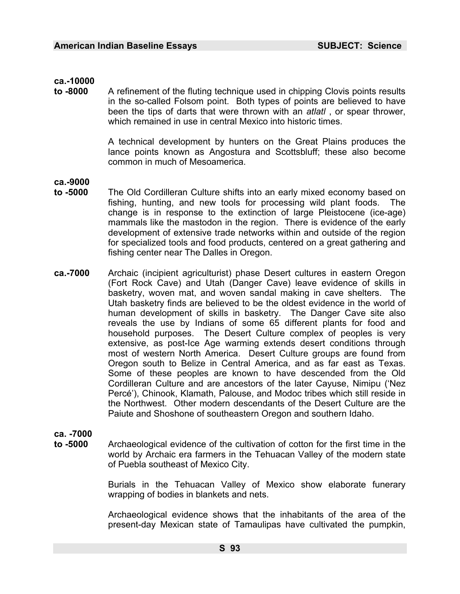## **ca.-10000**

**to -8000** A refinement of the fluting technique used in chipping Clovis points results in the so-called Folsom point. Both types of points are believed to have been the tips of darts that were thrown with an *atlatl* , or spear thrower, which remained in use in central Mexico into historic times.

> A technical development by hunters on the Great Plains produces the lance points known as Angostura and Scottsbluff; these also become common in much of Mesoamerica.

**ca.-9000** 

- **to -5000** The Old Cordilleran Culture shifts into an early mixed economy based on fishing, hunting, and new tools for processing wild plant foods. The change is in response to the extinction of large Pleistocene (ice-age) mammals like the mastodon in the region. There is evidence of the early development of extensive trade networks within and outside of the region for specialized tools and food products, centered on a great gathering and fishing center near The Dalles in Oregon.
- **ca.-7000** Archaic (incipient agriculturist) phase Desert cultures in eastern Oregon (Fort Rock Cave) and Utah (Danger Cave) leave evidence of skills in basketry, woven mat, and woven sandal making in cave shelters. The Utah basketry finds are believed to be the oldest evidence in the world of human development of skills in basketry. The Danger Cave site also reveals the use by Indians of some 65 different plants for food and household purposes. The Desert Culture complex of peoples is very extensive, as post-Ice Age warming extends desert conditions through most of western North America. Desert Culture groups are found from Oregon south to Belize in Central America, and as far east as Texas. Some of these peoples are known to have descended from the Old Cordilleran Culture and are ancestors of the later Cayuse, Nimipu ('Nez Percé'), Chinook, Klamath, Palouse, and Modoc tribes which still reside in the Northwest. Other modern descendants of the Desert Culture are the Paiute and Shoshone of southeastern Oregon and southern Idaho.

## **ca. -7000**

**to -5000** Archaeological evidence of the cultivation of cotton for the first time in the world by Archaic era farmers in the Tehuacan Valley of the modern state of Puebla southeast of Mexico City.

> Burials in the Tehuacan Valley of Mexico show elaborate funerary wrapping of bodies in blankets and nets.

> Archaeological evidence shows that the inhabitants of the area of the present-day Mexican state of Tamaulipas have cultivated the pumpkin,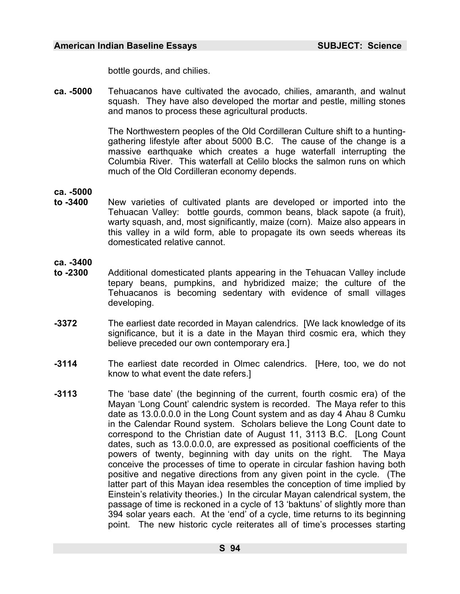bottle gourds, and chilies.

**ca. -5000** Tehuacanos have cultivated the avocado, chilies, amaranth, and walnut squash. They have also developed the mortar and pestle, milling stones and manos to process these agricultural products.

> The Northwestern peoples of the Old Cordilleran Culture shift to a huntinggathering lifestyle after about 5000 B.C. The cause of the change is a massive earthquake which creates a huge [wat](#page-986-32)erfall interrupting the Columbia River. This waterfall at Celilo blocks the salmon runs on which much of the Old Cordilleran economy depends.

**ca. -5000** 

- **to -3400** New varieties of cultivated plants are developed or imported into the Tehuacan Valley: bottle gourds, common beans, black sapote (a fruit), warty squash, and, most significantly, maize (corn). Maize also appears in this valley in a wild form, able to propagate its own seeds whereas its domesticated relative cannot.
- **ca. -3400**
- **to -2300** Additional domesticated plants appearing in the Tehuacan Valley include tepary beans, pumpkins, and hybridized maize; the culture of the Tehuacanos is becoming sedentary with evidence of small villages developing.
- **-3372** The earliest date recorded in Mayan calendrics. [We lack knowledge of its significance, but it is a date in the Mayan third cosmic era, which they believe preceded our own contemporary era.]
- **-3114** The earliest date recorded in Olmec calendrics. [Here, too, we do not know to what event the date refers.]
- **-3113** The 'base date' (the beginning of the current, fourth cosmic era) of the Mayan 'Long Count' calendric system is recorded. The Maya refer to this date as 13.0.0.0.0 in the Long Count system and as day 4 Ahau 8 Cumku in the Calendar Round system. Scholars believe the Long Count date to correspond to the Christian date of August 11, 3113 B.C. [Long Count dates, such as 13.0.0.0.0, are expressed as positional coefficients of the powers of twenty, beginning with day units on the right. The Maya conceive the processes of time to operate in circular fashion having both positive and negative directions from any given point in the cycle. (The latter part of this Mayan idea resembles the conception of time implied by Einstein's relativity theories.) In the circular Mayan calendrical system, the passage of time is reckoned in a cycle of 13 'baktuns' of slightly more than 394 solar years each. At the 'end' of a cycle, time returns to its beginning point. The new historic cycle reiterates all of time's processes starting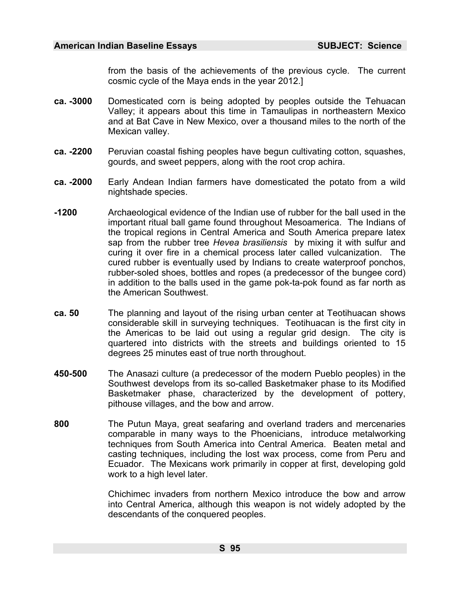from the basis of the achievements of the previous cycle. The current cosmic cycle of the Maya ends in the year 2012.]

- **ca. -3000** Domesticated corn is being adopted by peoples outside the Tehuacan Valley; it appears about this time in Tama[ulip](#page-986-33)as in northeastern Mexico and at Bat Cave in New Mexico, over a thousand miles to the north of the Mexican valley.
- **ca. -2200** Peruvian coastal fishing peoples have begun cultivating cotton, squashes, gourds, and sweet peppers, along with the root crop achira.
- **ca. -2000** Early Andean Indian farmers have domesticated the potato from a wild nightshade species.
- **-1200** Archaeological evidence of the Indian use of rubber for the ball used in the important ritual ball game found throughout Mesoamerica. The Indians of the tropical regions in Central America and South America prepare latex sap from the rubber tree *Hevea brasiliensis* by mixing it with sulfur and curing it over fire in a chemical process later called vulcanization. The cured rubber is eventually used by Indians to create waterproof ponchos, rubber-soled shoes, bottles and ropes (a predecessor of the bungee cord) in addition to the balls used in the game pok-ta-pok found as far north as the American Southwest.
- **ca. 50** The planning and layout of the rising urban center at Teotihuacan shows considerable skill in surveying techniques. Teotihuacan is the first city in the Americas to be laid out using a regular grid design. The city is quartered into districts with the streets and buildings oriented to 15 degrees 25 minutes east of true north throughout.
- **450-500** The Anasazi culture (a predecessor of the modern Pueblo peoples) in the Southwest develops from its so-called Basketmaker phase to its Modified Basketmaker phase, characterized by the development of pottery, pithouse villages, and the bow and arrow.
- **800** The Putun Maya, great seafaring and overland traders and mercenaries comparable in many ways to the Phoenicians, introduce metalworking techniques from South America into Central America. Beaten metal and casting techniques, including the lost wax process, come from Peru and Ecuador. The Mexicans work primarily in copper at first, developing gold work to a high level later.

Chichimec invaders from northern Mexico introduce the bow and arrow into Central America, although this weapon is not widely adopted by the descendants of the conquered peoples.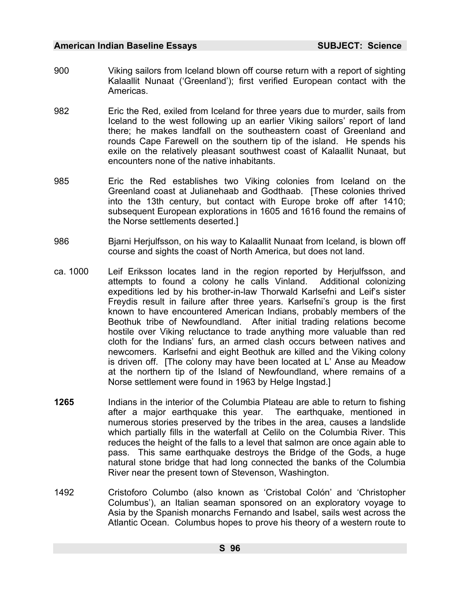- 900 Viking sailors from Iceland blown off course return with a report of sighting Kalaallit Nunaat ('Greenland'); first verified European contact with the Americas.
- 982 Eric the Red, exiled from Iceland for three years due to murder, sails from Iceland to the west following up an earlier Viking sailors' report of land there; he makes landfall on the southeastern coast of [Gre](#page-986-13)enland and rounds Cape Farewell on the southern tip of the island. He spends his exile on the relatively pleasant southwest coast of Kalaallit Nunaat, but encounters none of the native inhabitants.
- 985 Eric the Red establishes two Viking colonies from Iceland on the Greenland coast at Julianehaab and Godthaab. [These colonies thrived into the 13th century, but contact with Europe broke off after 1410; subsequent European explorations in 1605 and 1616 found the remains of the Norse settlements deserted.]
- 986 Bjarni Herjulfsson, on his way to Kalaallit Nunaat from Ice[lan](#page-986-34)d, is blown off course and sights the coast of North America, but does not land.
- ca. 1000 Leif Eriksson locates land in the region reported by Herjulfsson, and attempts to found a colony he calls Vinland. Additional colonizing expeditions led by his brother-in-law Thorwald Karlsefni and Leif's sister Freydis result in failure after three years. Karlsefni's group is the first known to have encountered American Indians, probably members of the Beothuk tribe of Newfoundland. After initial trading relations become hostile over Viking reluctance to trade anything more valuable than red cloth for the Indians' furs, an armed clash occurs between natives and newcomers. Karlsefni and eight Beothuk are killed and the Viking colony is driven off. [The colony may have been located at L' Anse au Meadow at the northern tip of the Island of Newfoundland, where remains of a Norse settlement were found in 1963 by Helge Ingstad.]
- **1265** Indians in the interior of the Columbia Plateau are able to return to fishing after a major earthquake this year. The earthquake, mentioned in numerous stories preserved by the tribes in the area, causes a landslide which partially fills in the waterfall at Celilo on the Columbia River. This reduces the height of the falls to a level that salmon are once again able to pass. This same earthquake destroys the Bridge of the Gods, a huge natural stone bridge that had long connected the b[ank](#page-986-35)s of the Columbia River near the present town of Stevenson, Washington.
- 1492 Cristoforo Columbo (also known as 'Cristobal Colón' and 'Christopher Columbus'), an Italian seaman sponsored on an exploratory voyage to Asia by the Spanish monarchs Fernando and Isabel, sails west across the Atlantic Ocean. Columbus hopes to prove his theory of a western route to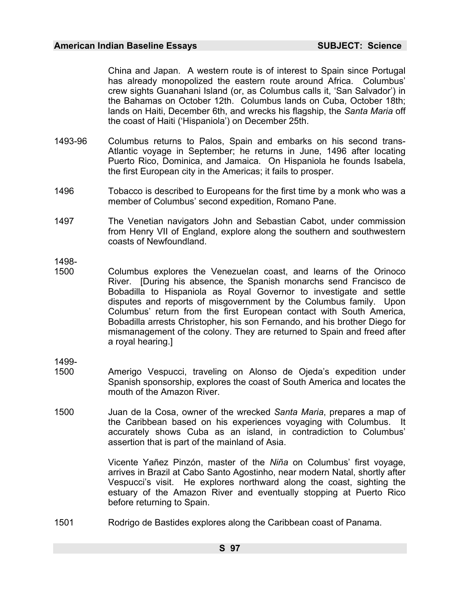China and Japan. A western route is of interest to Spain since Portugal has already monopolized the eastern route around Africa. Columbus' crew sights Guanahani Island (or, as Columbus calls it, 'San Salvador') in the Bahamas on October 12th. Columbus lands on Cuba, October 18th; lands on Haiti, December 6th, and wrecks his flagship, the *Santa Maria* off the coast of Haiti ('Hispaniola') on December 25th.

- 1493-96 Columbus returns to Palos, Spain and embarks on his second trans-Atlantic voyage in September; he returns in June, 1496 after locat[ing](#page-986-36) Puerto Rico, Dominica, and Jamaica. On Hispaniola he founds Isabela, the first European city in the Americas; it fails to prosper.
- 1496 Tobacco is described to Europeans for the first time by a monk who was a member of Columbus' second expedition, Romano Pane.
- 1497 The Venetian navigators John and Sebastian Cabot, under commission from Henry VII of England, explore along the southern and southwestern coasts of Newfoundland.
- 1498-
- 1500 Columbus explores the Venezuelan coast, and learns of the Orinoco River. [During his absence, the Spanish monarchs send Francisco de Bobadilla to Hispaniola as Royal Governor to investigate and settle disputes and reports of misgovernment by the Columbus family. Upon Columbus' return from the first European contact with South America, Bobadilla arrests Christopher, his son Fernando, and his brother Diego for mismanagement of the colony. They are returned to Spain and freed after a royal hearing.]
- 1499-
- 1500 Amerigo Vespucci, traveling on Alonso de Ojeda's expedition under Spanish sponsorship, explores the coast of South America and locates the mouth of the Amazon River.
- 1500 Juan de la Cosa, owner of the wrecked *Santa Maria*, prepares a map of the Caribbean based on his experiences voyaging with Columbus. It accurately shows Cuba as an island, in contradictio[n t](#page-986-31)o Columbus' assertion that is part of the mainland of Asia.

Vicente Yañez Pinzón, master of the *Niña* on Columbus' first voyage, arrives in Brazil at Cabo Santo Agostinho, near modern Natal, shortly after Vespucci's visit. He explores northward along the coast, sighting the estuary of the Amazon River and eventually stopping at Puerto Rico before returning to Spain.

1501 Rodrigo de Bastides explores along the Caribbean coast of Panama.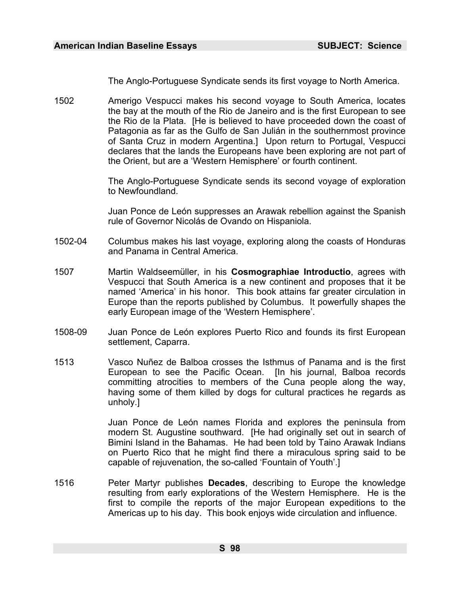The Anglo-Portuguese Syndicate sends its first voyage [to N](#page-986-37)orth America.

1502 Amerigo Vespucci makes his second voyage to South America, locates the bay at the mouth of the Rio de Janeiro and is the first European to see the Rio de la Plata. [He is believed to have proceeded down the coast of Patagonia as far as the Gulfo de San Julián in the southernmost province of Santa Cruz in modern Argentina.] Upon return to Portugal, Vespucci declares that the lands the Europeans have been exploring are not part of the Orient, but are a 'Western Hemisphere' or fourth continent.

> The Anglo-Portuguese Syndicate sends its second voyage of exploration to Newfoundland.

> Juan Ponce de León suppresses an Arawak rebellion against [the](#page-986-14) Spanish rule of Governor Nicolás de Ovando on Hispaniola.

- 1502-04 Columbus makes his last voyage, exploring along the coasts of Honduras and Panama in Central America.
- 1507 Martin Waldseemüller, in his **Cosmographiae Introductio**, agrees with Vespucci that South America is a new continent and proposes that it be named 'America' in his honor. This book attains far greater circulation in Europe than the reports published by Columbus. It powerfully shapes the early European image of the 'Western Hemisphere'.
- 1508-09 Juan Ponce de León explores Puerto Rico and founds its first European settlement, Caparra.
- 1513 Vasco Nuñez de Balboa crosses the Isthmus of Panama and is the first European to see the Pacific Ocean. [In his journal, Bal[boa](#page-986-38) records committing atrocities to members of the Cuna people along the way, having some of them killed by dogs for cultural practices he regards as unholy.]

Juan Ponce de León names Florida and explores the peninsula from modern St. Augustine southward. [He had originally set out in search of Bimini Island in the Bahamas. He had been told by Taino Arawak Indians on Puerto Rico that he might find there a miraculous spring said to be capable of rejuvenation, the so-called 'Fountain of Youth'.]

1516 Peter Martyr publishes **Decades**, describing to Europe the knowledge resulting from early explorations of the Western Hemisphere. He is the first to compile the reports of the major European expeditions to the Americas up to his day. This book enjoys wi[de c](#page-986-39)irculation and influence.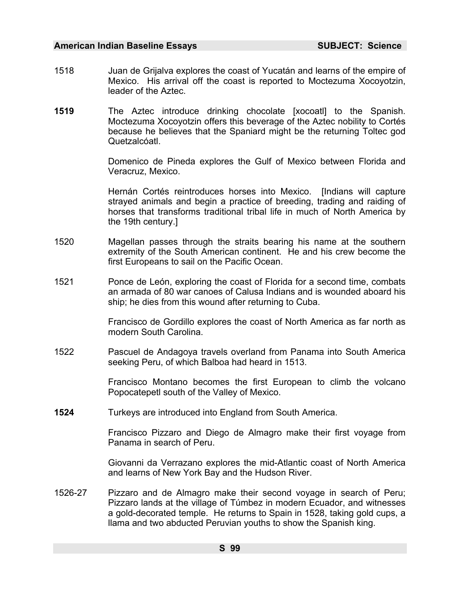- 1518 Juan de Grijalva explores the coast of Yucatán and learns of the empire of Mexico. His arrival off the coast is reported to Moctezuma Xocoyotzin, leader of the Aztec.
- **1519** The Aztec introduce drinking chocolate [xocoatl] to the Spanish. Moctezuma Xocoyotzin offers this beverage of the Aztec nobility to Cortés because he believes that the Spaniard might be the returning Toltec god Quetzalcóatl.

Domenico de Pineda explores the Gulf of Mexico between Florida and Veracruz, Mexico.

Hernán Cortés reintroduces horses into Mexico. [Indians will capture strayed animals and begin a practice of breeding, trading and raiding of horses that transforms traditional tribal life in much of North America by the 19th century.]

- 1520 Magellan passes through the straits bearing his name at the southern extremity of the South American continent. He and his crew become the first Europeans to sail on the Pacific Ocean.
- 1521 Ponce de León, exploring the coast of Florida for a second time, combats an armada of 80 war canoes of Calusa Indians and is wounded aboard his ship; he dies from this wound after returning to Cuba.

Francisco de Gordillo explores the coast of North America as far north as modern South Carolina.

1522 Pascuel de Andagoya travels overland from Panama into South America seeking Peru, of which Balboa had heard in 1513.

> Francisco Montano becomes the first European to climb the volcano Popocatepetl south of the Valley of Mexico.

**1524** Turkeys are introduced into England from South America.

Francisco Pizzaro and Diego de Almagro make their first voyage from Panama in search of Peru.

Giovanni da Verrazano explores the mid-Atlantic coast of North America and learns of New York Bay and the Hudson River.

1526-27 Pizzaro and de Almagro make their second voyage in search of Peru; Pizzaro lands at the village of Túmbez in modern Ecuador, and witnesses a gold-decorated temple. He returns to Spain in 1528, taking gold cups, a llama and two abducted Peruvian youths to show the Spanish king.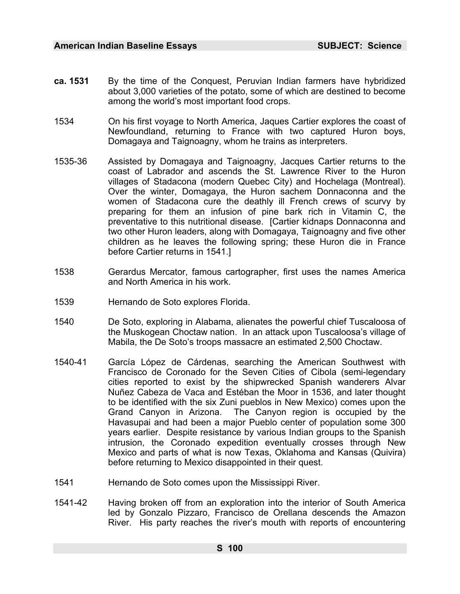- **ca. 1531** By the time of the Conquest, Peruvian Indian farmers have hybridized about 3,000 varieties of the potato, some of which are destined to become among the world's most important food crops.
- 1534 On his first voyage to North America, Jaques Cartier explores the coast of Newfoundland, returning to France with two captured Huron boys, Domagaya and Taignoagny, whom he trains as interpreters.
- 1535-36 Assisted by Domagaya and Taignoagny, Jacques Cartier returns to the coast of Labrador and ascends the St. Lawrence River to the Huron villages of Stadacona (modern Quebec City) and Hochelaga (Montreal). Over the winter, Domagaya, the Huron sachem Donnaconna and the women of Stadacona cure the deathly ill French crews of scurvy by preparing for them an infusion of pine bark rich in Vitamin C, the preventative to this nutritional disease. [Cartier kidnaps Donnaconna and two other Huron leaders, along with Domagaya, Taignoagny and five other children as he leaves the following spring; these Huron die in France before Cartier returns in 1541.]
- 1538 Gerardus Mercator, famous cartographer, first uses the names America and North America in his work.
- 1539 [Her](#page-986-40)nando de Soto explores Florida.
- 1540 De Soto, exploring in Alabama, alienates the powerful chief Tuscaloosa of the Muskogean Choctaw nation. In an attack upon Tuscaloosa's village of Mabila, the De Soto's troops massacre an estimated 2,500 Choctaw.
- 1540-41 García López de Cárdenas, searching the American Southwest with Francisco de Coronado for the Seven Cities of Cibola (semi-legendary cities reported to exist by the shipwrecked Spanish wanderers Alvar Nuñez Cabeza de Vaca and Estéban the Moor in 1536, and later thought to be identified with the six Zuni pueblos in New Mexico) comes [upo](#page-986-10)n the Grand Canyon in Arizona. The Canyon region is occupied by the Havasupai and had been a major Pueblo center of population some 300 years earlier. Despite resistance by various Indian groups to the Spanish intrusion, the Coronado expedition eventually crosses through New Mexico and parts of what is now Texas, Oklahoma and Kansas (Quivira) before returning to Mexico disappointed in their quest.
- 1541 Hernando de Soto comes upon the Mississippi River.
- 1541-42 Having broken off from an exploration into the interior of South America led by Gonzalo Pizzaro, Francisco de Orellana descends the Amazon River. His party reaches the river's mouth with reports of encountering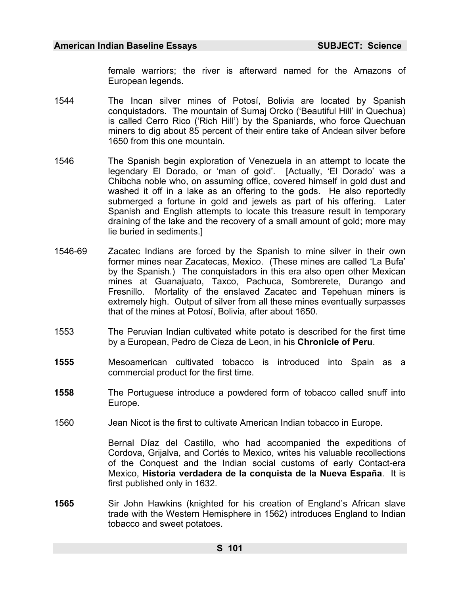female warriors; the river is afterward named for the Amazons of European legends.

- 1544 The Incan silver mines of Potosí, Bolivia are located by Spanish conquistadors. The mountain of Sumaj Orcko ('Beautiful Hill' in Quechua) is called Cerro Rico ('Rich Hill') by the Spaniards, who force Quechuan miners to dig about 85 percent of their entire take of Andean silver before 1650 from this one mountain.
- 1546 The Spanish begin exploration of Venezuela in an attempt to locate the legendary El Dorado, or 'man of gold'. [Actually, 'El Dorado' was a Chibcha noble who, on assuming office, covered himself in gold dust and washed it off in a lake as an offering to the gods. He also reportedly submerged a fortune in gold and jewels as part of his offering. Later Spanish and English attempts to locate this treasure result in temporary draining of the lake and the recovery of a small amount of gold; more may lie buried in sediments.]
- 1546-69 Zacatec Indians are forced by the Spanish to mine silver in their own former mines near Zacatecas, Mexico. (These mines are called 'La Bufa' by the Spanish.) The conquistadors in this era also open other Mexican mines at Guanajuato, Taxco, Pachuca, Sombrerete, Durango and Fresnillo. Mortality of the enslaved Zacatec and Tepehuan miners is extremely high. Output of silver from all these mines eventually surpasses that of the mines at Potosí, Bolivia, after about 1650.
- 1553 The Peruvian Indian cultivated white potato is described for the first time by a European, Pedro de Cieza de Leon, in his **Chronicle of Peru**.
- **1555** Mesoamerican cultivated tobacco is introduced into Spain as a commercial product for the first time.
- **1558** The Portuguese introduce a powdered form of tobacco called snuff into Europe.
- 1560 Jean Nicot is the first to cultivate American Indian tob[acco](#page-986-10) in Europe.

Bernal Díaz del Castillo, who had accompanied the expeditions of Cordova, Grijalva, and Cortés to Mexico, writes his valuable recollections of the Conquest and the Indian social customs of early Contact-era Mexico, **Historia verdadera de la conquista de la Nueva España**. It is first published only in 1632.

**1565** Sir John Hawkins (knighted for his creation of England's African slave trade with the Western Hemisphere in 1562) introduces England to Indian tobacco and sweet potatoes.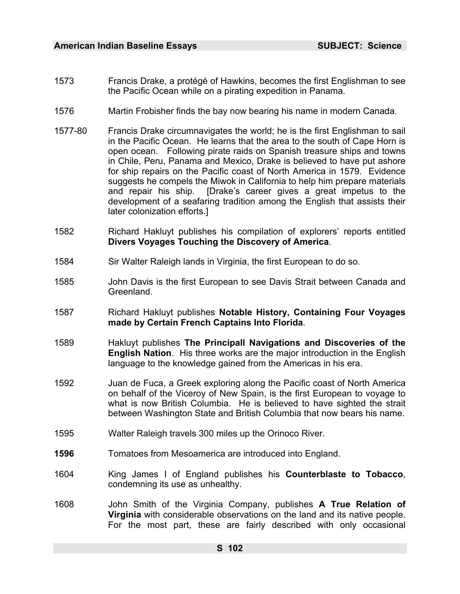- 1573 Francis Drake, a protégé of Hawkins, becomes the first Englishman to see the Pacific Ocean while on a pirating expedition in Panama.
- 1576 Martin Frobisher finds the bay now bearing his name in modern Canada.
- 1577-80 Francis Drake circumnavigates the world; he is the first Englishman to sail in the Pacific Ocean. He learns that the area to the south of Cape Horn is open ocean. Following pirate raids on Spanish treasure ships and towns in Chile, Peru, Panama and Mexico, Drake is believed to have put ashore for ship repairs on the Pacific coast of North America in 1579. Evidence suggests he compels the Miwok in California to help him prepare materials and repair his ship. [Drake's career gives a great impetus to the development of a seafaring tradition among the English that assists their later colonization efforts.]
- 1582 Richard Hakluyt publishes his compilation of explorers' reports entitled **Divers Voyages Touching the Discovery of America**.
- 1584 Sir Walter Raleigh lands in Virginia, the first European to do so.
- 1585 John Davis is the first European to see Davis Strait between Canada and Greenland.
- 1587 Richard Hakluyt publishes **Notable History, Containing Four Voyages made by Certain French Captains Into Florida**.
- 1589 Hakluyt publishes **The Principall Nav[iga](#page-986-41)tions and Discoveries of the English Nation**. His three works are the major introduction in the English language to the knowledge gained from the Americas in his era.
- 1592 Juan de Fuca, a Greek exploring along the Pacific coast of North America on behalf of the Viceroy of New Spain, is the first European to voyage to what is now British Columbia. He is believed to have sighted the strait between Washington State and British Columbia that now bears his name.
- 1595 Walter Raleigh travels 300 miles up the Orinoco River.
- **1596** Tomatoes from M[eso](#page-986-42)america are introduced into England.
- 1604 King James I of England publishes his **Counterblaste to Tobacco**, condemning its use as unhealthy.
- 1608 John Smith of the Virginia Company, publishes **A True Relation of Virginia** with considerable observations on the land and its native people. For the most part, these are fairly described with only occasional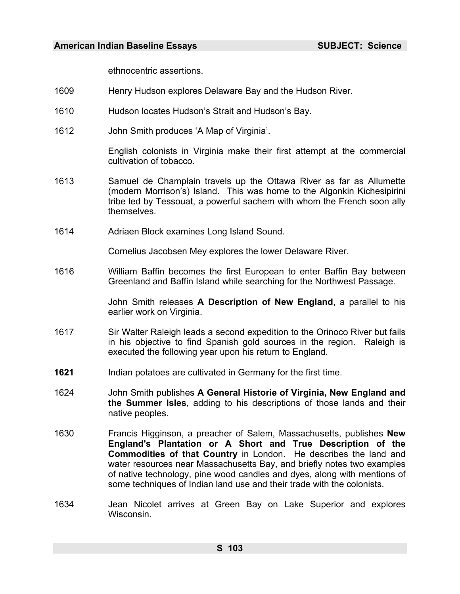ethnocentric assertions.

- 1609 Henry Hudson explores Delaware Bay and the Hudson River.
- 1610 Hudson locates Hudson's Strait and Hudson's Bay.
- 1612 John Smith produces 'A Map of Virginia'.

English colonists in Virginia make their first attempt at the commercial cultivation of tobacco.

- 1613 Samuel de Champlain travels up the Ottawa River as far as Allumette (modern Morrison's) Island. This was home to the Algonkin Kichesipirini tribe led by Tessouat, a powerful sachem with whom the French soon ally themselves.
- 1614 Adriaen Block examines Long Island Sound.

Cornelius Jacobsen Mey explores the lower Delaware River.

1616 William Baffin becomes the first European to enter Baffin Bay between Greenland and Baffin Island while searching for the Northwest Passage.

> John Smith releases **A Description of New England**, a parallel to his earlier work on Virginia.

- 1617 Sir Walter Raleigh leads a second expedition to the Orinoco River but fails in his objective to find Spanish gold sources in the region. Raleigh is executed the following year upon his return to England.
- **1621** Indian potatoes are cultivated in Germany for the first time.
- 1624 John Smith publishes **A General Historie of Virginia, New England and [th](#page-986-43)e Summer Isles**, adding to his descriptions of those lands and their native peoples.
- 1630 Francis Higginson, a preacher of Salem, Massachusetts, publishes **New England's Plantation or A Short and True Description of the Commodities of that Country** in London. He describes the land and water resources near Massachusetts Bay, and briefly notes two examples of native technology, pine wood candles and dyes, along with mentions of some techniques of Indian land use and their trade with the colonists.
- 1634 Jean Nicolet arrives at Green Bay on Lake Superior and explores Wisconsin.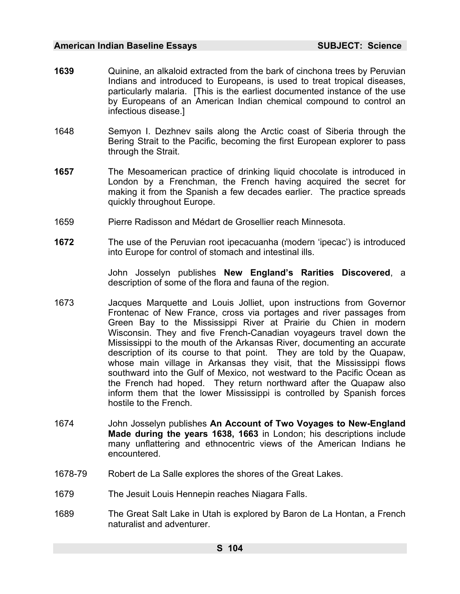- **1639** Quinine, an alkaloid extracted from the bark of cinchona trees by Peruvian Indians and introduced to Europeans, is used to treat tropical diseases, particularly malaria. [This is the earliest documented instance of the use by Europeans of an American Indian chemical compound to control an infectious disease.]
- 1648 Semyon I. Dezhnev sails along the Arctic coast of Siberia through the Bering Strait to the Pacific, becoming the first European explorer to pass through the Strait.
- **1657** The Mesoamerican practice of drinking liquid chocolate is introduced in London by a Frenchman, the French having acquired the secret for making it from the Spanish a few decades earlier. The practice spreads quickly throughout Europe.
- 1659 Pierre Radisson and Médart de Grosellier reach Minnesota.
- **1672** The use of the Peruvian root ipecacuanha (modern 'ipecac') is introduced into Europe for control of stomach and intestinal ills.

John Josselyn publishes **New England's Rarities Discovered**, a description of some of the flora and fauna of the region.

- 1673 Jacques Marquette and Louis Jolliet, upon instructions from Governor Frontenac of New France, cross via portages and river passages from Green Bay to the Mississippi River at Prairie du Chien in modern Wisconsin. They and five French-Canadian voyageurs travel down the Mississippi to the mouth of the Arkansas River, documenting an accurate description of its course to that point. They are told by the Quapaw, whose main village in Arkansas they visit, that the Missis[sip](#page-986-44)pi flows southward into the Gulf of Mexico, not westward to the Pacific Ocean as the French had hoped. They return northward after the Quapaw also inform them that the lower Mississippi is controlled by Spanish forces hostile to the French.
- 1674 John Josselyn publishes **An Account of Two Voyages to New-England Made during the years 1638, 1663** in London; his descriptions include many unflattering and ethnocentric views of the American Indians he encountered.
- 1678-79 Robert de La Salle explores the shores of the Great Lakes.
- 1679 The Jesuit Louis Hennepin reaches Niagara Falls.
- 1689 The Great Salt Lake in Utah is explored by Baron de La Hontan, a French naturalist and adventurer.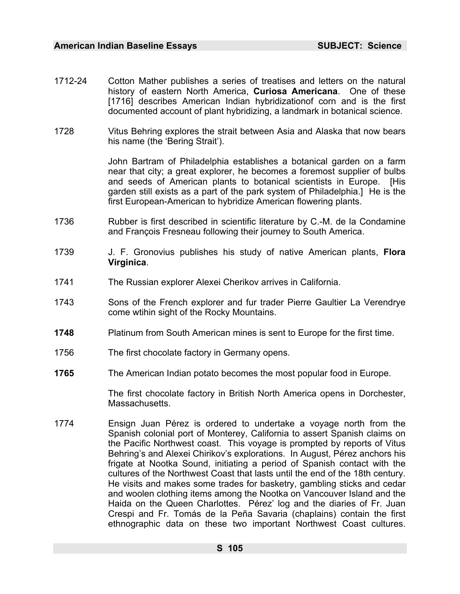- 1712-24 Cotton Mather publishes a series of treatises and letters on the natural history of eastern North America, **Curiosa Americana**. One of these [1716] describes American Indian hybridizationof corn and is the first documented account of plant hybridizing, a landmark in botanical science.
- 1728 Vitus Behring explores the strait between Asia and Alaska that now bears his name (the 'Bering Strait').

John Bartram of Philadelphia establishes a botanical garden on a farm near that city; a great explorer, he becomes a foremost supplier of bulbs and seeds of American plants to botanical scientists in Europe. [His garden still exists as a part of the park system of Philadelphia.] He is the first European-American to hybridize American flowering plants.

- 1736 Rubber is first described in scientific literature by C.-M. de la Condamine and François Fresneau following their journey to South America.
- 1739 J. F. Gronovius publishes his study of native American plants, **Flora Virginica**.
- 1741 The Russian explorer Alexei Cherikov arrives in California.
- 1743 Sons of the French explorer and fur trader Pierre Gaultier La Verendrye come wtihin sight of the Rocky Mountains.
- **1748** Platinum from South American mines is sent to Europe for the first time.
- 1756 The first chocolate factory in Germany opens.
- **1765** The American Indian potato becomes the most popular food in Europe.

The first chocolate factory in British North America opens in Dorchester, Massachusetts.

1774 Ensign Juan Pérez is ordered to undertake a voyage north from the Spanish colonial port of Monterey, California to assert Spanish claims on the Pacific Northwest coast. This voyage is prompted by reports of Vitus Behring's and Alexei Chirikov's explorations. In August, Pérez anchors his frigate at Nootka Sound, initiating a period of Spanish contact with the cultures of the Northwest Coast that lasts until the end of the 18th century. He visits and makes some trades for basketry, gambling sticks and cedar and woolen clothing items among the Nootka on Vancouver Island and the Haida on the Queen Charlottes. Pérez' log and the diaries of Fr. Juan Crespi and Fr. Tomás de la Peña Savaria (chaplains) contain the first ethnographic data on these two important Northwest Coast cultures.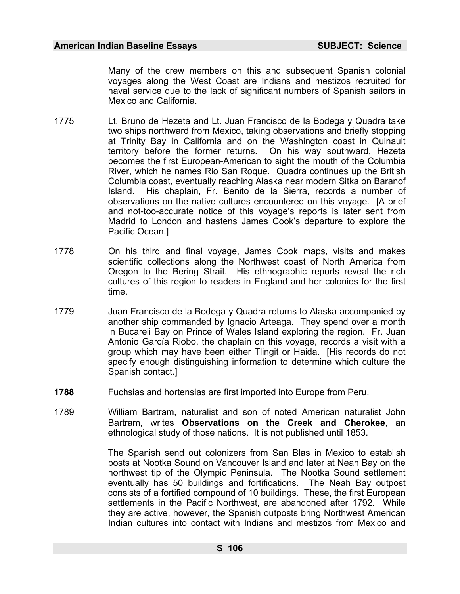Many of the crew members on this and subsequent Spanish colonial voyages along the West Coast are Indians and mestizos recruited for naval service due to the lack of significant numbers of Spanish sailors in Mexico and California.

- 1775 Lt. Bruno de Hezeta and Lt. Juan Francisco de la Bodega y Quadra take two ships northward from Mexico, taking observations and briefly stopping at Trinity Bay in California and on the Washington coast in Quinault territory before the former returns. On his way southward, Hezeta becomes the first European-American to sight the mouth of the Columbia River, which he names Rio San Roque. Quadra continues up the British Columbia coast, eventually reaching Alaska near modern Sitka on Baranof Island. His chaplain, Fr. Benito de la Sierra, records a number of observations on the native cultures encountered on this voyage. [A brief and not-too-accurate notice of this voyage's reports is later sent from Madrid to London and hastens James Cook's departure to explore the Pacific Ocean.]
- 1778 On his third and final voyage, James Cook maps, visits and makes scientific collections along the Northwest coast of North America from Oregon to the Bering Strait. His ethnographic reports reveal the rich cultures of this region to readers in England and her colonies for the first time.
- 1779 Juan Francisco de la Bodega y Quadra returns to Alaska accompanied by another ship commanded by Ignacio Arteaga. They spend over a month in Bucareli Bay on Prince of Wales Island exploring the region. Fr. Juan Antonio García Riobo, the chaplain on this voyage, records a visit with a group which may have been either Tlingit or Haida. [His records do not specify enough distinguishing information to determine which culture the Spanish contact.]
- **1788** Fuchsias and hortensias are first imported into Europe from Peru.
- 1789 William Bartram, naturalist and son of noted American naturalist John Bartram, writes **Observations on the Creek and Cherokee**, an ethnological study of those nations. It is not published until 1853.

The Spanish send out colonizers from San Blas in Mexico to establish posts at Nootka Sound on Vancouver Island and later at Neah Bay on the northwest tip of the Olympic Peninsula. The Nootka Sound settlement eventually has 50 buildings and fortifications. The Neah Bay outpost consists of a fortified compound of 10 buildings. These, the first European settlements in the Pacific Northwest, are abandoned after 1792. While they are active, however, the Spanish outposts bring Northwest American Indian cultures into contact with Indians and mestizos from Mexico and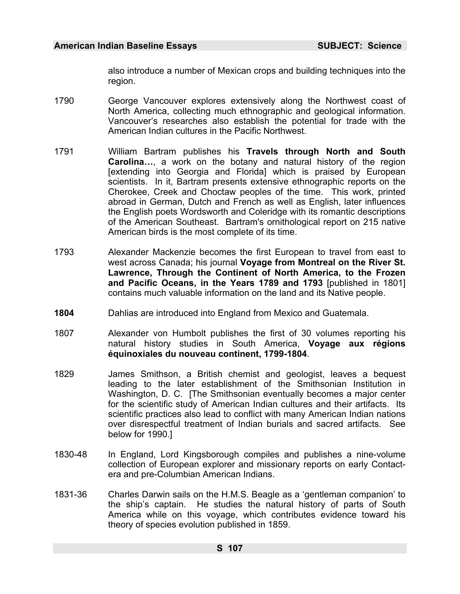also introduce a number of Mexican crops and building techniques into the region.

- 1790 George Vancouver explores extensively along the Northwest coast of North America, collecting much ethnographic and geological information. Vancouver's researches also establish the potential for trade with the American Indian cultures in the Pacific Northwest.
- 1791 William Bartram publishes his **Travels through North and South Carolina…**, a work on the botany and natural history of the region [extending into Georgia and Florida] which is praised by European scientists. In it, Bartram presents extensive ethnographic reports on the Cherokee, Creek and Choctaw peoples of the time. This work, printed abroad in German, Dutch and French as well as English, later influences the English poets Wordsworth and Coleridge with its romantic descriptions of the American Southeast. Bartram's ornithological report on 215 native American birds is the most complete of its time.
- 1793 Alexander Mackenzie becomes the first European to travel from east to west across Canada; his journal **Voyage from Montreal on the River St. Lawrence, Through the Continent of North America, to the Frozen and Pacific Oceans, in the Years 1789 and 1793** [published in 1801] contains much valuable information on the land and its Native people.
- **1804** Dahlias are introduced into England from Mexico and Guatemala.
- 1807 Alexander von Humbolt publishes the first of 30 volumes reporting his natural history studies in South America, **Voyage aux régions équinoxiales du nouveau continent, 1799-1804**.
- 1829 James Smithson, a British chemist and geologist, leaves a bequest leading to the later establishment of the Smithsonian Institution in Washington, D. C. [The Smithsonian eventually becomes a major center for the scientific study of American Indian cultures and their artifacts. Its scientific practices also lead to conflict with many American Indian nations over disrespectful treatment of Indian burials and sacred artifacts. See below for 1990.]
- 1830-48 In England, Lord Kingsborough compiles and publishes a nine-volume collection of European explorer and missionary reports on early Contactera and pre-Columbian American Indians.
- 1831-36 Charles Darwin sails on the H.M.S. Beagle as a 'gentleman companion' to the ship's captain. He studies the natural history of parts of South America while on this voyage, which contributes evidence toward his theory of species evolution published in 1859.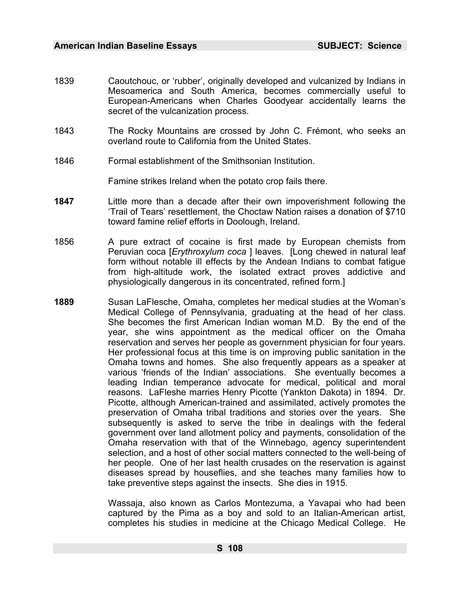- 1839 Caoutchouc, or 'rubber', originally developed and vulcanized by Indians in Mesoamerica and South America, becomes commercially useful to European-Americans when Charles Goodyear accidentally learns the secret of the vulcanization process.
- 1843 The Rocky Mountains are crossed by John C. Frémont, who seeks an overland route to California from the United States.
- 1846 Formal establishment of the Smithsonian Institution.

Famine strikes Ireland when the potato crop fails there.

- **1847** Little more than a decade after their own impoverishment following the 'Trail of Tears' resettlement, the Choctaw Nation raises a donation of \$710 toward famine relief efforts in Doolough, Ireland.
- 1856 A pure extract of cocaine is first made by European chemists from Peruvian coca [*Erythroxylum coca* ] leaves. [Long chewed in natural leaf form without notable ill effects by the Andean Indians to combat fatigue from high-altitude work, the isolated extract proves addictive and physiologically dangerous in its concentrated, refined form.]
- **1889** Susan LaFlesche, Omaha, completes her medical studies at the Woman's Medical College of Pennsylvania, graduating at the head of her class. She becomes the first American Indian woman M.D. By the end of the year, she wins appointment as the medical officer on the Omaha reservation and serves her people as government physician for four years. Her professional focus at this time is on improving public sanitation in the Omaha towns and homes. She also frequently appears as a speaker at various 'friends of the Indian' associations. She eventually becomes a leading Indian temperance advocate for medical, political and moral reasons. LaFleshe marries Henry Picotte (Yankton Dakota) in 1894. Dr. Picotte, although American-trained and assimilated, actively promotes the preservation of Omaha tribal traditions and stories over the years. She subsequently is asked to serve the tribe in dealings with the federal government over land allotment policy and payments, consolidation of the Omaha reservation with that of the Winnebago, agency superintendent selection, and a host of other social matters connected to the well-being of her people. One of her last health crusades on the reservation is against diseases spread by houseflies, and she teaches many families how to take preventive steps against the insects. She dies in 1915.

Wassaja, also known as Carlos Montezuma, a Yavapai who had been captured by the Pima as a boy and sold to an Italian-American artist, completes his studies in medicine at the Chicago Medical College. He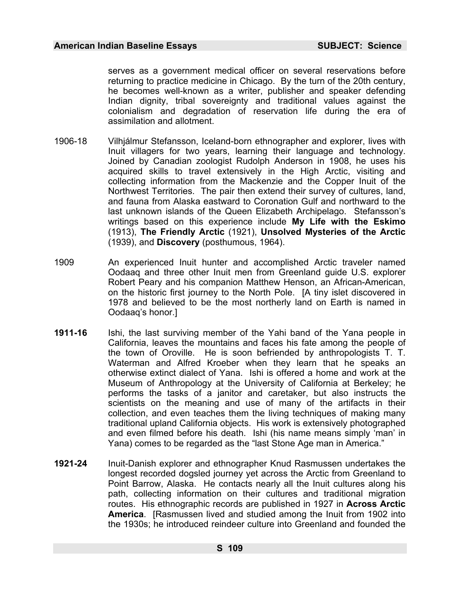serves as a government medical officer on several reservations before returning to practice medicine in Chicago. By the turn of the 20th century, he becomes well-known as a writer, publisher and speaker defending Indian dignity, tribal sovereignty and traditional values against the colonialism and degradation of reservation life during the era of assimilation and allotment.

- 1906-18 Vilhjálmur Stefansson, Iceland-born ethnographer and explorer, lives with Inuit villagers for two years, learning their language and technology. Joined by Canadian zoologist Rudolph Anderson in 1908, he uses his acquired skills to travel extensively in the High Arctic, visiting and collecting information from the Mackenzie and the Copper Inuit of the Northwest Territories. The pair then extend their survey of cultures, land, and fauna from Alaska eastward to Coronation Gulf and northward to the last unknown islands of the Queen Elizabeth Archipelago. Stefansson's writings based on this experience include **My Life with the Eskimo**  (1913), **The Friendly Arctic** (1921), **Unsolved Mysteries of the Arctic**  (1939), and **Discovery** (posthumous, 1964).
- 1909 An experienced Inuit hunter and accomplished Arctic traveler named Oodaaq and three other Inuit men from Greenland guide U.S. explorer Robert Peary and his companion Matthew Henson, an African-American, on the historic first journey to the North Pole. [A tiny islet discovered in 1978 and believed to be the most northerly land on Earth is named in Oodaaq's honor.]
- **1911-16** Ishi, the last surviving member of the Yahi band of the Yana people in California, leaves the mountains and faces his fate among the people of the town of Oroville. He is soon befriended by anthropologists T. T. Waterman and Alfred Kroeber when they learn that he speaks an otherwise extinct dialect of Yana. Ishi is offered a home and work at the Museum of Anthropology at the University of California at Berkeley; he performs the tasks of a janitor and caretaker, but also instructs the scientists on the meaning and use of many of the artifacts in their collection, and even teaches them the living techniques of making many traditional upland California objects. His work is extensively photographed and even filmed before his death. Ishi (his name means simply 'man' in Yana) comes to be regarded as the "last Stone Age man in America."
- **1921-24** Inuit-Danish explorer and ethnographer Knud Rasmussen undertakes the longest recorded dogsled journey yet across the Arctic from Greenland to Point Barrow, Alaska. He contacts nearly all the Inuit cultures along his path, collecting information on their cultures and traditional migration routes. His ethnographic records are published in 1927 in **Across Arctic America**. [Rasmussen lived and studied among the Inuit from 1902 into the 1930s; he introduced reindeer culture into Greenland and founded the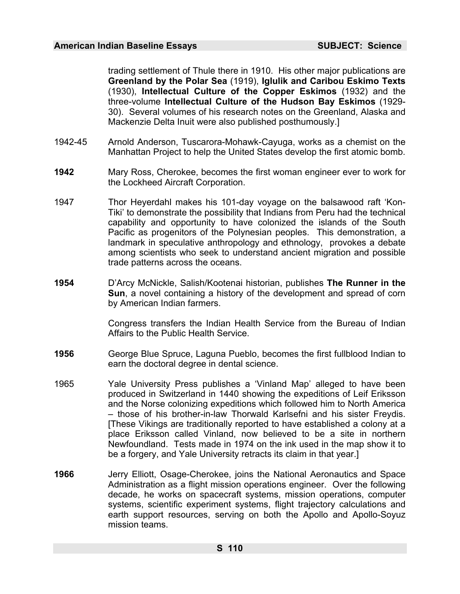trading settlement of Thule there in 1910. His other major publications are **Greenland by the Polar Sea** (1919), **Iglulik and Caribou Eskimo Texts**  (1930), **Intellectual Culture of the Copper Eskimos** (1932) and the three-volume **Intellectual Culture of the Hudson Bay Eskimos** (1929- 30). Several volumes of his research notes on the Greenland, Alaska and Mackenzie Delta Inuit were also published posthumously.]

- 1942-45 Arnold Anderson, Tuscarora-Mohawk-Cayuga, works as a chemist on the Manhattan Project to help the United States develop the first atomic bomb.
- **1942** Mary Ross, Cherokee, becomes the first woman engineer ever to work for the Lockheed Aircraft Corporation.
- 1947 Thor Heyerdahl makes his 101-day voyage on the balsawood raft 'Kon-Tiki' to demonstrate the possibility that Indians from Peru had the technical capability and opportunity to have colonized the islands of the South Pacific as progenitors of the Polynesian peoples. This demonstration, a landmark in speculative anthropology and ethnology, provokes a debate among scientists who seek to understand ancient migration and possible trade patterns across the oceans.
- **1954** D'Arcy McNickle, Salish/Kootenai historian, publishes **The Runner in the Sun**, a novel containing a history of the development and spread of corn by American Indian farmers.

Congress transfers the Indian Health Service from the Bureau of Indian Affairs to the Public Health Service.

- **1956** George Blue Spruce, Laguna Pueblo, becomes the first fullblood Indian to earn the doctoral degree in dental science.
- 1965 Yale University Press publishes a 'Vinland Map' alleged to have been produced in Switzerland in 1440 showing the expeditions of Leif Eriksson and the Norse colonizing expeditions which followed him to North America – those of his brother-in-law Thorwald Karlsefni and his sister Freydis. [These Vikings are traditionally reported to have established a colony at a place Eriksson called Vinland, now believed to be a site in northern Newfoundland. Tests made in 1974 on the ink used in the map show it to be a forgery, and Yale University retracts its claim in that year.]
- **1966** Jerry Elliott, Osage-Cherokee, joins the National Aeronautics and Space Administration as a flight mission operations engineer. Over the following decade, he works on spacecraft systems, mission operations, computer systems, scientific experiment systems, flight trajectory calculations and earth support resources, serving on both the Apollo and Apollo-Soyuz mission teams.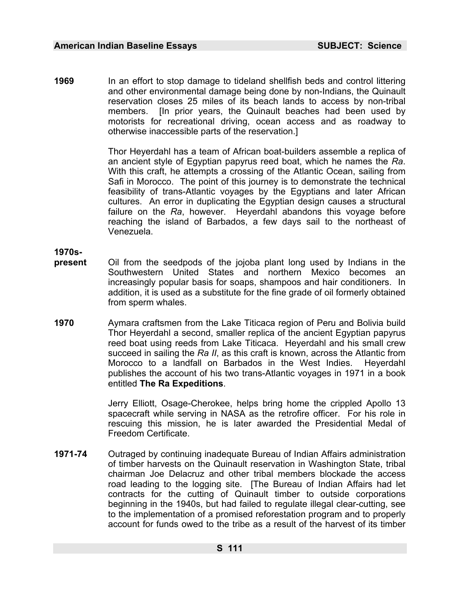**1969** In an effort to stop damage to tideland shellfish beds and control littering and other environmental damage being done by non-Indians, the Quinault reservation closes 25 miles of its beach lands to access by non-tribal members. [In prior years, the Quinault beaches had been used by motorists for recreational driving, ocean access and as roadway to otherwise inaccessible parts of the reservation.]

> Thor Heyerdahl has a team of African boat-builders assemble a replica of an ancient style of Egyptian papyrus reed boat, which he names the *Ra*. With this craft, he attempts a crossing of the Atlantic Ocean, sailing from Safi in Morocco. The point of this journey is to demonstrate the technical feasibility of trans-Atlantic voyages by the Egyptians and later African cultures. An error in duplicating the Egyptian design causes a structural failure on the *Ra*, however. Heyerdahl abandons this voyage before reaching the island of Barbados, a few days sail to the northeast of Venezuela.

**1970s-**

- **present** Oil from the seedpods of the jojoba plant long used by Indians in the Southwestern United States and northern Mexico becomes an increasingly popular basis for soaps, shampoos and hair conditioners. In addition, it is used as a substitute for the fine grade of oil formerly obtained from sperm whales.
- **1970** Aymara craftsmen from the Lake Titicaca region of Peru and Bolivia build Thor Heyerdahl a second, smaller replica of the ancient Egyptian papyrus reed boat using reeds from Lake Titicaca. Heyerdahl and his small crew succeed in sailing the *Ra II*, as this craft is known, across the Atlantic from Morocco to a landfall on Barbados in the West Indies. Heyerdahl publishes the account of his two trans-Atlantic voyages in 1971 in a book entitled **The Ra Expeditions**.

Jerry Elliott, Osage-Cherokee, helps bring home the crippled Apollo 13 spacecraft while serving in NASA as the retrofire officer. For his role in rescuing this mission, he is later awarded the Presidential Medal of Freedom Certificate.

**1971-74** Outraged by continuing inadequate Bureau of Indian Affairs administration of timber harvests on the Quinault reservation in Washington State, tribal chairman Joe Delacruz and other tribal members blockade the access road leading to the logging site. [The Bureau of Indian Affairs had let contracts for the cutting of Quinault timber to outside corporations beginning in the 1940s, but had failed to regulate illegal clear-cutting, see to the implementation of a promised reforestation program and to properly account for funds owed to the tribe as a result of the harvest of its timber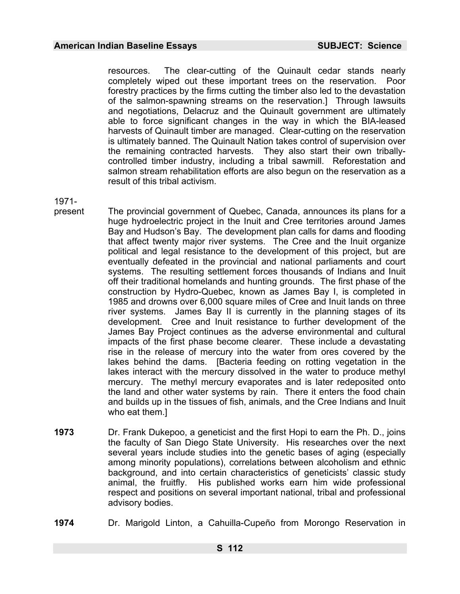resources. The clear-cutting of the Quinault cedar stands nearly completely wiped out these important trees on the reservation. Poor forestry practices by the firms cutting the timber also led to the devastation of the salmon-spawning streams on the reservation.] Through lawsuits and negotiations, Delacruz and the Quinault government are ultimately able to force significant changes in the way in which the BIA-leased harvests of Quinault timber are managed. Clear-cutting on the reservation is ultimately banned. The Quinault Nation takes control of supervision over the remaining contracted harvests. They also start their own triballycontrolled timber industry, including a tribal sawmill. Reforestation and salmon stream rehabilitation efforts are also begun on the reservation as a result of this tribal activism.

1971-

- present The provincial government of Quebec, Canada, announces its plans for a huge hydroelectric project in the Inuit and Cree territories around James Bay and Hudson's Bay. The development plan calls for dams and flooding that affect twenty major river systems. The Cree and the Inuit organize political and legal resistance to the development of this project, but are eventually defeated in the provincial and national parliaments and court systems. The resulting settlement forces thousands of Indians and Inuit off their traditional homelands and hunting grounds. The first phase of the construction by Hydro-Quebec, known as James Bay I, is completed in 1985 and drowns over 6,000 square miles of Cree and Inuit lands on three river systems. James Bay II is currently in the planning stages of its development. Cree and Inuit resistance to further development of the James Bay Project continues as the adverse environmental and cultural impacts of the first phase become clearer. These include a devastating rise in the release of mercury into the water from ores covered by the lakes behind the dams. [Bacteria feeding on rotting vegetation in the lakes interact with the mercury dissolved in the water to produce methyl mercury. The methyl mercury evaporates and is later redeposited onto the land and other water systems by rain. There it enters the food chain and builds up in the tissues of fish, animals, and the Cree Indians and Inuit who eat them.]
- **1973** Dr. Frank Dukepoo, a geneticist and the first Hopi to earn the Ph. D., joins the faculty of San Diego State University. His researches over the next several years include studies into the genetic bases of aging (especially among minority populations), correlations between alcoholism and ethnic background, and into certain characteristics of geneticists' classic study animal, the fruitfly. His published works earn him wide professional respect and positions on several important national, tribal and professional advisory bodies.
- **1974** Dr. Marigold Linton, a Cahuilla-Cupeño from Morongo Reservation in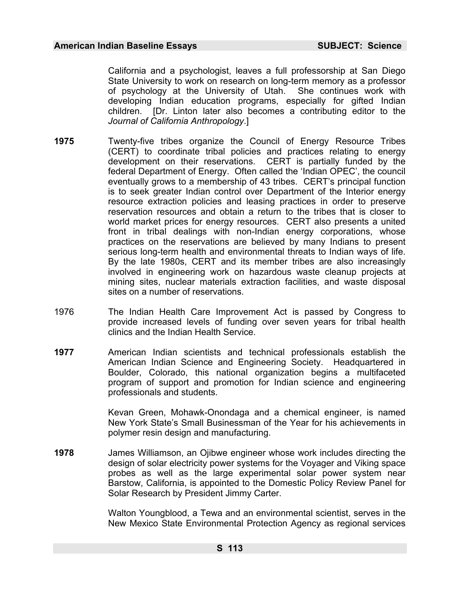California and a psychologist, leaves a full professorship at San Diego State University to work on research on long-term memory as a professor of psychology at the University of Utah. She continues work with developing Indian education programs, especially for gifted Indian children. [Dr. Linton later also becomes a contributing editor to the *Journal of California Anthropology*.]

- **1975** Twenty-five tribes organize the Council of Energy Resource Tribes (CERT) to coordinate tribal policies and practices relating to energy development on their reservations. CERT is partially funded by the federal Department of Energy. Often called the 'Indian OPEC', the council eventually grows to a membership of 43 tribes. CERT's principal function is to seek greater Indian control over Department of the Interior energy resource extraction policies and leasing practices in order to preserve reservation resources and obtain a return to the tribes that is closer to world market prices for energy resources. CERT also presents a united front in tribal dealings with non-Indian energy corporations, whose practices on the reservations are believed by many Indians to present serious long-term health and environmental threats to Indian ways of life. By the late 1980s, CERT and its member tribes are also increasingly involved in engineering work on hazardous waste cleanup projects at mining sites, nuclear materials extraction facilities, and waste disposal sites on a number of reservations.
- 1976 The Indian Health Care Improvement Act is passed by Congress to provide increased levels of funding over seven years for tribal health clinics and the Indian Health Service.
- **1977** American Indian scientists and technical professionals establish the American Indian Science and Engineering Society. Headquartered in Boulder, Colorado, this national organization begins a multifaceted program of support and promotion for Indian science and engineering professionals and students.

Kevan Green, Mohawk-Onondaga and a chemical engineer, is named New York State's Small Businessman of the Year for his achievements in polymer resin design and manufacturing.

**1978** James Williamson, an Ojibwe engineer whose work includes directing the design of solar electricity power systems for the Voyager and Viking space probes as well as the large experimental solar power system near Barstow, California, is appointed to the Domestic Policy Review Panel for Solar Research by President Jimmy Carter.

> Walton Youngblood, a Tewa and an environmental scientist, serves in the New Mexico State Environmental Protection Agency as regional services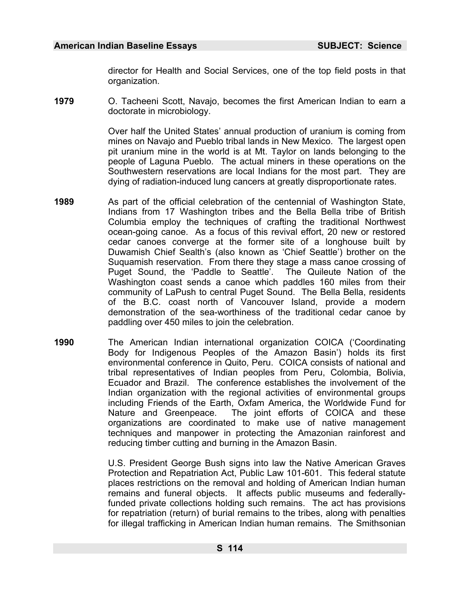director for Health and Social Services, one of the top field posts in that organization.

**1979** O. Tacheeni Scott, Navajo, becomes the first American Indian to earn a doctorate in microbiology.

> Over half the United States' annual production of uranium is coming from mines on Navajo and Pueblo tribal lands in New Mexico. The largest open pit uranium mine in the world is at Mt. Taylor on lands belonging to the people of Laguna Pueblo. The actual miners in these operations on the Southwestern reservations are local Indians for the most part. They are dying of radiation-induced lung cancers at greatly disproportionate rates.

- **1989** As part of the official celebration of the centennial of Washington State, Indians from 17 Washington tribes and the Bella Bella tribe of British Columbia employ the techniques of crafting the traditional Northwest ocean-going canoe. As a focus of this revival effort, 20 new or restored cedar canoes converge at the former site of a longhouse built by Duwamish Chief Sealth's (also known as 'Chief Seattle') brother on the Suquamish reservation. From there they stage a mass canoe crossing of Puget Sound, the 'Paddle to Seattle'. The Quileute Nation of the Washington coast sends a canoe which paddles 160 miles from their community of LaPush to central Puget Sound. The Bella Bella, residents of the B.C. coast north of Vancouver Island, provide a modern demonstration of the sea-worthiness of the traditional cedar canoe by paddling over 450 miles to join the celebration.
- **1990** The American Indian international organization COICA ('Coordinating Body for Indigenous Peoples of the Amazon Basin') holds its first environmental conference in Quito, Peru. COICA consists of national and tribal representatives of Indian peoples from Peru, Colombia, Bolivia, Ecuador and Brazil. The conference establishes the involvement of the Indian organization with the regional activities of environmental groups including Friends of the Earth, Oxfam America, the Worldwide Fund for Nature and Greenpeace. The joint efforts of COICA and these organizations are coordinated to make use of native management techniques and manpower in protecting the Amazonian rainforest and reducing timber cutting and burning in the Amazon Basin.

U.S. President George Bush signs into law the Native American Graves Protection and Repatriation Act, Public Law 101-601. This federal statute places restrictions on the removal and holding of American Indian human remains and funeral objects. It affects public museums and federallyfunded private collections holding such remains. The act has provisions for repatriation (return) of burial remains to the tribes, along with penalties for illegal trafficking in American Indian human remains. The Smithsonian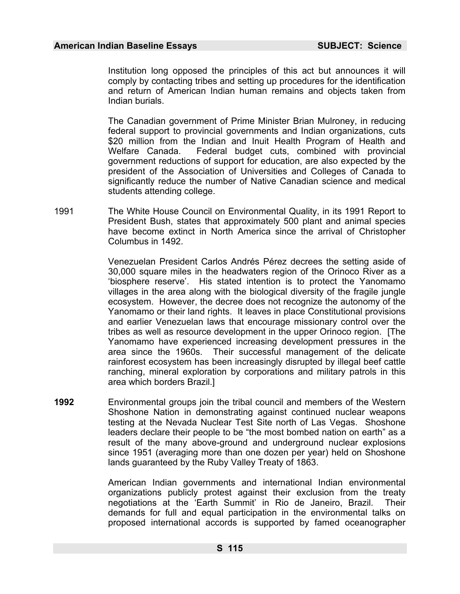Institution long opposed the principles of this act but announces it will comply by contacting tribes and setting up procedures for the identification and return of American Indian human remains and objects taken from Indian burials.

The Canadian government of Prime Minister Brian Mulroney, in reducing federal support to provincial governments and Indian organizations, cuts \$20 million from the Indian and Inuit Health Program of Health and Welfare Canada. Federal budget cuts, combined with provincial government reductions of support for education, are also expected by the president of the Association of Universities and Colleges of Canada to significantly reduce the number of Native Canadian science and medical students attending college.

1991 The White House Council on Environmental Quality, in its 1991 Report to President Bush, states that approximately 500 plant and animal species have become extinct in North America since the arrival of Christopher Columbus in 1492.

> Venezuelan President Carlos Andrés Pérez decrees the setting aside of 30,000 square miles in the headwaters region of the Orinoco River as a 'biosphere reserve'. His stated intention is to protect the Yanomamo villages in the area along with the biological diversity of the fragile jungle ecosystem. However, the decree does not recognize the autonomy of the Yanomamo or their land rights. It leaves in place Constitutional provisions and earlier Venezuelan laws that encourage missionary control over the tribes as well as resource development in the upper Orinoco region. [The Yanomamo have experienced increasing development pressures in the area since the 1960s. Their successful management of the delicate rainforest ecosystem has been increasingly disrupted by illegal beef cattle ranching, mineral exploration by corporations and military patrols in this area which borders Brazil.]

**1992** Environmental groups join the tribal council and members of the Western Shoshone Nation in demonstrating against continued nuclear weapons testing at the Nevada Nuclear Test Site north of Las Vegas. Shoshone leaders declare their people to be "the most bombed nation on earth" as a result of the many above-ground and underground nuclear explosions since 1951 (averaging more than one dozen per year) held on Shoshone lands guaranteed by the Ruby Valley Treaty of 1863.

> American Indian governments and international Indian environmental organizations publicly protest against their exclusion from the treaty negotiations at the 'Earth Summit' in Rio de Janeiro, Brazil. Their demands for full and equal participation in the environmental talks on proposed international accords is supported by famed oceanographer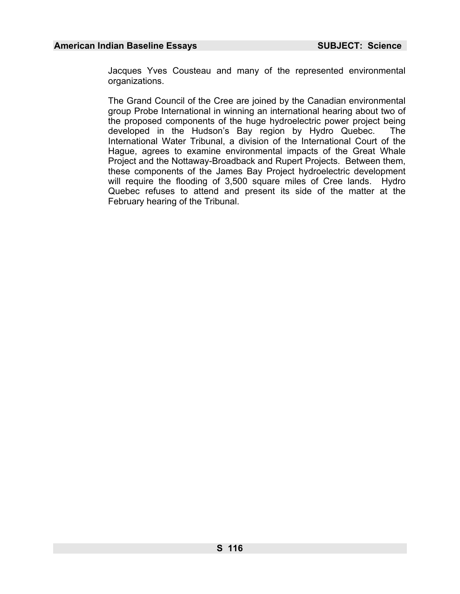Jacques Yves Cousteau and many of the represented environmental organizations.

The Grand Council of the Cree are joined by the Canadian environmental group Probe International in winning an international hearing about two of the proposed components of the huge hydroelectric power project being developed in the Hudson's Bay region by Hydro Quebec. The International Water Tribunal, a division of the International Court of the Hague, agrees to examine environmental impacts of the Great Whale Project and the Nottaway-Broadback and Rupert Projects. Between them, these components of the James Bay Project hydroelectric development will require the flooding of 3,500 square miles of Cree lands. Hydro Quebec refuses to attend and present its side of the matter at the February hearing of the Tribunal.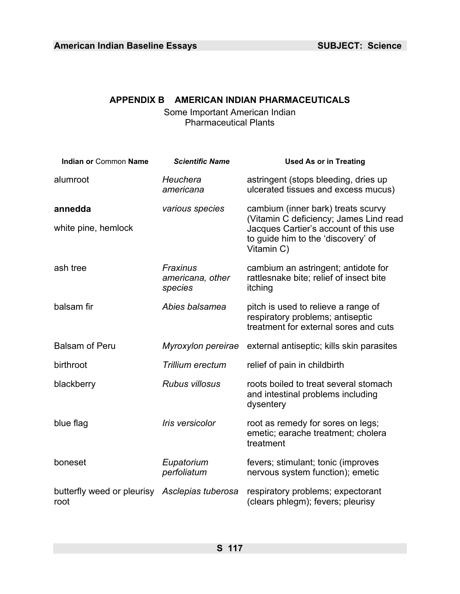# **APPENDIX B AMERICAN INDIAN PHARMACEUTICALS**

Some Important American Indian Pharmaceutical Plants

| <b>Indian or Common Name</b>                          | <b>Scientific Name</b>                  | <b>Used As or in Treating</b>                                                                                    |
|-------------------------------------------------------|-----------------------------------------|------------------------------------------------------------------------------------------------------------------|
| alumroot                                              | Heuchera<br>americana                   | astringent (stops bleeding, dries up<br>ulcerated tissues and excess mucus)                                      |
| annedda                                               | various species                         | cambium (inner bark) treats scurvy<br>(Vitamin C deficiency; James Lind read                                     |
| white pine, hemlock                                   |                                         | Jacques Cartier's account of this use<br>to guide him to the 'discovery' of<br>Vitamin C)                        |
| ash tree                                              | Fraxinus<br>americana, other<br>species | cambium an astringent; antidote for<br>rattlesnake bite; relief of insect bite<br>itching                        |
| balsam fir                                            | Abies balsamea                          | pitch is used to relieve a range of<br>respiratory problems; antiseptic<br>treatment for external sores and cuts |
| <b>Balsam of Peru</b>                                 | Myroxylon pereirae                      | external antiseptic, kills skin parasites                                                                        |
| birthroot                                             | Trillium erectum                        | relief of pain in childbirth                                                                                     |
| blackberry                                            | <b>Rubus villosus</b>                   | roots boiled to treat several stomach<br>and intestinal problems including<br>dysentery                          |
| blue flag                                             | Iris versicolor                         | root as remedy for sores on legs;<br>emetic; earache treatment; cholera<br>treatment                             |
| boneset                                               | Eupatorium<br>perfoliatum               | fevers; stimulant; tonic (improves<br>nervous system function); emetic                                           |
| butterfly weed or pleurisy Asclepias tuberosa<br>root |                                         | respiratory problems; expectorant<br>(clears phlegm); fevers; pleurisy                                           |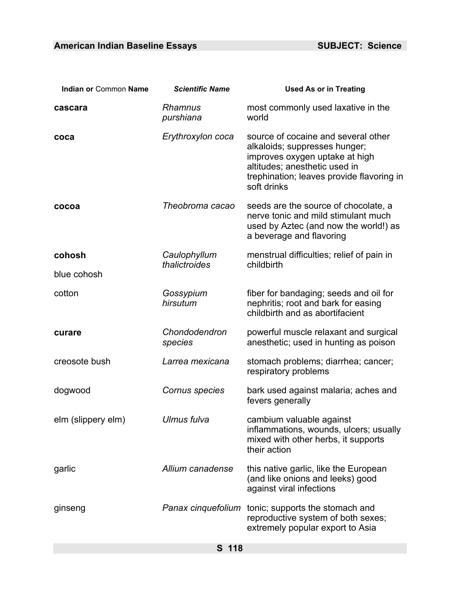| <b>Indian or Common Name</b> | <b>Scientific Name</b>        | <b>Used As or in Treating</b>                                                                                                                                                                       |
|------------------------------|-------------------------------|-----------------------------------------------------------------------------------------------------------------------------------------------------------------------------------------------------|
| cascara                      | <b>Rhamnus</b><br>purshiana   | most commonly used laxative in the<br>world                                                                                                                                                         |
| coca                         | Erythroxylon coca             | source of cocaine and several other<br>alkaloids; suppresses hunger;<br>improves oxygen uptake at high<br>altitudes; anesthetic used in<br>trephination; leaves provide flavoring in<br>soft drinks |
| cocoa                        | Theobroma cacao               | seeds are the source of chocolate, a<br>nerve tonic and mild stimulant much<br>used by Aztec (and now the world!) as<br>a beverage and flavoring                                                    |
| cohosh                       | Caulophyllum<br>thalictroides | menstrual difficulties; relief of pain in<br>childbirth                                                                                                                                             |
| blue cohosh                  |                               |                                                                                                                                                                                                     |
| cotton                       | Gossypium<br>hirsutum         | fiber for bandaging; seeds and oil for<br>nephritis; root and bark for easing<br>childbirth and as abortifacient                                                                                    |
| curare                       | Chondodendron<br>species      | powerful muscle relaxant and surgical<br>anesthetic; used in hunting as poison                                                                                                                      |
| creosote bush                | Larrea mexicana               | stomach problems; diarrhea; cancer;<br>respiratory problems                                                                                                                                         |
| dogwood                      | Cornus species                | bark used against malaria; aches and<br>fevers generally                                                                                                                                            |
| elm (slippery elm)           | Ulmus fulva                   | cambium valuable against<br>inflammations, wounds, ulcers; usually<br>mixed with other herbs, it supports<br>their action                                                                           |
| garlic                       | Allium canadense              | this native garlic, like the European<br>(and like onions and leeks) good<br>against viral infections                                                                                               |
| ginseng                      |                               | Panax cinquefolium tonic; supports the stomach and<br>reproductive system of both sexes;<br>extremely popular export to Asia                                                                        |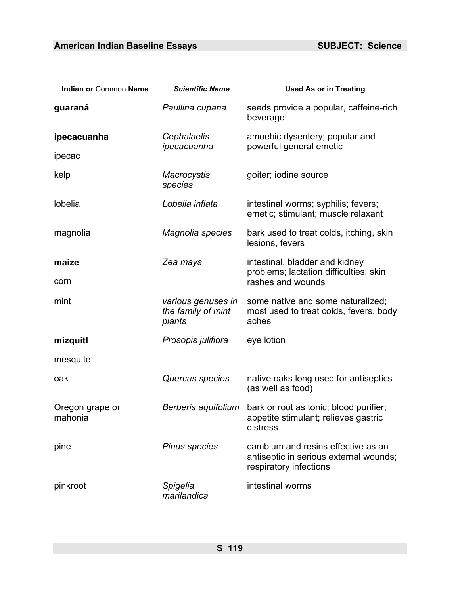| Indian or Common Name      | <b>Scientific Name</b>                             | <b>Used As or in Treating</b>                                                                          |
|----------------------------|----------------------------------------------------|--------------------------------------------------------------------------------------------------------|
| guaraná                    | Paullina cupana                                    | seeds provide a popular, caffeine-rich<br>beverage                                                     |
| ipecacuanha                | Cephalaelis<br>ipecacuanha                         | amoebic dysentery; popular and<br>powerful general emetic                                              |
| ipecac                     |                                                    |                                                                                                        |
| kelp                       | <b>Macrocystis</b><br>species                      | goiter; iodine source                                                                                  |
| lobelia                    | Lobelia inflata                                    | intestinal worms; syphilis; fevers;<br>emetic; stimulant; muscle relaxant                              |
| magnolia                   | Magnolia species                                   | bark used to treat colds, itching, skin<br>lesions, fevers                                             |
| maize                      | Zea mays                                           | intestinal, bladder and kidney                                                                         |
| corn                       |                                                    | problems; lactation difficulties; skin<br>rashes and wounds                                            |
| mint                       | various genuses in<br>the family of mint<br>plants | some native and some naturalized;<br>most used to treat colds, fevers, body<br>aches                   |
| mizquitl                   | Prosopis juliflora                                 | eye lotion                                                                                             |
| mesquite                   |                                                    |                                                                                                        |
| oak                        | Quercus species                                    | native oaks long used for antiseptics<br>(as well as food)                                             |
| Oregon grape or<br>mahonia | Berberis aquifolium                                | bark or root as tonic; blood purifier;<br>appetite stimulant; relieves gastric<br>distress             |
| pine                       | <b>Pinus species</b>                               | cambium and resins effective as an<br>antiseptic in serious external wounds;<br>respiratory infections |
| pinkroot                   | Spigelia<br>marilandica                            | intestinal worms                                                                                       |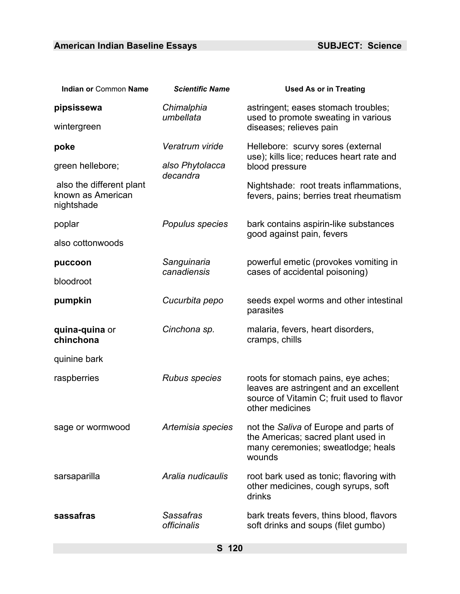| Indian or Common Name                                       | <b>Scientific Name</b>                 | <b>Used As or in Treating</b>                                                                                                                 |
|-------------------------------------------------------------|----------------------------------------|-----------------------------------------------------------------------------------------------------------------------------------------------|
| pipsissewa<br>wintergreen                                   | Chimalphia<br>umbellata                | astringent; eases stomach troubles;<br>used to promote sweating in various<br>diseases; relieves pain                                         |
| poke                                                        | Veratrum viride                        | Hellebore: scurvy sores (external<br>use); kills lice; reduces heart rate and                                                                 |
| green hellebore;                                            | also Phytolacca<br>decandra            | blood pressure                                                                                                                                |
| also the different plant<br>known as American<br>nightshade |                                        | Nightshade: root treats inflammations,<br>fevers, pains; berries treat rheumatism                                                             |
| poplar                                                      | Populus species                        | bark contains aspirin-like substances<br>good against pain, fevers                                                                            |
| also cottonwoods                                            |                                        |                                                                                                                                               |
| puccoon                                                     | Sanguinaria<br>canadiensis             | powerful emetic (provokes vomiting in<br>cases of accidental poisoning)                                                                       |
| bloodroot                                                   |                                        |                                                                                                                                               |
| pumpkin                                                     | Cucurbita pepo                         | seeds expel worms and other intestinal<br>parasites                                                                                           |
| quina-quina or<br>chinchona                                 | Cinchona sp.                           | malaria, fevers, heart disorders,<br>cramps, chills                                                                                           |
| quinine bark                                                |                                        |                                                                                                                                               |
| raspberries                                                 | <b>Rubus species</b>                   | roots for stomach pains, eye aches;<br>leaves are astringent and an excellent<br>source of Vitamin C; fruit used to flavor<br>other medicines |
| sage or wormwood                                            | Artemisia species                      | not the Saliva of Europe and parts of<br>the Americas; sacred plant used in<br>many ceremonies; sweatlodge; heals<br>wounds                   |
| sarsaparilla                                                | Aralia nudicaulis                      | root bark used as tonic; flavoring with<br>other medicines, cough syrups, soft<br>drinks                                                      |
| sassafras                                                   | Sassafras<br><i><b>officinalis</b></i> | bark treats fevers, thins blood, flavors<br>soft drinks and soups (filet gumbo)                                                               |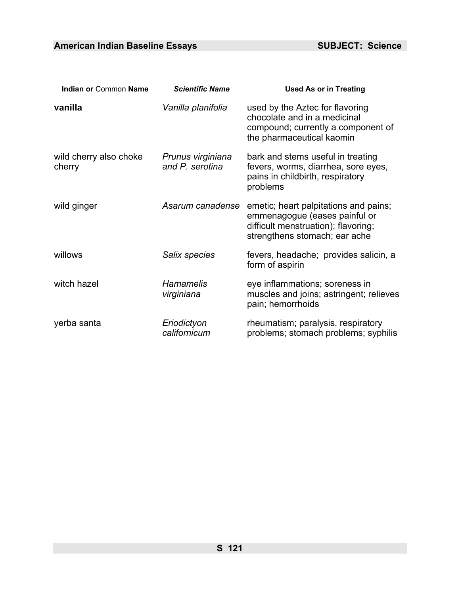| <b>Indian or Common Name</b>     | <b>Scientific Name</b>               | <b>Used As or in Treating</b>                                                                                                                  |
|----------------------------------|--------------------------------------|------------------------------------------------------------------------------------------------------------------------------------------------|
| vanilla                          | Vanilla planifolia                   | used by the Aztec for flavoring<br>chocolate and in a medicinal<br>compound; currently a component of<br>the pharmaceutical kaomin             |
| wild cherry also choke<br>cherry | Prunus virginiana<br>and P. serotina | bark and stems useful in treating<br>fevers, worms, diarrhea, sore eyes,<br>pains in childbirth, respiratory<br>problems                       |
| wild ginger                      | Asarum canadense                     | emetic; heart palpitations and pains;<br>emmenagogue (eases painful or<br>difficult menstruation); flavoring;<br>strengthens stomach; ear ache |
| willows                          | Salix species                        | fevers, headache; provides salicin, a<br>form of aspirin                                                                                       |
| witch hazel                      | <b>Hamamelis</b><br>virginiana       | eye inflammations; soreness in<br>muscles and joins; astringent; relieves<br>pain; hemorrhoids                                                 |
| yerba santa                      | Eriodictyon<br>californicum          | rheumatism; paralysis, respiratory<br>problems; stomach problems; syphilis                                                                     |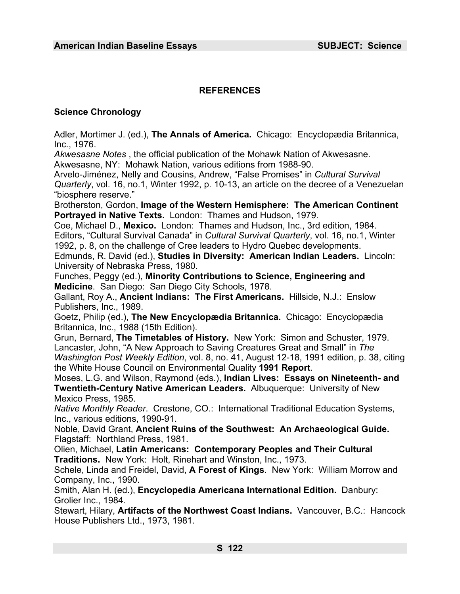# **REFERENCES**

## **Science Chronology**

Adler, Mortimer J. (ed.), **The Annals of America.** Chicago: Encyclopædia Britannica, Inc., 1976.

*Akwesasne Notes* , the official publication of the Mohawk Nation of Akwesasne. Akwesasne, NY: Mohawk Nation, various editions from 1988-90.

Arvelo-Jiménez, Nelly and Cousins, Andrew, "False Promises" in *Cultural Survival Quarterly*, vol. 16, no.1, Winter 1992, p. 10-13, an article on the decree of a Venezuelan "biosphere reserve."

Brotherston, Gordon, **Image of the Western Hemisphere: The American Continent Portrayed in Native Texts.** London: Thames and Hudson, 1979.

Coe, Michael D., **Mexico.** London: Thames and Hudson, Inc., 3rd edition, 1984. Editors, "Cultural Survival Canada" in *Cultural Survival Quarterly*, vol. 16, no.1, Winter 1992, p. 8, on the challenge of Cree leaders to Hydro Quebec developments.

Edmunds, R. David (ed.), **Studies in Diversity: American Indian Leaders.** Lincoln: University of Nebraska Press, 1980.

Funches, Peggy (ed.), **Minority Contributions to Science, Engineering and Medicine**. San Diego: San Diego City Schools, 1978.

Gallant, Roy A., **Ancient Indians: The First Americans.** Hillside, N.J.: Enslow Publishers, Inc., 1989.

Goetz, Philip (ed.), **The New Encyclopædia Britannica.** Chicago: Encyclopædia Britannica, Inc., 1988 (15th Edition).

Grun, Bernard, **The Timetables of History.** New York: Simon and Schuster, 1979. Lancaster, John, "A New Approach to Saving Creatures Great and Small" in *The Washington Post Weekly Edition*, vol. 8, no. 41, August 12-18, 1991 edition, p. 38, citing the White House Council on Environmental Quality **1991 Report**.

Moses, L.G. and Wilson, Raymond (eds.), **Indian Lives: Essays on Nineteenth- and Twentieth-Century Native American Leaders.** Albuquerque: University of New Mexico Press, 1985.

*Native Monthly Reader*. Crestone, CO.: International Traditional Education Systems, Inc., various editions, 1990-91.

Noble, David Grant, **Ancient Ruins of the Southwest: An Archaeological Guide.**  Flagstaff: Northland Press, 1981.

Olien, Michael, **Latin Americans: Contemporary Peoples and Their Cultural Traditions.** New York: Holt, Rinehart and Winston, Inc., 1973.

Schele, Linda and Freidel, David, **A Forest of Kings**. New York: William Morrow and Company, Inc., 1990.

Smith, Alan H. (ed.), **Encyclopedia Americana International Edition.** Danbury: Grolier Inc., 1984.

Stewart, Hilary, **Artifacts of the Northwest Coast Indians.** Vancouver, B.C.: Hancock House Publishers Ltd., 1973, 1981.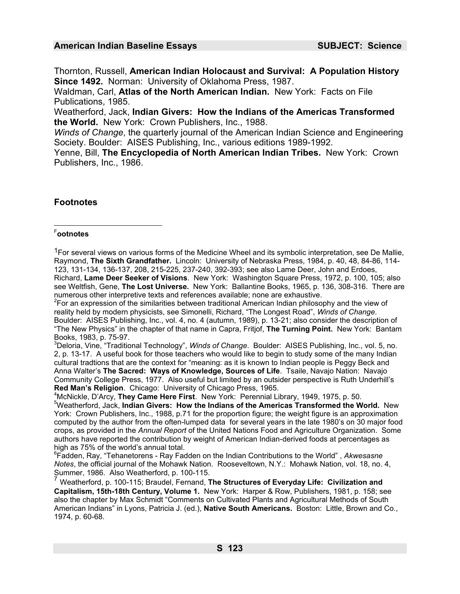Thornton, Russell, **American Indian Holocaust and Survival: A Population History Since 1492.** Norman: University of Oklahoma Press, 1987.

Waldman, Carl, **Atlas of the North American Indian.** New York: Facts on File Publications, 1985.

Weatherford, Jack, **Indian Givers: How the Indians of the Americas Transformed the World.** New York: Crown Publishers, Inc., 1988.

*Winds of Change*, the quarterly journal of the American Indian Science and Engineering Society. Boulder: AISES Publishing, Inc., various editions 1989-1992.

Yenne, Bill, **The Encyclopedia of North American Indian Tribes.** New York: Crown Publishers, Inc., 1986.

# **Footnotes**

# F **ootnotes**

<sup>1</sup>For several views on various forms of the Medicine Wheel and its symbolic interpretation, see De Mallie, Raymond, **The Sixth Grandfather.** Lincoln: University of Nebraska Press, 1984, p. 40, 48, 84-86, 114- 123, 131-134, 136-137, 208, 215-225, 237-240, 392-393; see also Lame Deer, John and Erdoes, Richard, **Lame Deer Seeker of Visions**. New York: Washington Square Press, 1972, p. 100, 105; also see Weltfish, Gene, **The Lost Universe.** New York: Ballantine Books, 1965, p. 136, 308-316. There are numerous other interpretive texts and references available; none are exhaustive.

 $2$ For an expression of the similarities between traditional American Indian philosophy and the view of reality held by modern physicists, see Simonelli, Richard, "The Longest Road", *Winds of Change*. Boulder: AISES Publishing, Inc., vol. 4, no. 4 (autumn, 1989), p. 13-21; also consider the description of "The New Physics" in the chapter of that name in Capra, Fritjof, **The Turning Point.** New York: Bantam Books, 1983, p. 75-97.

3 Deloria, Vine, "Traditional Technology", *Winds of Change*. Boulder: AISES Publishing, Inc., vol. 5, no. 2, p. 13-17. A useful book for those teachers who would like to begin to study some of the many Indian cultural tradtions that are the context for "meaning: as it is known to Indian people is Peggy Beck and Anna Walter's **The Sacred: Ways of Knowledge, Sources of Life**. Tsaile, Navajo Nation: Navajo Community College Press, 1977. Also useful but limited by an outsider perspective is Ruth Underhill's **Red Man's Religion.** Chicago: University of Chicago Press, 1965.

McNickle, D'Arcy, **They Came Here First**. New York: Perennial Library, 1949, 1975, p. 50. 5 Weatherford, Jack, **Indian Givers: How the Indians of the Americas Transformed the World.** New York: Crown Publishers, Inc., 1988, p.71 for the proportion figure; the weight figure is an approximation computed by the author from the often-lumped data for several years in the late 1980's on 30 major food crops, as provided in the *Annual Report* of the United Nations Food and Agriculture Organization. Some authors have reported the contribution by weight of American Indian-derived foods at percentages as high as 75% of the world's annual total.

6 Fadden, Ray, "Tehanetorens - Ray Fadden on the Indian Contributions to the World" , *Akwesasne Notes*, the official journal of the Mohawk Nation. Rooseveltown, N.Y.: Mohawk Nation, vol. 18, no. 4, Summer, 1986. Also Weatherford, p. 100-115.

<sup>7</sup> Weatherford, p. 100-115; Braudel, Fernand, **The Structures of Everyday Life: Civilization and Capitalism, 15th-18th Century, Volume 1.** New York: Harper & Row, Publishers, 1981, p. 158; see also the chapter by Max Schmidt "Comments on Cultivated Plants and Agricultural Methods of South American Indians" in Lyons, Patricia J. (ed.), **Native South Americans.** Boston: Little, Brown and Co., 1974, p. 60-68.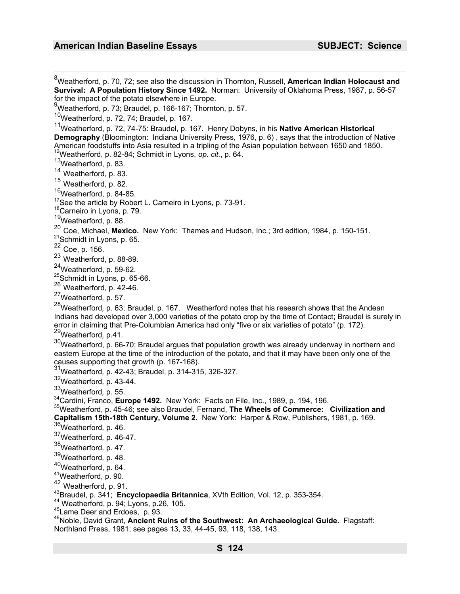8 Weatherford, p. 70, 72; see also the discussion in Thornton, Russell, **American Indian Holocaust and Survival: A Population History Since 1492.** Norman: University of Oklahoma Press, 1987, p. 56-57 for the impact of the potato elsewhere in Europe. 9 Weatherford, p. 73; Braudel, p. 166-167; Thornton, p. 57.  $10$ Weatherford, p. 72, 74; Braudel, p. 167. 11Weatherford, p. 72, 74-75: Braudel, p. 167. Henry Dobyns, in his **Native American Historical Demography** (Bloomington: Indiana University Press, 1976, p. 6) , says that the introduction of Native American foodstuffs into Asia resulted in a tripling of the Asian population between 1650 and 1850.<br><sup>12</sup>Weatherford, p. 82-84; Schmidt in Lyons, *op. cit.*, p. 64. <sup>13</sup>Weatherford, p. 83. <sup>14</sup> Weatherford, p. 83. <sup>15</sup> Weatherford, p. 82. 16 Weatherford, p. 84-85. <sup>17</sup>See the article by Robert L. Carneiro in Lyons, p. 73-91.<br><sup>18</sup>Carneiro in Lyons, p. 79. 19Weatherford, p. 88. <sup>20</sup> Coe, Michael, **Mexico.** New York: Thames and Hudson, Inc.; 3rd edition, 1984, p. 150-151. <sup>21</sup>Schmidt in Lyons, p. 65. <sup>22</sup> Coe, p. 156. <sup>23</sup> Weatherford, p. 88-89. 24Weatherford, p. 59-62. <sup>25</sup>Schmidt in Lyons, p. 65-66. <sup>26</sup> Weatherford, p. 42-46. 27Weatherford*,* p. 57. 28Weatherford*,* p. 63; Braudel, p. 167. Weatherford notes that his research shows that the Andean Indians had developed over 3,000 varieties of the potato crop by the time of Contact; Braudel is surely in error in claiming that Pre-Columbian America had only "five or six varieties of potato" (p. 172).<br><sup>29</sup>Weatherford, p.41. 30Weatherford, p. 66-70; Braudel argues that population growth was already underway in northern and eastern Europe at the time of the introduction of the potato, and that it may have been only one of the causes supporting that growth (p. 167-168). 31Weatherford*,* p. 42-43; Braudel, p. 314-315, 326-327. 32Weatherford*,* p. 43-44. <sup>33</sup>Weatherford, p. 55.<br><sup>34</sup>Cardini, Franco, **Europe 1492.** New York: Facts on File, Inc., 1989, p. 194, 196. <sup>35</sup>Weatherford, p. 45-46; see also Braudel, Fernand, The Wheels of Commerce: Civilization and **Capitalism 15th-18th Century, Volume 2.** New York: Harper & Row, Publishers, 1981, p. 169.<br><sup>36</sup>Weatherford, p. 46. 37Weatherford*,* p. 46-47. 38Weatherford*,* p. 47. 39Weatherford*,* p. 48. 40Weatherford, p. 64. 41Weatherford, p. 90.  $^{42}$  Weatherford, p. 91.<br> $^{43}$ Braudel, p. 341; **Encyclopaedia Britannica**, XVth Edition, Vol. 12, p. 353-354. 44 Weatherford, p. 94; Lyons, p.26, 105.<br>45 Lame Deer and Erdoes, p. 93.<br><sup>46</sup> Noble, David Grant, **Ancient Ruins of the Southwest: An Archaeological Guide.** Flagstaff:

Northland Press, 1981; see pages 13, 33, 44-45, 93, 118, 138, 143.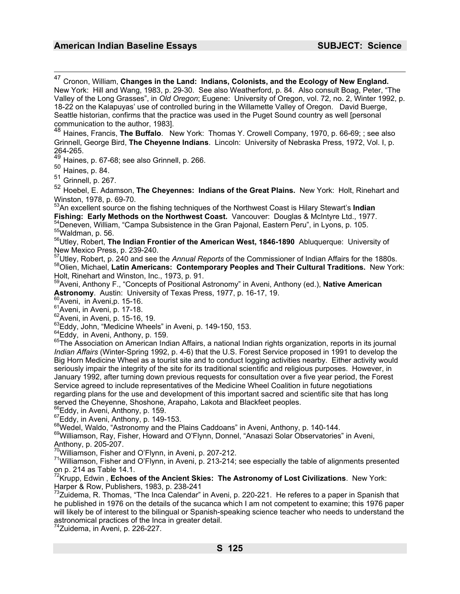47 Cronon, William, **Changes in the Land: Indians, Colonists, and the Ecology of New England.** New York: Hill and Wang, 1983, p. 29-30. See also Weatherford, p. 84. Also consult Boag, Peter, "The Valley of the Long Grasses", in *Old Oregon*; Eugene: University of Oregon, vol. 72, no. 2, Winter 1992, p. 18-22 on the Kalapuyas' use of controlled buring in the Willamette Valley of Oregon. David Buerge, Seattle historian, confirms that the practice was used in the Puget Sound country as well [personal communication to the author, 1983]. <sup>48</sup> Haines, Francis, **The Buffalo**. New York: Thomas Y. Crowell Company, 1970, p. 66-69; ; see also Grinnell, George Bird, **The Cheyenne Indians**. Lincoln: University of Nebraska Press, 1972, Vol. I, p. 264-265. <sup>49</sup> Haines, p. 67-68; see also Grinnell, p. 266.  $50$  Haines, p. 84. Grinnell, p. 267. <sup>52</sup> Hoebel, E. Adamson, **The Cheyennes: Indians of the Great Plains.** New York: Holt, Rinehart and Winston, 1978, p. 69-70. 53An excellent source on the fishing techniques of the Northwest Coast is Hilary Stewart's **Indian**  Fishing: Early Methods on the Northwest Coast. Vancouver: Douglas & McIntyre Ltd., 1977.<br><sup>54</sup>Deneven, William, "Campa Subsistence in the Gran Pajonal, Eastern Peru", in Lyons, p. 105.<br><sup>55</sup>Waldman, p. 56.<br><sup>56</sup>Utlev. Robert, New Mexico Press, p. 239-240. 57Utley, Robert, p. 240 and see the *Annual Reports* of the Commissioner of Indian Affairs for the 1880s. 58Olien, Michael, **Latin Americans: Contemporary Peoples and Their Cultural Traditions.** New York: Holt, Rinehart and Winston, Inc., 1973, p. 91. 59Aveni, Anthony F., "Concepts of Positional Astronomy" in Aveni, Anthony (ed.), **Native American Astronomy**. Austin: University of Texas Press, 1977, p. 16-17, 19.<br>  ${}^{62}$ Aveni, in Aveni, p. 15-16.<br>  ${}^{61}$ Aveni, in Aveni, p. 17-18.<br>  ${}^{62}$ Aveni, in Aveni, p. 15-16, 19.<br>  ${}^{62}$ Aveni, in Aveni, p. 15-16, 19.<br>  ${}^{6$ *Indian Affairs* (Winter-Spring 1992, p. 4-6) that the U.S. Forest Service proposed in 1991 to develop the Big Horn Medicine Wheel as a tourist site and to conduct logging activities nearby. Either activity would seriously impair the integrity of the site for its traditional scientific and religious purposes. However, in January 1992, after turning down previous requests for consultation over a five year period, the Forest Service agreed to include representatives of the Medicine Wheel Coalition in future negotiations regarding plans for the use and development of this important sacred and scientific site that has long served the Cheyenne, Shoshone, Arapaho, Lakota and Blackfeet peoples.<br><sup>66</sup>Eddy, in Aveni, Anthony, p. 159.<br><sup>67</sup>Eddy, in Aveni, Anthony, p. 149-153.<br><sup>68</sup>Wedel, Waldo, "Astronomy and the Plains Caddoans" in Aveni, Anthony, p Anthony, p. 205-207.<br>
Williamson, Fisher and O'Flynn, in Aveni, p. 207-212.  $71$ Williamson, Fisher and O'Flynn, in Aveni, p. 213-214; see especially the table of alignments presented on p. 214 as Table 14.1. 72Krupp, Edwin , **Echoes of the Ancient Skies: The Astronomy of Lost Civilizations**. New York: Harper & Row, Publishers, 1983, p. 238-241

 $^{73}$ Zuidema, R. Thomas, "The Inca Calendar" in Aveni, p. 220-221. He referes to a paper in Spanish that he published in 1976 on the details of the sucanca which I am not competent to examine; this 1976 paper will likely be of interest to the bilingual or Spanish-speaking science teacher who needs to understand the astronomical practices of the Inca in greater detail.

 $4$ Zuidema, in Aveni, p. 226-227.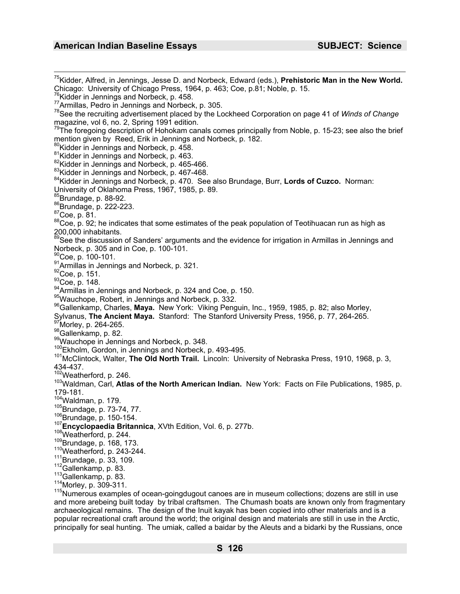<sup>75</sup>Kidder, Alfred, in Jennings, Jesse D. and Norbeck, Edward (eds.), **Prehistoric Man in the New World.**<br>Chicago: University of Chicago Press, 1964, p. 463; Coe, p.81; Noble, p. 15. <sup>76</sup>Kidder in Jennings and Norbeck, p. 458.<br><sup>77</sup>Armillas, Pedro in Jennings and Norbeck, p. 305.<br><sup>78</sup>See the recruiting advertisement placed by the Lockheed Corporation on page 41 of *Winds of Change* magazine, vol 6, no. 2, Spring 1991 edition.  $^{79}$ The foregoing description of Hohokam canals comes principally from Noble, p. 15-23; see also the brief mention given by Reed, Erik in Jennings and Norbeck, p. 182.<br><sup>80</sup>Kidder in Jennings and Norbeck, p. 458.<br><sup>81</sup>Kidder in Jennings and Norbeck, p. 463.<br><sup>82</sup>Kidder in Jennings and Norbeck, p. 465-466.<br><sup>83</sup>Kidder in Jennings an University, p. 00-22.<br>
86Brundage, p. 222-223.<br>
87Coe, p. 81.<br>
88Coe, p. 92; he indicates that some estimates of the peak population of Teotihuacan run as high as 200,000 inhabitants. 89See the discussion of Sanders' arguments and the evidence for irrigation in Armillas in Jennings and Norbeck, p. 305 and in Coe, p. 100-101. <sup>91</sup>Armillas in Jennings and Norbeck, p. 321.<br><sup>92</sup>Coe, p. 151.<br><sup>93</sup>Coe, p. 148.<br><sup>93</sup>Coe, p. 148.<br><sup>94</sup>Armillas in Jennings and Norbeck, p. 324 and Coe, p. 150.<br><sup>95</sup>Wauchope, Robert, in Jennings and Norbeck, p. 332.<br><sup>96</sup>Gal Sylvanus, The Ancient Maya. Stanford: The Stanford University Press, 1956, p. 77, 264-265.<br><sup>97</sup>Morley, p. 264-265.<br><sup>98</sup>Gallenkamp, p. 82.<br><sup>98</sup>Wauchope in Jennings and Norbeck, p. 348.<br><sup>100</sup>Ekholm, Gordon, in Jennings and N 434-437.<br><sup>102</sup>Weatherford, p. 246. <sup>103</sup>Waldman, Carl, Atlas of the North American Indian. New York: Facts on File Publications, 1985, p. 179-181.<br><sup>104</sup>Waldman, p. 179. <sup>104</sup>Waldman, p. 179.<br><sup>105</sup>Brundage, p. 73-74, 77.<br><sup>106</sup>Brundage, p. 150-154.<br><sup>107</sup>Brundage, p. 150-154.<br><sup>107</sup>**Encyclopaedia Britannica**, XVth Edition, Vol. 6, p. 277b.<br><sup>107</sup>Weatherford, p. 244.<br><sup>119</sup>Brundage, p. 168, 173. and more arebeing built today by tribal craftsmen. The Chumash boats are known only from fragmentary

archaeological remains. The design of the Inuit kayak has been copied into other materials and is a popular recreational craft around the world; the original design and materials are still in use in the Arctic, principally for seal hunting. The umiak, called a baidar by the Aleuts and a bidarki by the Russians, once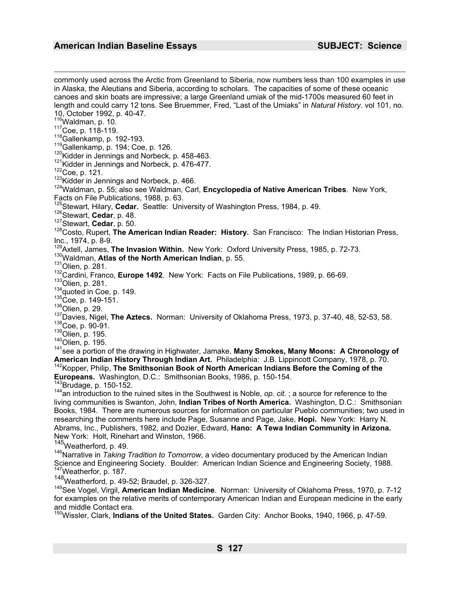commonly used across the Arctic from Greenland to Siberia, now numbers less than 100 examples in use in Alaska, the Aleutians and Siberia, according to scholars. The capacities of some of these oceanic canoes and skin boats are impressive; a large Greenland umiak of the mid-1700s measured 60 feet in length and could carry 12 tons. See Bruemmer, Fred, "Last of the Umiaks" in *Natural History*. vol 101, no. 10, October 1992, p. 40-47.<br>
<sup>116</sup> Waldman, p. 10. <sup>117</sup>Coe, p. 118-119.<br>
<sup>118</sup>Gallenkamp, p. 192-193.<br>
<sup>118</sup>Gallenkamp, p. 194; Coe, p. 126.<br>
<sup>119</sup>Kidder in Jennings and Norbeck, p. 458-463.<br>
<sup>121</sup>Kidder in Jennings and Norbeck, p. 476-477.<br>
<sup>122</sup>Coe, p. 121.<br>
<sup>123</sup>Kidde Facts on File Publications, 1988, p. 63.<br><sup>125</sup>Stewart, Hilary, **Cedar.** Seattle: University of Washington Press, 1984, p. 49. 126 Stewart, Cedar, p. 48.<br>127 Stewart, Cedar, p. 50.<br><sup>127</sup> Stewart, Cedar, p. 50.<br><sup>128</sup> Costo, Rupert, The American Indian Reader: History. San Francisco: The Indian Historian Press, Inc., 1974, p. 8-9.<br><sup>129</sup>Axtell, James, **The Invasion Within.** New York: Oxford University Press, 1985, p. 72-73. <sup>129</sup>Axtell, James, The Invasion Within. New York: Oxford University Press, 1985, p. 72-73.<br><sup>130</sup>Waldman, **Atlas of the North American Indian**, p. 55.<br><sup>131</sup>Olien, p. 281.<br><sup>132</sup>Cardini, Franco, **Europe 1492**. New York: Fact American Indian History Through Indian Art. Philadelphia: J.B. Lippincott Company, 1978, p. 70. 142Kopper, Philip, The Smithsonian Book of North American Indians Before the Coming of the **Europeans.** Washington, D.C.: Smithsonian Books, 1986, p. 150-154.<br><sup>143</sup>Brudage, p. 150-152.<br><sup>144</sup>an introduction to the ruined sites in the Southwest is Noble, *op. cit.* ; a source for reference to the living communities is Swanton, John, **Indian Tribes of North America.** Washington, D.C.: Smithsonian Books, 1984. There are numerous sources for information on particular Pueblo communities; two used in researching the comments here include Page, Susanne and Page, Jake, **Hopi.** New York: Harry N. Abrams, Inc., Publishers, 1982, and Dozier, Edward, **Hano: A Tewa Indian Community in Arizona.** New York: Holt, Rinehart and Winston, 1966. 145Weatherford*,* p. 49. <sup>146</sup>Narrative in *Taking Tradition to Tomorrow*, a video documentary produced by the American Indian Science and Engineering Society. Boulder: American Indian Science and Engineering Society, 1988.<br><sup>147</sup>Weatherfor, p. 187.<br><sup>148</sup>Weatherford. p. 49-52; Braudel, p. 326-327. 149See Vogel, Virgil, **American Indian Medicine**. Norman: University of Oklahoma Press, 1970, p. 7-12 for examples on the relative merits of contemporary American Indian and European medicine in the early and middle Contact era. 150Wissler, Clark, **Indians of the United States.** Garden City: Anchor Books, 1940, 1966, p. 47-59.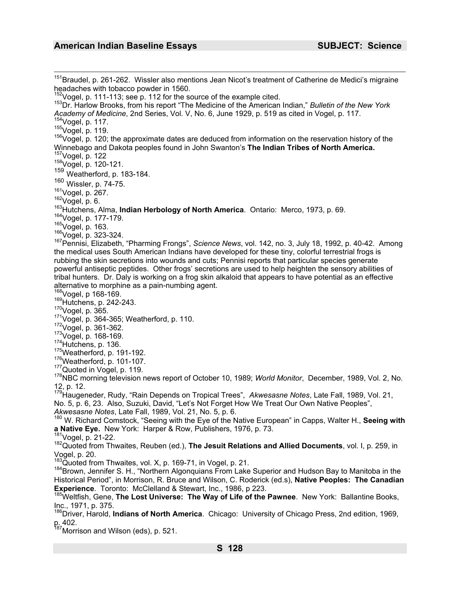<sup>151</sup>Braudel, p. 261-262. Wissler also mentions Jean Nicot's treatment of Catherine de Medici's migraine headaches with tobacco powder in 1560.<br><sup>152</sup>Vogel, p. 111-113; see p. 112 for the source of the example cited. <sup>153</sup>Dr. Harlow Brooks, from his report "The Medicine of the American Indian," *Bulletin of the New York* Academy of Medicine, 2nd Series, Vol. V, No. 6, June 1929, p. 519 as cited in Vogel, p. 117.<br><sup>154</sup>Vogel, p. 117.<br><sup>155</sup>Vogel, p. 119.<br><sup>156</sup>Vogel, p. 120; the approximate dates are deduced from information on the reservation Winnebago and Dakota peoples found in John Swanton's **The Indian Tribes of North America.**<br><sup>157</sup>/Vogel, p. 122 158 Vogel, p. 120-121.<br><sup>159</sup> Weatherford, p. 183-184.  $^{160}$  Wissler, p. 74-75.<br> $^{161}$ Vogel, p. 267. <sup>162</sup>Vogel, p. 6.<br><sup>163</sup>Hutchens, Alma, **Indian Herbology of North America**. Ontario: Merco, 1973, p. 69.<br><sup>164</sup>Vogel, p. 177-179.<br><sup>165</sup>Vogel, p. 163.<br><sup>166</sup>Vogel, p. 323-324.<br><sup>166</sup>Vogel, p. 323-324.<br><sup>167</sup>Pennisi, Elizabeth, the medical uses South American Indians have developed for these tiny, colorful terrestrial frogs is rubbing the skin secretions into wounds and cuts; Pennisi reports that particular species generate powerful antiseptic peptides. Other frogs' secretions are used to help heighten the sensory abilities of tribal hunters. Dr. Daly is working on a frog skin alkaloid that appears to have potential as an effective alternative to morphine as a pain-numbing agent.<br><sup>168</sup>Vogel, p 168-169. <sup>169</sup>Hutchens, p. 242-243.<br><sup>170</sup>Vogel, p. 365.<br><sup>171</sup>Vogel, p. 364-365; Weatherford, p. 110.<br><sup>172</sup>Vogel, p. 361-362.<br><sup>174</sup>Hutchens, p. 136.<br><sup>174</sup>Hutchens, p. 136.<br><sup>174</sup>Hutchens, p. 136.<br><sup>174</sup>Weatherford, p. 101-107.<br><sup>176</sup>W 12, p. 12. 179Haugeneder, Rudy, "Rain Depends on Tropical Trees", *Akwesasne Notes*, Late Fall, 1989, Vol. 21, No. 5, p. 6, 23. Also, Suzuki, David, "Let's Not Forget How We Treat Our Own Native Peoples", *Akwesasne Notes*, Late Fall, 1989, Vol. 21, No. 5, p. 6.<br><sup>180</sup> W. Richard Comstock, "Seeing with the Eye of the Native European" in Capps, Walter H., **Seeing with a Native Eye.** New York: Harper & Row, Publishers, 1976, p <sup>181</sup>Vogel, p. 21-22.<br><sup>182</sup>Quoted from Thwaites, Reuben (ed.), **The Jesuit Relations and Allied Documents**, vol. I, p. 259, in Vogel, p. 20.<br><sup>183</sup>Quoted from Thwaites, vol. X, p. 169-71, in Vogel, p. 21. 184 Brown, Jennifer S. H., "Northern Algonquians From Lake Superior and Hudson Bay to Manitoba in the Historical Period", in Morrison, R. Bruce and Wilson, C. Roderick (ed.s), **Native Peoples: The Canadian Experience**. Toronto: McClelland & Stewart, Inc., 1986, p 223.<br><sup>185</sup>Weltfish. Gene, **The Lost Universe: The Way of Life of the Pawnee**. New York: Ballantine Books, Inc., 1971, p. 375. 186Driver, Harold, **Indians of North America**. Chicago: University of Chicago Press, 2nd edition, 1969, p. 402. <sup>187</sup>Morrison and Wilson (eds), p. 521.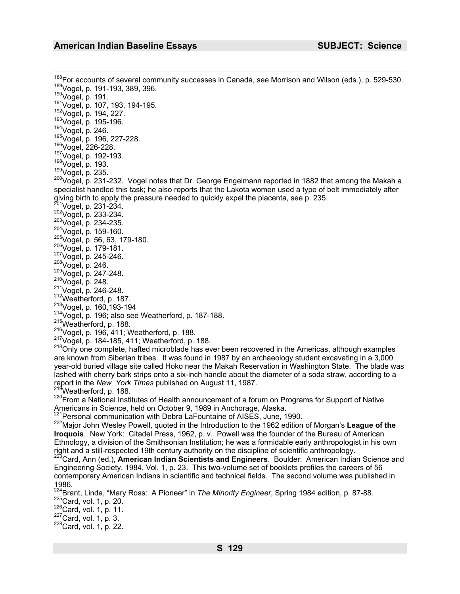<sup>188</sup>For accounts of several community successes in Canada, see Morrison and Wilson (eds.), p. 529-530.<br><sup>189</sup>Vogel, p. 191-193, 389, 396.<br><sup>191</sup>Vogel, p. 191.<br><sup>191</sup>Vogel, p. 194, 227.<br><sup>191</sup>Vogel, p. 194, 227.<br><sup>192</sup>Vogel, p specialist handled this task; he also reports that the Lakota women used a type of belt immediately after giving birth to apply the pressure needed to quickly expel the placenta, see p. 235.<br><sup>201</sup>Vogel, p. 231-234. giving birth to apply the pressure needed to quickly expel the placenta, see p. 235.<br><sup>201</sup>Vogel, p. 233-234.<br><sup>202</sup>Vogel, p. 233-234.<br><sup>204</sup>Vogel, p. 159-160.<br><sup>204</sup>Vogel, p. 56, 63, 179-180.<br><sup>204</sup>Vogel, p. 179-181.<br><sup>204</sup>Voge are known from Siberian tribes. It was found in 1987 by an archaeology student excavating in a 3,000<br>are known from Siberian tribes. It was found in 1987 by an archaeology student excavating in a 3,000 year-old buried village site called Hoko near the Makah Reservation in Washington State. The blade was lashed with cherry bark strips onto a six-inch handle about the diameter of a soda straw, according to a report in the New York Times published on August 11, 1987. <sup>219</sup>Weatherford, p. 188.<br><sup>220</sup>From a National Institutes of Health announcement of a forum on Programs for Support of Native Americans in Science, held on October 9, 1989 in Anchorage, Alaska.<br><sup>221</sup>Personal communication with Debra LaFountaine of AISES, June, 1990. 222Major John Wesley Powell, quoted in the Introduction to the 1962 edition of Morgan's **League of the Iroquois**. New York: Citadel Press, 1962, p. v. Powell was the founder of the Bureau of American Ethnology, a division of the Smithsonian Institution; he was a formidable early anthropologist in his own right and a still-respected 19th century authority on the discipline of scientific anthropology. <sup>223</sup>Card. Ann (ed.), **American Indian Scientists and Engineers**. Boulder: American Indian Science and Engineering Society, 1984, Vol. 1, p. 23. This two-volume set of booklets profiles the careers of 56 contemporary American Indians in scientific and technical fields. The second volume was published in  $1986.$ <sup>224</sup>D<sub>22</sub> <sup>224</sup>Brant, Linda, "Mary Ross: A Pioneer" in *The Minority Engineer*, Spring 1984 edition, p. 87-88. <sup>225</sup>Card, vol. 1, p. 20. 226Card, vol. 1, p. 3. 228Card, vol. 1, p. 22. 228Card, vol. 1, p. 22.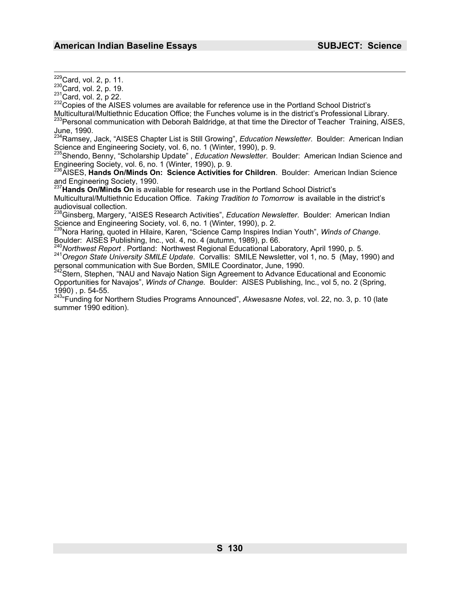<sup>229</sup>Card, vol. 2, p. 11.<br><sup>230</sup>Card, vol. 2, p. 19.<br><sup>231</sup>Card, vol. 2, p 22.<br><sup>232</sup>Copies of the AISES volumes are available for reference use in the Portland School District's Multicultural/Multiethnic Education Office; the Funches volume is in the district's Professional Library.<br><sup>233</sup>Personal communication with Deborah Baldridge, at that time the Director of Teacher Training, AISES,

June, 1990.

234Ramsey, Jack, "AISES Chapter List is Still Growing", *Education Newsletter*. Boulder: American Indian Science and Engineering Society, vol. 6, no. 1 (Winter, 1990), p. 9.<br><sup>235</sup>Shendo, Benny, "Scholarship Update", *Education Newsletter*. Boulder: American Indian Science and

Engineering Society, vol. 6, no. 1 (Winter, 1990), p. 9.<br><sup>236</sup> AISES, Hande On Winde On: Critery, A. 1. 1.

<sup>6</sup>AISES, **Hands On/Minds On: Science Activities for Children**. Boulder: American Indian Science and Engineering Society, 1990.

<sup>237</sup>**Hands On/Minds On** is available for research use in the Portland School District's Multicultural/Multiethnic Education Office. *Taking Tradition to Tomorrow* is available in the district's audiovisual collection.

238Ginsberg, Margery, "AISES Research Activities", *Education Newsletter*. Boulder: American Indian

Science and Engineering Society, vol. 6, no. 1 (Winter, 1990), p. 2.<br><sup>239</sup>Nora Haring, quoted in Hilaire, Karen, "Science Camp Inspires Indian Youth", *Winds of Change*.

Boulder: AISES Publishing, Inc., vol. 4, no. 4 (autumn, 1989), p. 66.<br><sup>240</sup>Northwest Report . Portland: Northwest Regional Educational Laboratory, April 1990, p. 5.<br><sup>241</sup>Oregon State University SMILE Update. Corvallis: SMI personal communication with Sue Borden, SMILE Coordinator, June, 1990.

<sup>242</sup>Stern, Stephen, "NAU and Navajo Nation Sign Agreement to Advance Educational and Economic Opportunities for Navajos", *Winds of Change.* Boulder: AISES Publishing, Inc., vol 5, no. 2 (Spring, 1990) , p. 54-55.

243"Funding for Northern Studies Programs Announced", *Akwesasne Notes*, vol. 22, no. 3, p. 10 (late summer 1990 edition).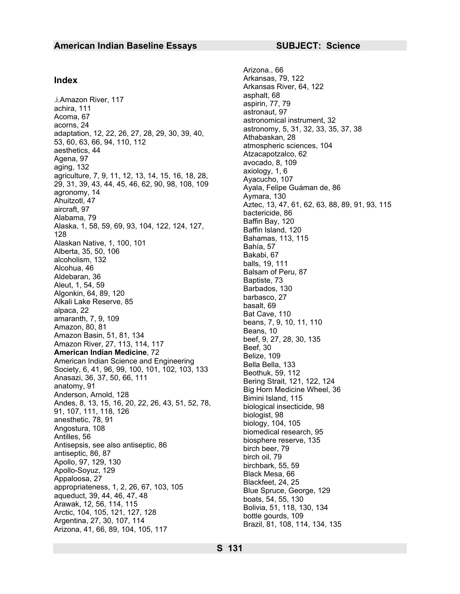1. Amazon River, 117<br>
achira, 111<br>
achira, 111<br>
Acoma, 67<br>
acorns, 24 acorns, 24 astronomical instrument, 32<br>
adaptation, 12, 22, 26, 27, 28, 29, 30, 39, 40,<br>
attronomy, 5, 31, 32, 33, 35, 37, 38<br>
attronomy, 5, 31, 32, 33, adaptation, 12, 22, 26, 27, 28, 29, 30, 39, 40,<br>53, 60, 63, 66, 94, 110, 112<br>atmospheric sciences, 104 atmospheric sciences, 104<br>
aesthetics, 44<br>
Agena, 97 aging, 132<br>
agriculture, 7, 9, 11, 12, 13, 14, 15, 16, 18, 28,<br>
agriculture, 7, 9, 11, 12, 13, 14, 15, 16, 18, 28,<br>
agriculture, 7, 9, 11, 12, 13, 14, 15, 16, 18, 28,<br>
a agriculture, 7, 9, 11, 12, 13, 14, 15, 16, 18, 28,<br>
29, 31, 39, 43, 44, 45, 46, 62, 90, 98, 108, 109 Ayala, Felipe Guáman de, 86 29, 31, 39, 43, 44, 43, 46, 62, 90, 96, 106, 109<br>
agronomy, 14<br>
Ahuitzotl, 47 Ayala, Felipe Guáman de, 86<br>
Alabama, 79 bactericide, 86<br>
Alabama, 79 Baffin Bay, 120<br>
Alaska, 1, 58, 59, 69, 93, 104, 122, 124, 127, Baffin Bay Alaska, 1, 58, 59, 69, 93, 104, 122, 124, 127,<br>128 Baffin Island, 120<br>Alaskan Native 4, 199, 194 Example 13. 115<br>
Alaskan Native, 1, 100, 101<br>
Alberta, 35, 50, 106<br>
alcoholism, 132<br>
Alcohua, 46<br>
Aldebaran, 36<br>
Aldebaran, 36<br>
Aldebaran, 36<br>
Algonkin, 64, 89, 120<br>
Alkali Lake Reserve, 85<br>
alpaca, 22<br>
Alkali Lake Reserve American Indian Science and Engineering<br>Society, 6, 41, 96, 99, 100, 101, 102, 103, 133 Bella Bella, 133<br>Beothuk, 59, 112 Anasazi, 36, 37, 50, 66, 111<br>
anatomy, 91<br>
Anderson, Arnold, 128<br>
Andes, 8, 13, 15, 16, 20, 22, 26, 43, 51, 52, 78,<br>
Andes, 8, 13, 15, 16, 20, 22, 26, 43, 51, 52, 78,<br>
Big Horn Medicine Wheel, 36<br>
biological insocticide 98 Andes, 6, 13, 13, 10, 20, 22, 20, 43, 31, 32, 76,<br>
91, 107, 111, 118, 126 biologist, 98 91, 107, 111, 116, 120<br>
anesthetic, 78, 91<br>
Angostura, 108<br>
Antisepsis, see also antiseptic, 86<br>
Antisepsis, see also antiseptic, 86<br>
Antisepsis, see also antiseptic, 86<br>
Antisepsis, see also antiseptic, 86<br>
Anollo-Soyuz,

 Arizona., 66 Arkansas, 79, 122 **Index**  Arkansas River, 64, 122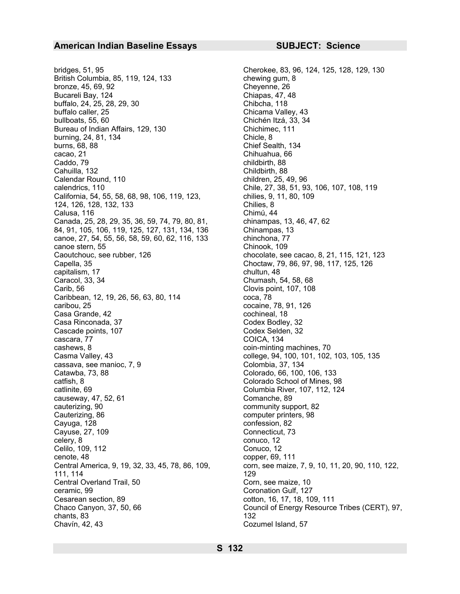bridges, 51, 95 Cherokee, 83, 96, 124, 125, 128, 129, 130 British Columbia, 85, 119, 124, 133 chewing gum, 8 bronze, 45, 69, 92 Cheyenne, 26 Bucareli Bay, 124 Chiapas, 47, 48 buffalo, 24, 25, 28, 29, 30 Chibcha, 118 buffalo caller, 25 Chicama Valley, 43 bullboats, 55, 60 Chichén Itzá, 33, 34 Bureau of Indian Affairs, 129, 130 Chichimec, 111 burning, 24, 81, 134 Chicle, 8 burns, 68, 88 Chief Sealth, 134 cacao, 21 Chihuahua, 66 Caddo, 79 childbirth, 88 Cahuilla, 132 Childbirth, 88 Calendar Round, 110 children, 25, 49, 96 calendrics, 110 Chile, 27, 38, 51, 93, 106, 107, 108, 119 California, 54, 55, 58, 68, 98, 106, 119, 123, 124, 126, 128, 132, 133 Calusa, 116 **Calusa, 116** Chimú, 44 Canada, 25, 28, 29, 35, 36, 59, 74, 79, 80, 81, 84, 91, 105, 106, 119, 125, 127, 131, 134, 136 canoe, 27, 54, 55, 56, 58, 59, 60, 62, 116, 133 chinchona, 77 canoe stern, 55 Chinook, 109 Caoutchouc, see rubber, 126 chocolate, see cacao, 8, 21, 115, 121, 123 Capella, 35 Choctaw, 79, 86, 97, 98, 117, 125, 126 capitalism, 17 chultun, 48 Caracol, 33, 34 Chumash, 54, 58, 68 Carib, 56 Clovis point, 107, 108 Caribbean, 12, 19, 26, 56, 63, 80, 114 coca, 78 caribou, 25 cocaine, 78, 91, 126 Casa Grande, 42 cochineal, 18 Casa Rinconada, 37 Codex Bodley, 32 Cascade points, 107 Codex Selden, 32 cascara, 77 COICA, 134 cashews, 8 coin-minting machines, 70 Casma Valley, 43 college, 94, 100, 101, 102, 103, 105, 135 cassava, see manioc, 7, 9 Colombia, 37, 134 Catawba, 73, 88 Colorado, 66, 100, 106, 133 catfish, 8 Colorado School of Mines, 98 catlinite, 69 Columbia River, 107, 112, 124 causeway, 47, 52, 61 Comanche, 89 cauterizing, 90 community support, 82 Cauterizing, 86 computer printers, 98 Cayuga, 128 confession, 82 Cayuse, 27, 109 Connecticut, 73 celery, 8 conuco, 12 Celilo, 109, 112 Conuco, 12 cenote, 48 copper, 69, 111 Central America, 9, 19, 32, 33, 45, 78, 86, 109, 111, 114 Central Overland Trail, 50 Corn, see maize, 10 ceramic, 99 Coronation Gulf, 127 Cesarean section, 89 cotton, 16, 17, 18, 109, 111 Chaco Canyon, 37, 50, 66 Council of Energy Resource Tribes (CERT), 97, chants, 83 132 Chavín, 42, 43 Cozumel Island, 57

chilies, 9, 11, 80, 109 Chilies, 8 chinampas, 13, 46, 47, 62 Chinampas, 13 corn, see maize, 7, 9, 10, 11, 20, 90, 110, 122, 129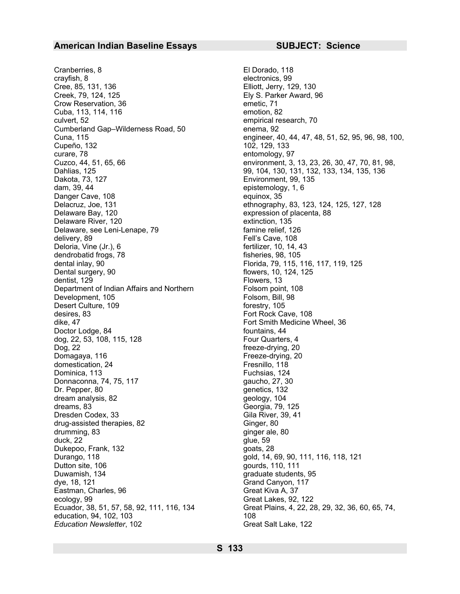Cranberries, 8 El Dorado, 118 crayfish, 8 electronics, 99 Cree, 85, 131, 136 Elliott, Jerry, 129, 130 Creek, 79, 124, 125 Ely S. Parker Award, 96 Crow Reservation, 36 emetic, 71 Cuba, 113, 114, 116 emotion, 82 culvert, 52 empirical research, 70 Cumberland Gap–Wilderness Road, 50 enema, 92 Cupeño, 132 102, 129, 133 curare, 78 entomology, 97 Dahlias, 125 99, 104, 130, 131, 132, 133, 134, 135, 136 Dakota, 73, 127 Environment, 99, 135 dam, 39, 44 epistemology, 1, 6 Danger Cave, 108 equinox, 35 Delacruz, Joe, 131 **belacruz, Joe, 131** ethnography, 83, 123, 124, 125, 127, 128<br>Delaware Bay, 120 **belaware Bay, 120** Delaware River, 120 and the contraction of the extinction, 135 Delaware, see Leni-Lenape, 79 famine relief, 126 delivery, 89 **Fell's Cave, 108** Fell's Cave, 108 Deloria, Vine (Jr.), 6 fertilizer, 10, 14, 43 dendrobatid frogs, 78 fisheries, 98, 105 dental inlay, 90 **Florida, 79, 115, 116, 117, 119, 125** Dental surgery, 90 flowers, 10, 124, 125 dentist, 129 Flowers, 13 Department of Indian Affairs and Northern Development, 105 Desert Culture, 109 forestry, 105 desires, 83 Fort Rock Cave, 108 dike, 47 Fort Smith Medicine Wheel, 36 Doctor Lodge, 84 fountains, 44 dog, 22, 53, 108, 115, 128 Four Quarters, 4 Dog, 22 freeze-drying, 20 Domagaya, 116 **Freeze-drying, 20** Freeze-drying, 20 domestication, 24 Fresnillo, 118 Dominica, 113 Fuchsias, 124 Donnaconna, 74, 75, 117 gaucho, 27, 30 Dr. Pepper, 80 genetics, 132 dream analysis, 82 geology, 104 dreams, 83 Georgia, 79, 125 Dresden Codex, 33 Gila River, 39, 41 drug-assisted therapies, 82 Ginger, 80 drumming, 83 ginger ale, 80 duck, 22 glue, 59 Dukepoo, Frank, 132 goats, 28 Durango, 118 gold, 14, 69, 90, 111, 116, 118, 121 Dutton site, 106 gourds, 110, 111 Duwamish, 134 **graduate students**, 95 dye, 18, 121 Grand Canyon, 117 Eastman, Charles, 96 Great Kiva A, 37 ecology, 99 Great Lakes, 92, 122 education, 94, 102, 103 108 **Education Newsletter, 102** Great Salt Lake, 122

Cuna, 115 engineer, 40, 44, 47, 48, 51, 52, 95, 96, 98, 100, Cuzco, 44, 51, 65, 66 environment, 3, 13, 23, 26, 30, 47, 70, 81, 98, expression of placenta, 88 Folsom point, 108 Folsom, Bill, 98 Ecuador, 38, 51, 57, 58, 92, 111, 116, 134 Great Plains, 4, 22, 28, 29, 32, 36, 60, 65, 74,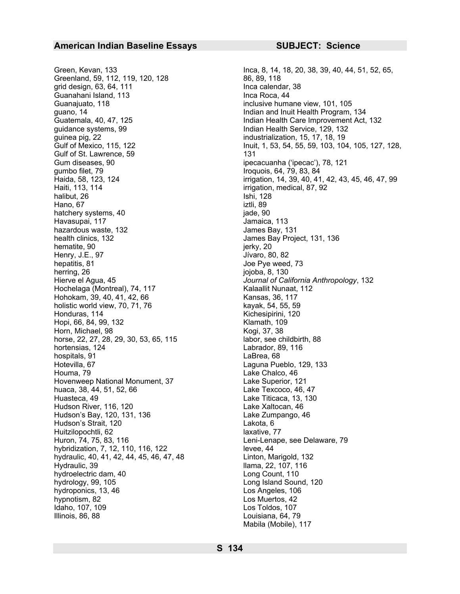Green, Kevan, 133 Inca, 8, 14, 18, 20, 38, 39, 40, 44, 51, 52, 65, Greenland, 59, 112, 119, 120, 128 86, 89, 118 grid design, 63, 64, 111 **Inca calendar**, 38 Guanahani Island, 113 Inca Roca, 44 Guanajuato, 118 inclusive humane view, 101, 105 guano, 14 Indian and Inuit Health Program, 134 guidance systems, 99 **Indian Health Service, 129, 132** guinea pig, 22 industrialization, 15, 17, 18, 19 Gulf of St. Lawrence, 59 131 Gum diseases, 90 ipecacuanha ('ipecac'), 78, 121 gumbo filet, 79 **Iroquois, 64, 79, 83**, 84 Haiti, 113, 114 **intervalse and the intervalse of the intervalse of the intervalse of the intervalse of the intervalse of the intervalse of the intervalse of the intervalse of the intervalse of the intervalse of the interv** halibut, 26 Ishi, 128 Hano, 67 iztli, 89 hatchery systems, 40 jade, 90 Havasupai, 117 **Jamaica**, 113 hazardous waste, 132 **James Bay, 131** health clinics, 132 James Bay Project, 131, 136 hematite, 90 jerky, 20 Henry, J.E., 97 **J**ívaro, 80, 82 hepatitis, 81 Joe Pye weed, 73 herring, 26 jojoba, 8, 130 Hierve el Agua, 45 *Journal of California Anthropology*, 132 Hochelaga (Montreal), 74, 117 Kalaallit Nunaat, 112 Hohokam, 39, 40, 41, 42, 66 Kansas, 36, 117 holistic world view, 70, 71, 76 kayak, 54, 55, 59 Honduras, 114 Kichesipirini, 120 Hopi, 66, 84, 99, 132 Klamath, 109 Horn, Michael, 98 Kogi, 37, 38 horse, 22, 27, 28, 29, 30, 53, 65, 115 labor, see childbirth, 88 hortensias, 124 Labrador, 89, 116 hospitals, 91 **LaBrea**, 68 Hotevilla, 67 Laguna Pueblo, 129, 133 Houma, 79 Lake Chalco, 46 Hovenweep National Monument, 37 Lake Superior, 121 huaca, 38, 44, 51, 52, 66 Lake Texcoco, 46, 47 Huasteca, 49 Lake Titicaca, 13, 130 Hudson River, 116, 120 **Lake Xaltocan**, 46 Hudson's Bay, 120, 131, 136 Lake Zumpango, 46 Hudson's Strait, 120 Lakota, 6 Huitzilopochtli, 62 laxative, 77 Huron, 74, 75, 83, 116 Leni-Lenape, see Delaware, 79 hybridization, 7, 12, 110, 116, 122 levee, 44 hydraulic, 40, 41, 42, 44, 45, 46, 47, 48 Linton, Marigold, 132 Hydraulic, 39 **llama**, 22, 107, 116 hydroelectric dam, 40 Long Count, 110 hydrology, 99, 105 and Sound, 120 hydroponics, 13, 46 Los Angeles, 106 hypnotism, 82 Los Muertos, 42 Idaho, 107, 109 Los Toldos, 107 Illinois, 86, 88 Louisiana, 64, 79

Guatemala, 40, 47, 125 **Indian Health Care Improvement Act, 132** Gulf of Mexico, 115, 122 **Inuit, 1, 53, 54, 55, 59, 103, 104, 105, 127**, 128, Haida, 58, 123, 124 **irrigation, 14, 39, 40, 41, 42, 43, 45, 46, 47**, 99 Mabila (Mobile), 117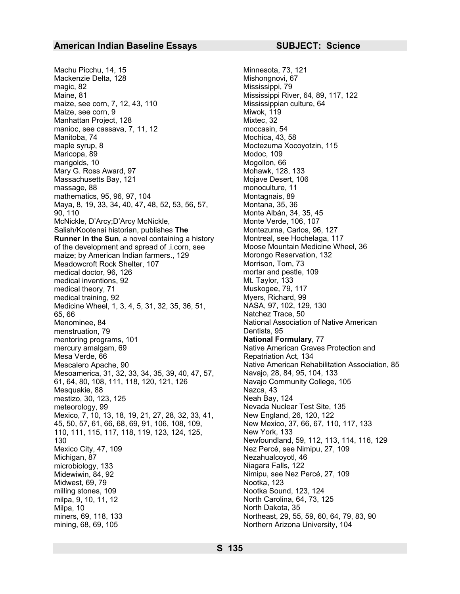Machu Picchu, 14, 15 Minnesota, 73, 121 Mackenzie Delta, 128 Mishongnovi, 67 magic, 82 Mississippi, 79 Maine, 81 Mississippi River, 64, 89, 117, 122 maize, see corn, 7, 12, 43, 110 Mississippian culture, 64 Maize, see corn, 9 Miwok, 119 Manhattan Project, 128 Mixtec, 32 manioc, see cassava, 7, 11, 12 moccasin, 54 Manitoba, 74 Mochica, 43, 58 maple syrup, 8 Moctezuma Xocoyotzin, 115 Maricopa, 89 Modoc, 109 marigolds, 10 Mogollon, 66 Mary G. Ross Award, 97 Mohawk, 128, 133 Massachusetts Bay, 121 Mojave Desert, 106 massage, 88 monoculture, 11 mathematics, 95, 96, 97, 104 Montagnais, 89 Maya, 8, 19, 33, 34, 40, 47, 48, 52, 53, 56, 57, 90, 110 McNickle, D'Arcy;D'Arcy McNickle, Salish/Kootenai historian, publishes **The Runner in the Sun**, a novel containing a history of the development and spread of .i.corn, see maize; by American Indian farmers., 129 Meadowcroft Rock Shelter, 107 Morrison, Tom, 73<br>medical doctor. 96, 126 medical doctor. 96, 126 medical doctor, 96, 126 mortar and pester and pestinger and pesting mortar and pester and pesting medical inventions, 92 medical inventions, 92 Million Communications, 92 Million Muskogee, 79, 117<br>Muskogee, 79, 117 medical theory, 71 Muskogee, 79, 117<br>medical training, 92 Muskogee, 79, 117 medical training, 92<br>Myers, Richard, 99<br>Medicine Wheel, 1, 3, 4, 5, 31, 32, 35, 36, 51, NASA, 97, 102, 129, 130 Medicine Wheel, 1, 3, 4, 5, 31, 32, 35, 36, 51, 65, 66 Natchez Trace, 50 Menominee, 84 menstruation, 79 mentoring programs, 101 **National Formulary**, 77 mercury amalgam, 69 Mesa Verde, 66 Mescalero Apache, 90 Native American Rehabilitation Association, 85 Mesoamerica, 31, 32, 33, 34, 35, 39, 40, 47, 57, Navajo, 28, 84, 95, 104, 133 61, 64, 80, 108, 111, 118, 120, 121, 126 Navajo Community College, 105 Mesquakie, 88 Nazca, 43 mestizo, 30, 123, 125 Neah Bay, 124 meteorology, 99 Nevada Nuclear Test Site, 135 Mexico, 7, 10, 13, 18, 19, 21, 27, 28, 32, 33, 41, New England, 26, 120, 122 45, 50, 57, 61, 66, 68, 69, 91, 106, 108, 109, 110, 111, 115, 117, 118, 119, 123, 124, 125, 130 Mexico City, 47, 109 Next Percé, see Nimipu, 27, 109 Michigan, 87 Nezahualcoyotl, 46 microbiology, 133 Niagara Falls, 122 Midewiwin, 84, 92 **Midewiwin, 84, 92** Nimipu, see Nez Percé, 27, 109 Midwest, 69, 79 **Nootka**, 123 milling stones, 109 Nootka Sound, 123, 124 milpa, 9, 10, 11, 12 North Carolina, 64, 73, 125 Milpa, 10 North Dakota, 35 miners, 69, 118, 133 Northeast, 29, 55, 59, 60, 64, 79, 83, 90 mining, 68, 69, 105 Northern Arizona University, 104

Montana, 35, 36 Monte Albán, 34, 35, 45 Monte Verde, 106, 107 Montezuma, Carlos, 96, 127 Montreal, see Hochelaga, 117 Moose Mountain Medicine Wheel, 36 Morongo Reservation, 132 National Association of Native American Dentists, 95 Native American Graves Protection and Repatriation Act, 134 New Mexico, 37, 66, 67, 110, 117, 133 New York, 133 Newfoundland, 59, 112, 113, 114, 116, 129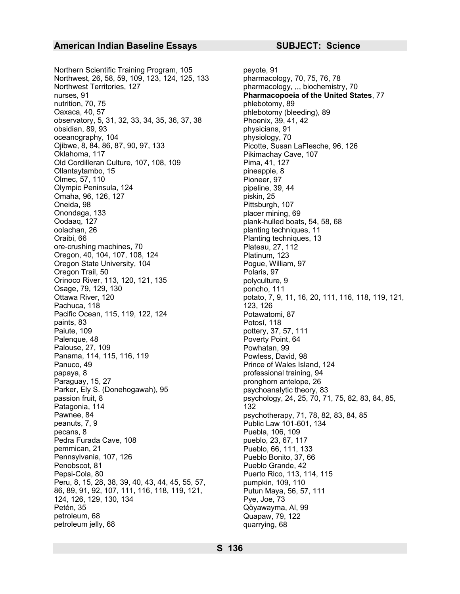Northern Scientific Training Program, 105 peyote, 91 Northwest, 26, 58, 59, 109, 123, 124, 125, 133 pharmacology, 70, 75, 76, 78 Northwest Territories, 127 **pharmacology, ,,, biochemistry, 70** nurses, 91 **Pharmacopoeia of the United States**, 77 nutrition, 70, 75 phlebotomy, 89 Oaxaca, 40, 57 phlebotomy (bleeding), 89 observatory, 5, 31, 32, 33, 34, 35, 36, 37, 38 Phoenix, 39, 41, 42 obsidian, 89, 93 physicians, 91 oceanography, 104 physiology, 70 Ojibwe, 8, 84, 86, 87, 90, 97, 133 Picotte, Susan LaFlesche, 96, 126 Oklahoma, 117 **Pikimachay Cave, 107** Pikimachay Cave, 107 Old Cordilleran Culture, 107, 108, 109 Pima, 41, 127 Ollantaytambo, 15 pineapple, 8 Olmec, 57, 110 **Pioneer**, 97 Olympic Peninsula, 124 **pipeline**, 39, 44 Omaha, 96, 126, 127 **piskin**, 25 Oneida, 98 Pittsburgh, 107 Onondaga, 133 **placer mining, 69** Oodaaq, 127 **plank-hulled boats, 54, 58, 68** oolachan, 26 planting techniques, 11 Oraibi, 66 **Planting techniques, 13** ore-crushing machines, 70 Plateau, 27, 112 Oregon, 40, 104, 107, 108, 124 Platinum, 123 Oregon State University, 104 Pogue, William, 97 Oregon Trail, 50 Polaris, 97<br>
Orinoco River, 113, 120, 121, 135 polyculture, 9 Orinoco River, 113, 120, 121, 135 Osage, 79, 129, 130 poncho, 111 Ottawa River, 120 potato, 7, 9, 11, 16, 20, 111, 116, 118, 119, 121, Pachuca, 118 123, 126 Pacific Ocean, 115, 119, 122, 124 Potawatomi, 87 paints, 83 Potosí, 118 Paiute, 109 **pottery**, 37, 57, 111 Palenque, 48 Poverty Point, 64 Palouse, 27, 109 Powhatan, 99 Panama, 114, 115, 116, 119 Powless, David, 98 Panuco, 49 Prince of Wales Island, 124 papaya, 8 professional training, 94 Paraguay, 15, 27 **pronghorn** antelope, 26 Parker, Ely S. (Donehogawah), 95 psychoanalytic theory, 83 passion fruit, 8 psychology, 24, 25, 70, 71, 75, 82, 83, 84, 85, Patagonia, 114 132 Pawnee, 84 **payses payses psychotherapy, 71, 78, 82, 83, 84, 85** peanuts, 7, 9 Public Law 101-601, 134 pecans, 8 Pedra Furada Cave, 108 pueblo, 23, 67, 117 pemmican, 21 Pueblo, 66, 111, 133<br>Pennsylvania, 107, 126 Pueblo Bonito, 37, 66 Pennsylvania, 107, 126 **Pueblo Bonito, 37, 66**<br>Penobscot, 81 Penobscot, 81 Penobscot, 81 Pueblo Grande, 42<br>
Pepsi-Cola, 80 Puerto Rico, 113, 1 Peru, 8, 15, 28, 38, 39, 40, 43, 44, 45, 55, 57, 86, 89, 91, 92, 107, 111, 116, 118, 119, 121, 124, 126, 129, 130, 134 Petén, 35 Qöyawayma, Al, 99 petroleum, 68 Quapaw, 79, 122 petroleum jelly, 68 quarrying, 68

Puebla, 106, 109 Puerto Rico, 113, 114, 115 pumpkin, 109, 110 Putun Maya, 56, 57, 111 Pye, Joe, 73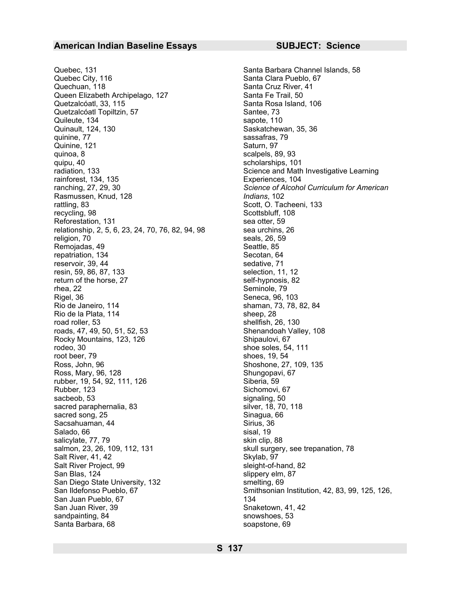Quebec, 131 **Santa Barbara Channel Islands**, 58 Quebec City, 116 Santa Clara Pueblo, 67 Quechuan, 118 Santa Cruz River, 41 Queen Elizabeth Archipelago, 127 Santa Fe Trail, 50 Quetzalcóatl, 33, 115 Santa Rosa Island, 106 Quetzalcóatl Topiltzin, 57 Santee, 73 Quileute, 134 sapote, 110 Quinault, 124, 130 Saskatchewan, 35, 36 Quinine, 77 Quinine, 121 Saturn, 97 quinoa, 8 scalpels, 89, 93 quipu, 40 scholarships, 101 radiation, 133 Science and Math Investigative Learning rainforest, 134, 135 Experiences, 104 Rasmussen, Knud, 128 *Indians*, 102 rattling, 83 Scott, O. Tacheeni, 133 recycling, 98 Scottsbluff, 108 Reforestation, 131 sea otter. 59 relationship, 2, 5, 6, 23, 24, 70, 76, 82, 94, 98 sea urchins, 26 religion, 70 seals, 26, 59 Remojadas, 49 Seattle, 85 repatriation, 134 Secotan, 64 reservoir, 39, 44 sedative, 71 resin, 59, 86, 87, 133<br>return of the horse, 27 self-hypnosis, 82 return of the horse, 27 rhea, 22 Seminole, 79 Rigel, 36 Seneca, 96, 103 Rio de Janeiro, 114 **shaman, 73, 78, 82, 84** Rio de la Plata, 114 sheep, 28 road roller, 53 shellfish, 26, 130 roads, 47, 49, 50, 51, 52, 53 Shenandoah Valley, 108 Rocky Mountains, 123, 126 Shipaulovi, 67 rodeo, 30 shoe soles, 54, 111 root beer, 79 shoes, 19, 54 Ross, John, 96 Shoshone, 27, 109, 135 Ross, Mary, 96, 128 Shungopavi, 67 rubber, 19, 54, 92, 111, 126 Siberia, 59 Rubber, 123 Sichomovi, 67 sacbeob, 53<br>sacred paraphernalia, 83<br>silver, 18, 70, 118 sacred paraphernalia, 83 silver, 18, 70<br>sacred song, 25 sacred song, 25 sacred song, 25 Sinagua, Sacred song, 25 Sinagua, Sacred song ang Sinagua, Sacred song ang Sinagua, Sacred son<br>Sacsahuaman, 44 Sinagua, Sacred song ang Sinagua, Sinagua, Sinagua, Sinagua, Sinagua, Sinagua, Sinagua, Sinagu Sacsahuaman, 44 Salado, 66 sisal, 19 salicylate, 77, 79 skin clip, 88 salmon, 23, 26, 109, 112, 131 skull surgery, see trepanation, 78 Salt River, 41, 42 Skylab, 97 Salt River Project, 99 sleight-of-hand, 82 San Blas, 124 slippery elm, 87 San Diego State University, 132 smelting, 69 San Ildefonso Pueblo, 67 San Juan Pueblo, 67 San Juan River, 39 Snaketown, 41, 42 sandpainting, 84 snowshoes, 53 Santa Barbara, 68 soapstone, 69

sassafras, 79 ranching, 27, 29, 30 *Science of Alcohol Curriculum for American*  Smithsonian Institution, 42, 83, 99, 125, 126, 134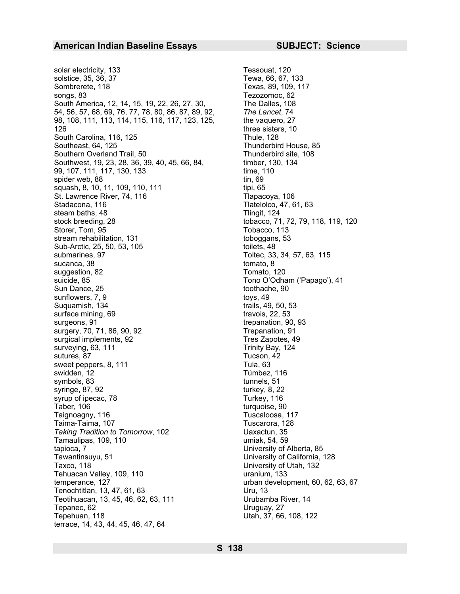solar electricity, 133<br>solstice, 35, 36, 37<br>Tewa, 66, 67, 133 solstice, 35, 36, 37 Sombrerete, 118 Texas, 89, 109, 117 songs, 83 Tezozomoc, 62 South America, 12, 14, 15, 19, 22, 26, 27, 30, 54, 56, 57, 68, 69, 76, 77, 78, 80, 86, 87, 89, 92, 98, 108, 111, 113, 114, 115, 116, 117, 123, 125, 126 South Carolina, 116, 125 Thule, 128 Southeast, 64, 125 Thunderbird House, 85 Southern Overland Trail, 50 Thunderbird site, 108 Southwest, 19, 23, 28, 36, 39, 40, 45, 66, 84, 99, 107, 111, 117, 130, 133 spider web, 88 tin, 69 squash, 8, 10, 11, 109, 110, 111 St. Lawrence River, 74, 116 Tlapacoya, 106 Stadacona, 116 Tlatelolco, 47, 61, 63 steam baths, 48 Tlingit, 124 stock breeding, 28 tobacco, 71, 72, 79, 118, 119, 120 Storer, Tom, 95 Storer, Tobacco, 113 stream rehabilitation, 131 toboggans, 53 Sub-Arctic, 25, 50, 53, 105 submarines, 97 and 100 and 100 and 100 and 100 and 100 and 100 and 100 and 100 and 100 and 100 and 100 and 100 sucanca, 38 tomato, 8 suggestion, 82 Tomato, 120 suicide, 85 Tono O'Odham ('Papago'), 41 Sun Dance, 25 toothache, 90 sunflowers, 7, 9 toys, 49 Suquamish, 134 trails, 49, 50, 53 surface mining, 69 travois, 22, 53 surgeons, 91 trepanation, 90, 93 surgery, 70, 71, 86, 90, 92 Trepanation, 91 surgical implements, 92 Tres Zapotes, 49 surveying, 63, 111 Trinity Bay, 124 sutures, 87 Tucson, 42 sweet peppers, 8, 111 Tula, 63 swidden, 12 Túmbez, 116 symbols, 83 tunnels, 51 syringe, 87, 92 turkey, 8, 22 syrup of ipecac, 78 Turkey, 116 Taber, 106 turquoise, 90 Taignoagny, 116 Tuscaloosa, 117 Taima-Taima, 107 Tuscarora, 128 *Taking Tradition to Tomorrow*, 102 Uaxactun, 35 Tamaulipas, 109, 110 umiak, 54, 59 tapioca, 7 University of Alberta, 85 Tawantinsuyu, 51 University of California, 128 Taxco, 118 University of Utah, 132 Tehuacan Valley, 109, 110 Uranium, 133 temperance, 127 urban development, 60, 62, 63, 67 Tenochtitlan, 13, 47, 61, 63 Uru, 13 Teotihuacan, 13, 45, 46, 62, 63, 111 Urubamba River, 14 Tepanec, 62 Uruguay, 27 Tepehuan, 118 Utah, 37, 66, 108, 122 terrace, 14, 43, 44, 45, 46, 47, 64

The Dalles, 108 *The Lancet*, 74 the vaquero, 27 three sisters, 10 timber, 130, 134 time, 110